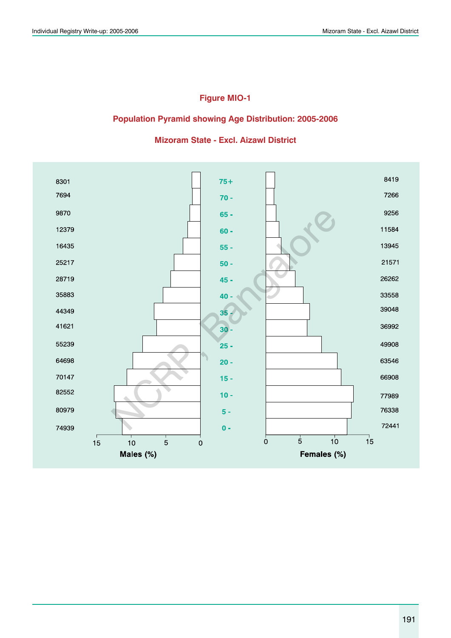## **Figure MIO-1**

## **Population Pyramid showing Age Distribution: 2005-2006**

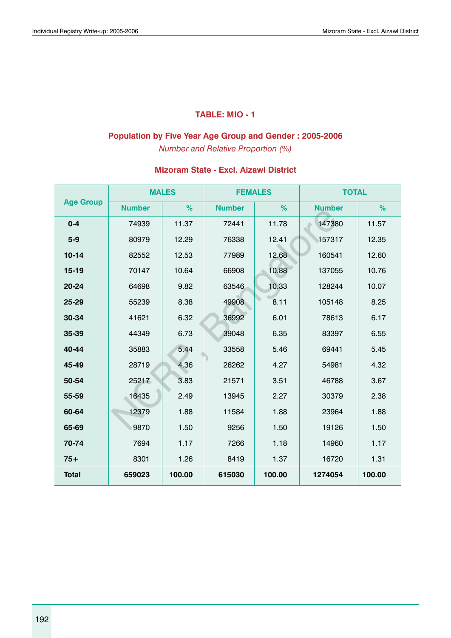## **TABLE: MIO - 1**

### **Population by Five Year Age Group and Gender : 2005-2006**

*Number and Relative Proportion (%)*

|                  |               | <b>MALES</b> | <b>FEMALES</b> |        | <b>TOTAL</b>  |        |
|------------------|---------------|--------------|----------------|--------|---------------|--------|
| <b>Age Group</b> | <b>Number</b> | %            | <b>Number</b>  | %      | <b>Number</b> | %      |
| $0 - 4$          | 74939         | 11.37        | 72441          | 11.78  | 147380        | 11.57  |
| $5 - 9$          | 80979         | 12.29        | 76338          | 12.41  | 157317        | 12.35  |
| $10 - 14$        | 82552         | 12.53        | 77989          | 12.68  | 160541        | 12.60  |
| $15-19$          | 70147         | 10.64        | 66908          | 10.88  | 137055        | 10.76  |
| 20-24            | 64698         | 9.82         | 63546          | 10.33  | 128244        | 10.07  |
| 25-29            | 55239         | 8.38         | 49908          | 8.11   | 105148        | 8.25   |
| 30-34            | 41621         | 6.32         | 36992          | 6.01   | 78613         | 6.17   |
| 35-39            | 44349         | 6.73         | 39048          | 6.35   | 83397         | 6.55   |
| 40-44            | 35883         | 5.44         | 33558          | 5.46   | 69441         | 5.45   |
| 45-49            | 28719         | 4.36         | 26262          | 4.27   | 54981         | 4.32   |
| 50-54            | 25217         | 3.83         | 21571          | 3.51   | 46788         | 3.67   |
| 55-59            | 16435         | 2.49         | 13945          | 2.27   | 30379         | 2.38   |
| 60-64            | 12379         | 1.88         | 11584          | 1.88   | 23964         | 1.88   |
| 65-69            | 9870          | 1.50         | 9256           | 1.50   | 19126         | 1.50   |
| 70-74            | 7694          | 1.17         | 7266           | 1.18   | 14960         | 1.17   |
| $75+$            | 8301          | 1.26         | 8419           | 1.37   | 16720         | 1.31   |
| <b>Total</b>     | 659023        | 100.00       | 615030         | 100.00 | 1274054       | 100.00 |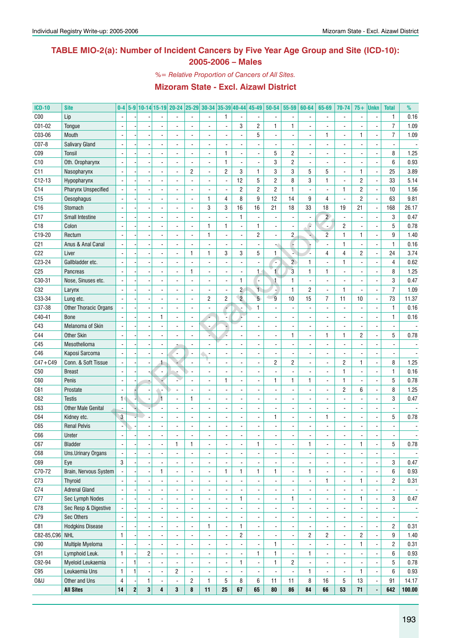## **TABLE MIO-2(a): Number of Incident Cancers by Five Year Age Group and Site (ICD-10): 2005-2006 – Males**

*%= Relative Proportion of Cancers of All Sites.*

| <b>ICD-10</b>   | <b>Site</b>               | $0-4$                    |                |              |                         | 5-9 10-14 15-19 20-24 25-29 30-34 35-39 40-44 |                          |                          |                          |                          | 45-49          | $50 - 54$      | 55-59                    | 60-64                    | 65-69                    | 70-74                    | $75+$          | <b>Unkn</b>    | <b>Total</b>             | %              |
|-----------------|---------------------------|--------------------------|----------------|--------------|-------------------------|-----------------------------------------------|--------------------------|--------------------------|--------------------------|--------------------------|----------------|----------------|--------------------------|--------------------------|--------------------------|--------------------------|----------------|----------------|--------------------------|----------------|
| C <sub>00</sub> | Lip                       |                          |                |              |                         |                                               |                          |                          | 1                        |                          |                |                |                          |                          |                          | $\blacksquare$           |                |                | $\mathbf{1}$             | 0.16           |
| C01-02          | Tongue                    |                          |                |              |                         |                                               |                          | $\overline{\phantom{a}}$ | ÷,                       | 3                        | $\overline{c}$ | 1              | $\mathbf{1}$             |                          |                          | $\overline{a}$           |                |                | $\overline{7}$           | 1.09           |
| C03-06          | Mouth                     |                          |                |              |                         |                                               |                          | $\overline{a}$           | $\overline{a}$           | $\blacksquare$           | 5              |                | $\overline{\phantom{a}}$ |                          | 1                        | $\overline{a}$           | 1              | Ĭ.             | $\overline{7}$           | 1.09           |
| C07-8           | Salivary Gland            |                          |                |              |                         |                                               |                          | $\overline{a}$           |                          | $\overline{a}$           |                |                | $\overline{\phantom{a}}$ |                          |                          | ÷,                       |                |                |                          |                |
| CO <sub>9</sub> | Tonsil                    |                          |                |              |                         | ÷                                             |                          | $\overline{a}$           | $\mathbf{1}$             | $\blacksquare$           |                | 5              | $\overline{c}$           |                          |                          | ÷,                       |                | ÷,             | 8                        | 1.25           |
| C10             | Oth. Oropharynx           |                          |                |              |                         |                                               |                          | $\overline{a}$           | $\mathbf{1}$             | $\overline{\phantom{a}}$ |                | 3              | $\overline{c}$           |                          |                          | ÷,                       |                |                | 6                        | 0.93           |
| C11             | Nasopharynx               |                          |                |              |                         | ÷                                             | $\overline{c}$           | ÷,                       | $\overline{c}$           | 3                        | 1              | 3              | $\mathsf 3$              | 5                        | 5                        | $\overline{a}$           | 1              | ÷,             | 25                       | 3.89           |
| $C12-13$        | Hypopharynx               |                          |                |              |                         |                                               |                          | $\overline{a}$           | ÷,                       | 12                       | 5              | $\overline{c}$ | 8                        | 3                        | 1                        | $\overline{a}$           | $\overline{c}$ | ÷,             | 33                       | 5.14           |
| C14             | Pharynx Unspecified       |                          |                |              |                         |                                               |                          |                          | ÷,                       | $\overline{c}$           | $\overline{c}$ | $\overline{c}$ | $\mathbf{1}$             |                          |                          | $\mathbf{1}$             | $\overline{c}$ |                | 10                       | 1.56           |
| C15             | Oesophagus                |                          |                |              |                         |                                               |                          | 1                        | 4                        | 8                        | 9              | 12             | 14                       | 9                        | 4                        | $\overline{a}$           | $\overline{c}$ |                | 63                       | 9.81           |
| C16             | Stomach                   |                          |                |              |                         |                                               |                          | 3                        | 3                        | 16                       | 16             | 21             | 18                       | 33                       | 18                       | 19                       | 21             | ÷,             | 168                      | 26.17          |
| C17             | <b>Small Intestine</b>    |                          |                |              |                         |                                               |                          |                          |                          | $\mathbf{1}$             |                |                | $\blacksquare$           |                          | $\overline{2}$           | $\overline{\phantom{a}}$ |                |                | 3                        | 0.47           |
| C18             | Colon                     |                          |                |              |                         |                                               |                          | 1                        | $\mathbf{1}$             | $\overline{\phantom{a}}$ | 1              |                | $\blacksquare$           | ٥                        | $\blacksquare$           | $\overline{c}$           |                |                | 5                        | 0.78           |
| C19-20          | Rectum                    |                          |                |              |                         |                                               |                          | 1                        | ÷,                       | $\blacksquare$           | $\overline{c}$ |                | $\overline{2}$           |                          | $\overline{2}$           | $\mathbf{1}$             | $\mathbf{1}$   | ÷,             | 9                        | 1.40           |
| C <sub>21</sub> | Anus & Anal Canal         |                          |                |              |                         |                                               |                          |                          |                          | $\blacksquare$           |                |                | L,                       |                          |                          | $\mathbf{1}$             |                |                | $\mathbf{1}$             | 0.16           |
| C22             | Liver                     |                          |                |              |                         | ÷,                                            | $\mathbf{1}$             | 1                        | 3                        | 3                        | 5              | 1              | A.                       |                          | 4                        | $\overline{4}$           | $\overline{2}$ | ÷,             | 24                       | 3.74           |
|                 |                           |                          |                |              |                         |                                               |                          | ÷,                       |                          | $\overline{\phantom{a}}$ |                |                |                          |                          |                          |                          |                |                |                          |                |
| C23-24          | Gallbladder etc.          |                          |                |              |                         |                                               |                          |                          |                          |                          |                | c              | $\overline{2}$           | $\mathbf{1}$             |                          | $\mathbf{1}$             |                |                | $\overline{4}$           | 0.62           |
| C <sub>25</sub> | Pancreas                  |                          |                |              |                         |                                               | $\mathbf{1}$             | ÷,                       | ÷,                       | $\overline{\phantom{a}}$ | 1              | $\mathbf{1}$   | $\mathbf{3}$             | $\mathbf{1}$             | 1                        | $\overline{a}$           |                |                | 8                        | 1.25           |
| C30-31          | Nose, Sinuses etc.        |                          |                |              |                         |                                               |                          | $\overline{a}$           | ÷,                       | $\mathbf{1}$             | ٠              | $\mathbf{1}$   | $\mathbf{1}$             |                          |                          | ÷,                       |                |                | 3                        | 0.47           |
| C32             | Larynx                    |                          |                |              |                         |                                               |                          | $\overline{a}$           | $\overline{a}$           | $\overline{c}$           | 1              |                | $\mathbf{1}$             | $\overline{c}$           | $\overline{a}$           | $\mathbf{1}$             |                | ÷,             | $\overline{7}$           | 1.09           |
| C33-34          | Lung etc.                 |                          |                |              |                         | L.                                            |                          | 2                        | $\overline{c}$           | $\overline{2}$           | 5 <sup>5</sup> | 9              | $10$                     | 15                       | $\overline{7}$           | 11                       | 10             | ÷,             | 73                       | 11.37          |
| C37-38          | Other Thoracic Organs     |                          |                |              |                         | ÷,                                            |                          | $\overline{a}$           |                          | ä,                       | $\mathbf{1}$   |                | $\blacksquare$           |                          |                          | ÷.                       |                |                | $\mathbf{1}$             | 0.16           |
| C40-41          | <b>Bone</b>               |                          |                |              | $\mathbf{1}$            | $\overline{\phantom{a}}$                      |                          |                          |                          | L                        |                |                | $\blacksquare$           |                          |                          | ÷,                       |                |                | $\mathbf{1}$             | 0.16           |
| C43             | Melanoma of Skin          |                          |                |              |                         |                                               |                          |                          |                          | $\blacksquare$           |                |                | $\blacksquare$           |                          |                          | ÷,                       |                |                |                          |                |
| C44             | <b>Other Skin</b>         |                          |                |              |                         |                                               |                          | L.                       |                          | $\blacksquare$           |                |                | $\mathbf{1}$             |                          | 1                        | $\mathbf{1}$             | $\overline{2}$ |                | 5                        | 0.78           |
| C45             | Mesothelioma              |                          |                |              |                         |                                               |                          |                          |                          | $\blacksquare$           |                |                | $\blacksquare$           |                          |                          | ÷,                       |                |                |                          |                |
| C46             | Kaposi Sarcoma            |                          |                |              |                         | ٠.                                            |                          | $\sim$                   | ÷,                       | $\blacksquare$           |                |                | $\blacksquare$           |                          |                          | ÷,                       |                |                |                          |                |
| $C47 + C49$     | Conn. & Soft Tissue       |                          |                |              | $\ddagger$              |                                               |                          |                          | L                        | $\blacksquare$           |                | $\overline{2}$ | $\overline{2}$           |                          | ÷,                       | $\overline{c}$           | $\mathbf{1}$   | ÷,             | 8                        | 1.25           |
| C50             | <b>Breast</b>             |                          |                |              |                         |                                               |                          | $\overline{a}$           |                          | $\blacksquare$           |                |                | $\blacksquare$           |                          | L.                       | $\mathbf{1}$             |                | ÷,             | $\mathbf{1}$             | 0.16           |
| C60             | Penis                     | $\blacksquare$           |                |              |                         | ÷,                                            |                          | ÷.                       | 1                        | $\blacksquare$           |                | 1              | $\mathbf{1}$             | 1                        | ÷.                       | $\mathbf{1}$             |                | ÷,             | 5                        | 0.78           |
| C61             | Prostate                  | $\overline{a}$           |                |              |                         |                                               |                          | $\overline{a}$           | $\overline{a}$           | $\blacksquare$           |                |                | $\blacksquare$           |                          |                          | $\overline{c}$           | 6              | Ĭ.             | 8                        | 1.25           |
| C62             | <b>Testis</b>             | $\mathbf{1}$             |                |              | $\mathbf{1}$            | ÷.                                            | $\mathbf{1}$             | ÷.                       |                          | $\blacksquare$           |                |                | $\blacksquare$           |                          |                          | $\overline{a}$           |                | ÷,             | 3                        | 0.47           |
| C63             | <b>Other Male Genital</b> | $\overline{a}$           |                |              |                         | ÷                                             |                          | ÷.                       |                          | $\blacksquare$           |                |                | $\blacksquare$           |                          |                          | $\overline{a}$           |                |                | $\frac{1}{2}$            |                |
| C64             | Kidney etc.               | $\mathbf{3}$             |                |              |                         | L.                                            |                          | $\overline{a}$           | ÷,                       | $\blacksquare$           |                | 1              | $\blacksquare$           |                          | 1                        | $\overline{a}$           |                |                | 5                        | 0.78           |
| C65             | <b>Renal Pelvis</b>       |                          |                |              |                         |                                               |                          | ÷.                       | ÷,                       | ÷,                       |                |                | $\blacksquare$           |                          |                          | ÷,                       |                |                |                          |                |
| C66             | Ureter                    |                          |                |              |                         |                                               |                          |                          |                          |                          |                |                |                          |                          |                          |                          |                |                |                          |                |
| C67             | <b>Bladder</b>            | $\overline{\phantom{a}}$ |                |              |                         | 1                                             | L                        | ٠                        |                          | $\overline{\phantom{a}}$ | 1              | -              |                          | 1                        | ٠                        |                          | 1              |                | 5                        | 0.78           |
| C68             | Uns.Urinary Organs        |                          |                |              |                         | $\blacksquare$                                | $\overline{\phantom{a}}$ | $\blacksquare$           | ÷,                       | $\blacksquare$           | $\blacksquare$ | $\overline{a}$ | $\blacksquare$           |                          | $\blacksquare$           | $\overline{a}$           |                | ä,             |                          |                |
| C69             | Eye                       | 3                        |                |              |                         | $\blacksquare$                                | $\overline{\phantom{a}}$ | $\blacksquare$           | $\overline{a}$           | $\blacksquare$           |                |                | $\overline{\phantom{a}}$ |                          | L.                       | $\overline{a}$           |                | ä,             | 3                        | 0.47           |
| C70-72          | Brain, Nervous System     | L.                       |                |              | $\mathbf{1}$            | $\blacksquare$                                | $\overline{\phantom{a}}$ | $\blacksquare$           | 1                        | $\mathbf{1}$             | 1              | $\mathbf{1}$   | $\Box$                   | $\mathbf{1}$             | L.                       | ÷,                       |                | $\overline{a}$ | 6                        | 0.93           |
| C73             | <b>Thyroid</b>            |                          |                |              |                         | $\blacksquare$                                | $\overline{\phantom{a}}$ | $\blacksquare$           | ÷,                       | $\blacksquare$           |                | $\frac{1}{2}$  | $\overline{\phantom{a}}$ |                          | 1                        | ÷,                       | $\mathbf{1}$   | ä,             | $\overline{\mathbf{c}}$  | 0.31           |
| C74             | <b>Adrenal Gland</b>      | $\overline{a}$           |                |              |                         | $\blacksquare$                                | $\overline{\phantom{a}}$ | $\blacksquare$           | $\overline{a}$           | $\blacksquare$           | $\blacksquare$ | $\overline{a}$ | $\Box$                   |                          | $\blacksquare$           | ÷,                       |                | ä,             | $\overline{\phantom{a}}$ |                |
| C77             | Sec Lymph Nodes           | $\overline{a}$           |                |              |                         | $\blacksquare$                                | $\overline{\phantom{a}}$ | $\blacksquare$           | $\overline{a}$           | $\mathbf{1}$             | $\blacksquare$ | $\overline{a}$ | $\mathbf{1}$             | $\overline{\phantom{a}}$ | L.                       | ÷,                       | $\mathbf{1}$   | $\blacksquare$ | 3                        | 0.47           |
| C78             | Sec Resp & Digestive      | $\blacksquare$           |                |              | $\overline{a}$          | $\blacksquare$                                | $\overline{\phantom{a}}$ | $\blacksquare$           | ÷,                       | $\overline{\phantom{a}}$ | $\blacksquare$ | $\overline{a}$ | $\blacksquare$           | ä,                       | L.                       | ÷,                       |                | ä,             | $\overline{\phantom{a}}$ |                |
|                 | Sec Others                | $\blacksquare$           |                |              |                         |                                               |                          | ÷,                       | ÷,                       |                          |                |                |                          |                          | L.                       |                          |                | ä,             |                          |                |
| C79             |                           |                          |                |              | $\overline{a}$          | $\blacksquare$                                | $\overline{\phantom{a}}$ |                          |                          | $\blacksquare$           | ä,             | $\overline{a}$ | $\blacksquare$           | ä,                       |                          | ÷,                       |                |                | $\overline{\phantom{a}}$ | $\blacksquare$ |
| C81             | <b>Hodgkins Disease</b>   | $\overline{\phantom{a}}$ |                |              | $\overline{a}$          | $\blacksquare$                                | $\overline{\phantom{a}}$ | 1                        | $\blacksquare$           | $\mathbf{1}$             | $\blacksquare$ | $\overline{a}$ | $\blacksquare$           |                          | L.                       | ÷,                       |                | ä,             | $\overline{2}$           | 0.31           |
| C82-85, C96 NHL |                           | $\mathbf{1}$             |                |              |                         | $\blacksquare$                                | $\overline{\phantom{a}}$ | $\blacksquare$           | $\overline{a}$           | $\overline{c}$           | $\blacksquare$ |                | $\blacksquare$           | $\overline{c}$           | $\overline{\mathbf{c}}$  | ÷,                       | $\overline{2}$ | ä,             | 9                        | 1.40           |
| C90             | Multiple Myeloma          | $\overline{\phantom{a}}$ |                |              |                         | $\blacksquare$                                | $\overline{\phantom{a}}$ | $\blacksquare$           | $\frac{1}{2}$            | $\overline{\phantom{a}}$ |                | $\mathbf{1}$   | $\blacksquare$           |                          | $\blacksquare$           | ÷,                       | $\mathbf{1}$   | ä,             | $\overline{c}$           | 0.31           |
| C91             | Lymphoid Leuk.            | $\mathbf{1}$             |                | $\sqrt{2}$   | $\overline{a}$          | $\blacksquare$                                | $\overline{\phantom{a}}$ | $\blacksquare$           | $\frac{1}{2}$            | $\blacksquare$           | 1              | $\mathbf{1}$   | $\blacksquare$           | 1                        | $\overline{\phantom{a}}$ | ÷,                       |                | ä,             | 6                        | 0.93           |
| C92-94          | Myeloid Leukaemia         | $\overline{\phantom{a}}$ | $\mathbf{1}$   |              | $\overline{a}$          | $\overline{\phantom{a}}$                      | $\overline{\phantom{a}}$ | $\blacksquare$           | $\blacksquare$           | $\mathbf{1}$             | $\blacksquare$ | $\mathbf{1}$   | $\overline{2}$           |                          | $\overline{\phantom{a}}$ | $\overline{\phantom{a}}$ |                | ä,             | 5                        | 0.78           |
| C95             | Leukaemia Uns             | $\mathbf{1}$             | $\mathbf{1}$   |              | $\blacksquare$          | $\overline{c}$                                | $\overline{\phantom{a}}$ | $\overline{\phantom{a}}$ | $\overline{\phantom{a}}$ | $\blacksquare$           |                |                | ÷,                       | 1                        | ä,                       | $\overline{\phantom{a}}$ | $\mathbf{1}$   | ÷,             | 6                        | 0.93           |
| 0&U             | Other and Uns             | $\overline{4}$           |                | $\mathbf{1}$ |                         |                                               | $\overline{c}$           | 1                        | 5                        | 8                        | 6              | 11             | 11                       | 8                        | 16                       | 5                        | 13             | $\blacksquare$ | 91                       | 14.17          |
|                 | <b>All Sites</b>          | 14                       | $\overline{2}$ | $\mathbf 3$  | $\overline{\mathbf{4}}$ | 3                                             | 8                        | 11                       | 25                       | 67                       | 65             | 80             | 86                       | 84                       | 66                       | 53                       | 71             |                | 642                      | 100.00         |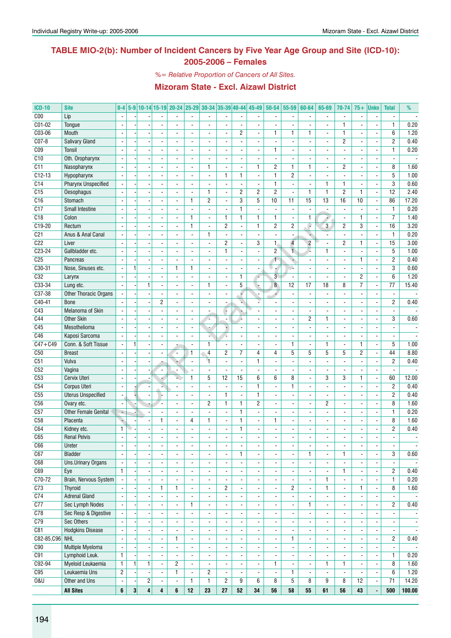## **TABLE MIO-2(b): Number of Incident Cancers by Five Year Age Group and Site (ICD-10): 2005-2006 – Females**

*%= Relative Proportion of Cancers of All Sites.*

| <b>ICD-10</b>   | <b>Site</b>                 | $0-4$                    |              |                         |                              | 5-9 10-14 15-19 20-24 25-29 30-34 35-39 40-44 45-49 |                          |                                            |                          |                          |                                            | $50 - 54$                | 55-59                    | 60-64                         | 65-69                    | 70-74                         | $75+$                                      | <b>Unkn</b>              | <b>Total</b>                  | %                                |
|-----------------|-----------------------------|--------------------------|--------------|-------------------------|------------------------------|-----------------------------------------------------|--------------------------|--------------------------------------------|--------------------------|--------------------------|--------------------------------------------|--------------------------|--------------------------|-------------------------------|--------------------------|-------------------------------|--------------------------------------------|--------------------------|-------------------------------|----------------------------------|
| C <sub>00</sub> | Lip                         |                          |              |                         |                              |                                                     |                          |                                            |                          |                          |                                            |                          | $\blacksquare$           |                               | $\blacksquare$           | $\overline{\phantom{a}}$      |                                            |                          |                               |                                  |
| $C01-02$        | <b>Tongue</b>               |                          |              |                         |                              |                                                     |                          | $\overline{a}$                             |                          | $\overline{\phantom{a}}$ |                                            |                          |                          |                               |                          | 1                             |                                            | Ĭ.                       | $\mathbf{1}$                  | 0.20                             |
| C03-06          | Mouth                       | $\overline{a}$           |              |                         |                              |                                                     |                          | ÷,                                         | Ĭ.                       | $\overline{c}$           |                                            | $\mathbf{1}$             | $\mathbf{1}$             | 1                             | L.                       | $\mathbf{1}$                  |                                            | ÷,                       | 6                             | 1.20                             |
| $CO7-8$         | <b>Salivary Gland</b>       | $\overline{\phantom{a}}$ |              |                         | $\overline{\phantom{a}}$     | $\overline{\phantom{a}}$                            | $\blacksquare$           | $\blacksquare$                             | $\overline{a}$           | $\overline{\phantom{a}}$ | $\blacksquare$                             | $\overline{a}$           | $\blacksquare$           | $\blacksquare$                | ä,                       | $\overline{c}$                | $\overline{\phantom{a}}$                   | ä,                       | $\overline{c}$                | 0.40                             |
| C <sub>09</sub> | Tonsil                      | $\blacksquare$           |              |                         |                              |                                                     |                          | $\overline{a}$                             | $\overline{a}$           | $\overline{\phantom{a}}$ | $\overline{\phantom{a}}$                   | $\mathbf{1}$             | $\overline{\phantom{a}}$ | $\overline{\phantom{a}}$      |                          | $\overline{a}$                |                                            | $\overline{\phantom{a}}$ | $\mathbf{1}$                  | 0.20                             |
| C10             | Oth. Oropharynx             |                          |              |                         |                              |                                                     |                          |                                            |                          | $\overline{\phantom{a}}$ |                                            |                          |                          |                               |                          | $\overline{\phantom{a}}$      |                                            |                          |                               |                                  |
| C11             | Nasopharynx                 |                          |              |                         |                              | $\overline{a}$                                      | $\blacksquare$           | 1                                          | $\overline{\phantom{a}}$ | $\blacksquare$           | $\mathbf{1}$                               | 2                        | $\mathbf{1}$             | 1                             | ÷,                       | $\overline{2}$                |                                            | ä,                       | 8                             | 1.60                             |
| $C12-13$        | Hypopharynx                 |                          |              |                         |                              | $\overline{a}$                                      | $\overline{\phantom{a}}$ | $\blacksquare$                             | $\mathbf{1}$             | $\mathbf{1}$             | $\overline{\phantom{a}}$                   | $\mathbf{1}$             | $\overline{c}$           | $\blacksquare$                |                          | $\overline{a}$                |                                            | ä,                       | 5                             | 1.00                             |
| C14             | <b>Pharynx Unspecified</b>  |                          |              |                         |                              |                                                     |                          |                                            |                          | $\overline{\phantom{a}}$ |                                            | $\mathbf{1}$             | $\blacksquare$           |                               | 1                        | $\mathbf{1}$                  |                                            | $\overline{\phantom{a}}$ | $\overline{3}$                | 0.60                             |
| C15             | <b>Oesophagus</b>           | $\blacksquare$           |              |                         |                              |                                                     |                          | 1                                          | $\overline{a}$           | $\overline{c}$           | $\overline{c}$                             | $\overline{2}$           | $\blacksquare$           | $\mathbf{1}$                  | 1                        | $\overline{2}$                | $\mathbf{1}$                               | ÷,                       | 12                            | 2.40                             |
| C16             | Stomach                     | $\overline{a}$           |              |                         | $\blacksquare$               | $\blacksquare$                                      | $\mathbf{1}$             | 2                                          | $\overline{a}$           | 3                        | 5                                          | 10                       | 11                       | 15                            | 13                       | 16                            | 10                                         | ÷,                       | 86                            | 17.20                            |
| C17             | Small Intestine             | $\blacksquare$           |              |                         | $\blacksquare$               | $\blacksquare$                                      | ä,                       | $\overline{a}$                             | $\overline{a}$           | $\mathbf{1}$             | $\blacksquare$                             | $\overline{a}$           | $\blacksquare$           | $\overline{\phantom{a}}$      | ä,                       | $\blacksquare$                | ä,                                         | ÷,                       | $\mathbf{1}$                  | 0.20                             |
| C18             | Colon                       |                          |              |                         |                              |                                                     | $\mathbf{1}$             | $\overline{a}$                             | 1                        | 1                        | 1                                          | 1                        | $\overline{\phantom{a}}$ | 1                             |                          | $\overline{a}$                | 1                                          | Ĭ.                       | 7                             | 1.40                             |
| $C19-20$        | Rectum                      |                          |              |                         |                              | $\blacksquare$                                      | $\mathbf{1}$             | $\blacksquare$                             | $\overline{2}$           | $\blacksquare$           | $\mathbf{1}$                               | $\overline{2}$           | $\overline{c}$           | e                             | 3                        | $\overline{2}$                | 3                                          | ÷,                       | 16                            | 3.20                             |
| C <sub>21</sub> | Anus & Anal Canal           |                          |              |                         |                              | $\overline{\phantom{a}}$                            | ä,                       | 1                                          | ä,                       | $\overline{\phantom{a}}$ |                                            |                          | $\blacksquare$           | ٠                             |                          | $\overline{\phantom{a}}$      |                                            | ÷,                       | $\mathbf{1}$                  | 0.20                             |
| C <sub>22</sub> | Liver                       |                          |              |                         |                              |                                                     |                          | $\blacksquare$                             | $\overline{2}$           | $\blacksquare$           | 3                                          | $\mathbf{1}$             | $\overline{4}$           | $\overline{2}$                |                          | $\overline{2}$                | 1                                          | ä,                       | 15                            | 3.00                             |
| $C23-24$        | Gallbladder etc.            | $\blacksquare$           |              |                         |                              |                                                     |                          | $\blacksquare$                             | 1                        | $\blacksquare$           |                                            | $\overline{2}$           | $\overline{1}$           |                               | 1                        | ÷,                            |                                            | ÷,                       | 5                             | 1.00                             |
| C <sub>25</sub> | Pancreas                    | $\overline{\phantom{a}}$ |              |                         | $\overline{a}$               | $\blacksquare$                                      | $\blacksquare$           | $\blacksquare$                             | $\blacksquare$           | $\blacksquare$           | $\overline{\phantom{a}}$                   | 1                        | h                        | $\overline{\phantom{a}}$      | ÷,                       | $\overline{\phantom{a}}$      | $\mathbf{1}$                               | ä,                       | $\overline{c}$                | 0.40                             |
| C30-31          | Nose, Sinuses etc.          | ÷,                       | 1            |                         | $\overline{a}$               | $\mathbf{1}$                                        | $\mathbf{1}$             | $\blacksquare$                             | $\overline{a}$           | $\overline{\phantom{a}}$ | $\overline{\phantom{a}}$                   | U<br>÷.                  | ÷.                       | $\overline{\phantom{a}}$      | ä,                       | ÷,                            | $\blacksquare$                             | ä,                       | 3                             | 0.60                             |
| C32             | Larynx                      |                          |              |                         |                              |                                                     |                          | $\overline{a}$                             | -                        | 1                        |                                            | $\overline{3}$           | $\blacksquare$           |                               |                          | $\overline{\phantom{a}}$      | $\overline{c}$                             | ÷                        | 6                             | 1.20                             |
| C33-34          | Lung etc.                   |                          |              | $\mathbf{1}$            |                              | $\overline{a}$                                      | $\blacksquare$           | 1                                          | $\overline{a}$           | 5                        |                                            | 8                        | 12                       | 17                            | 18                       | 8                             | $\overline{7}$                             | $\blacksquare$           | $\overline{77}$               | 15.40                            |
| C37-38          | Other Thoracic Organs       |                          |              |                         |                              | $\overline{a}$                                      | $\overline{\phantom{a}}$ | $\blacksquare$                             | $\overline{a}$           | F                        |                                            | 4                        | $\blacksquare$           |                               |                          | ÷,                            |                                            | ÷,                       |                               |                                  |
| $C40-41$        | <b>Bone</b>                 |                          |              |                         | $\overline{c}$               | $\blacksquare$                                      |                          | $\blacksquare$                             |                          | ×,                       |                                            |                          | $\overline{\phantom{a}}$ |                               |                          | $\overline{a}$                |                                            | $\overline{\phantom{a}}$ | $\overline{2}$                | 0.40                             |
| C43             | Melanoma of Skin            | $\blacksquare$           |              |                         |                              | $\overline{a}$                                      |                          | ÷,                                         | $\overline{a}$           | è                        |                                            |                          | $\blacksquare$           | ÷,                            |                          | $\overline{a}$                |                                            | Ĭ.                       |                               |                                  |
| C44             | <b>Other Skin</b>           | $\overline{\phantom{a}}$ |              |                         | $\overline{\phantom{a}}$     | $\overline{a}$                                      | $\overline{a}$           | c                                          | ä,                       | L.                       | $\blacksquare$                             |                          | $\blacksquare$           | $\overline{c}$                | 1                        | $\overline{\phantom{a}}$      | $\overline{a}$                             | ÷,                       | 3                             | 0.60                             |
| C45             | Mesothelioma                | $\blacksquare$           |              |                         |                              | $\blacksquare$                                      | $\blacksquare$           | ٠                                          | H,                       | $\overline{\phantom{a}}$ | $\overline{\phantom{a}}$                   |                          | $\overline{\phantom{a}}$ | ä,                            | ä,                       | $\frac{1}{2}$                 | $\blacksquare$                             | $\overline{\phantom{a}}$ | $\blacksquare$                |                                  |
| C46             | Kaposi Sarcoma              |                          |              |                         |                              |                                                     |                          | à,                                         |                          |                          |                                            |                          | $\blacksquare$           |                               |                          | $\overline{\phantom{a}}$      |                                            | ٠                        | $\overline{\phantom{a}}$      |                                  |
| $C47 + C49$     | Conn. & Soft Tissue         |                          |              |                         |                              |                                                     |                          | 1                                          | $\overline{a}$           | $\blacksquare$           |                                            |                          | $\mathbf{1}$             | $\overline{\phantom{a}}$      | 1                        | $\overline{a}$                | $\mathbf{1}$                               | Ĭ.                       | 5                             | 1.00                             |
| C50             | <b>Breast</b>               |                          |              |                         |                              | Ξ.                                                  | $\overline{1}$           | 4                                          | $\overline{c}$           | $\overline{7}$           | 4                                          | $\overline{4}$           | 5                        | 5                             | 5                        | 5                             | $\overline{2}$                             | $\blacksquare$           | 44                            | 8.80                             |
| C51             | Vulva                       |                          |              |                         |                              | ٠                                                   |                          | 1                                          | $\overline{a}$           | $\overline{\phantom{a}}$ | $\mathbf{1}$                               |                          | $\blacksquare$           |                               |                          | $\overline{a}$                |                                            | ä,                       | $\overline{2}$                | 0.40                             |
| C52             | Vagina                      |                          |              |                         |                              | $\overline{\phantom{a}}$                            |                          | $\blacksquare$                             | ä,                       | $\blacksquare$           |                                            |                          | $\blacksquare$           |                               |                          | $\overline{a}$                |                                            |                          |                               |                                  |
| C53             | Cervix Uteri                | $\overline{\phantom{a}}$ |              |                         |                              | s.                                                  | $\overline{1}$           | 5                                          | 12                       | 15                       | $6\overline{6}$                            | $6\phantom{1}$           | 8                        | ÷,                            | 3                        | 3                             | $\mathbf{1}$                               | ä,                       | 60                            | 12.00                            |
| C54             | Corpus Uteri                | $\blacksquare$           |              |                         |                              | $\overline{\phantom{0}}$                            | $\overline{\phantom{a}}$ | $\blacksquare$                             | $\blacksquare$           | $\overline{\phantom{a}}$ | 1                                          |                          | 1                        | $\overline{\phantom{a}}$      | ä,                       | $\frac{1}{2}$                 | $\overline{\phantom{a}}$                   | $\overline{\phantom{a}}$ | $\overline{2}$                | 0.40                             |
| C55             | <b>Uterus Unspecified</b>   |                          |              |                         |                              | $\overline{\phantom{a}}$                            |                          | $\overline{\phantom{a}}$                   | 1                        | $\overline{\phantom{a}}$ | $\mathbf{1}$                               |                          | $\overline{\phantom{a}}$ |                               |                          | $\overline{\phantom{a}}$      |                                            |                          | $\overline{c}$                | 0.40                             |
| C56             | Ovary etc.                  | $\blacksquare$           |              |                         |                              | $\overline{a}$                                      |                          | $\overline{c}$                             | $\mathbf{1}$             | $\mathbf{1}$             | $\overline{2}$                             |                          | $\blacksquare$           | ÷,                            | $\overline{c}$           | $\overline{a}$                |                                            | ÷<br>Ĭ.                  | 8                             | 1.60                             |
| C57             | <b>Other Female Genital</b> | $\blacksquare$           |              |                         |                              | $\blacksquare$                                      | ä,                       | ÷,                                         | $\frac{1}{2}$            | $\mathbf{1}$             | $\blacksquare$                             | ÷,                       | $\blacksquare$           |                               | ÷,                       | $\overline{a}$                | $\blacksquare$                             | ÷,                       | $\mathbf{1}$                  | 0.20                             |
| C58             | Placenta                    | ۵                        |              |                         | $\mathbf{1}$                 | $\overline{\phantom{a}}$                            | 4                        | 1                                          | $\overline{a}$           | $\mathbf{1}$             | $\blacksquare$                             | $\mathbf{1}$             | $\overline{\phantom{a}}$ |                               |                          | $\frac{1}{2}$                 |                                            | $\blacksquare$           | 8                             | 1.60                             |
| C64             | Kidney etc.                 | $\mathbf{1}$             |              |                         |                              |                                                     |                          | $\overline{a}$                             |                          | 1                        |                                            |                          | $\overline{\phantom{a}}$ |                               |                          | $\frac{1}{2}$                 |                                            | Ĭ.                       | 2                             | 0.40                             |
| C65             | <b>Renal Pelvis</b>         | $\overline{\phantom{a}}$ |              |                         |                              | ÷.                                                  |                          | $\overline{a}$                             |                          | $\overline{a}$           |                                            |                          | $\blacksquare$           |                               |                          |                               |                                            |                          |                               |                                  |
|                 | Ureter                      |                          |              |                         |                              |                                                     |                          |                                            |                          |                          |                                            |                          |                          |                               |                          |                               |                                            |                          |                               |                                  |
| C66<br>C67      | Bladder                     | $\overline{\phantom{a}}$ |              |                         |                              |                                                     | $\overline{\phantom{a}}$ | $\overline{\phantom{a}}$<br>$\blacksquare$ | -                        | ٠<br>$\mathbf{1}$        | $\overline{\phantom{a}}$                   | -                        | ٠                        | $\overline{\phantom{a}}$<br>1 | ٠                        | $\overline{\phantom{a}}$<br>1 | $\overline{\phantom{a}}$<br>$\blacksquare$ | $\overline{\phantom{a}}$ | $\overline{\phantom{a}}$<br>3 | $\overline{\phantom{a}}$<br>0.60 |
| C68             | <b>Uns.Urinary Organs</b>   |                          |              |                         | $\overline{\phantom{a}}$     | $\overline{\phantom{a}}$<br>$\blacksquare$          | $\overline{\phantom{a}}$ | $\overline{a}$                             | ۰                        | $\overline{\phantom{a}}$ | $\overline{\phantom{a}}$<br>$\blacksquare$ | -                        | $\overline{\phantom{a}}$ |                               | $\overline{\phantom{a}}$ | ÷,                            |                                            | $\overline{\phantom{a}}$ | ÷,                            |                                  |
|                 |                             | $\mathbf{1}$             |              |                         |                              |                                                     | $\overline{\phantom{a}}$ |                                            | $\frac{1}{2}$            |                          |                                            | $\overline{a}$           | $\overline{\phantom{a}}$ | $\overline{a}$                | ÷,                       |                               |                                            | $\overline{\phantom{a}}$ |                               | $\overline{\phantom{a}}$<br>0.40 |
| C69<br>$C70-72$ | Eye                         |                          |              |                         | $\blacksquare$               | $\blacksquare$                                      | $\overline{\phantom{a}}$ | $\blacksquare$                             | $\overline{\phantom{a}}$ | $\blacksquare$           | $\overline{\phantom{a}}$                   | $\overline{\phantom{a}}$ | $\overline{\phantom{a}}$ | $\overline{\phantom{a}}$      | $\overline{\phantom{a}}$ | 1<br>÷,                       | $\blacksquare$                             | $\blacksquare$           | $\overline{c}$                | 0.20                             |
|                 | Brain, Nervous System       |                          |              |                         | $\blacksquare$               | $\blacksquare$                                      | $\overline{\phantom{a}}$ | $\blacksquare$                             | $\blacksquare$           | $\overline{\phantom{a}}$ | $\blacksquare$                             | $\frac{1}{2}$            | $\overline{\phantom{a}}$ | $\overline{\phantom{a}}$      | 1                        |                               |                                            | $\blacksquare$           | $\mathbf{1}$                  |                                  |
| C <sub>73</sub> | <b>Thyroid</b>              |                          |              |                         | $\mathbf{1}$                 | $\mathbf{1}$                                        |                          | $\overline{\phantom{a}}$                   | $\overline{c}$           | $\overline{\phantom{a}}$ |                                            |                          | $\overline{c}$           |                               | 1                        | $\frac{1}{2}$                 | $\mathbf{1}$                               | $\blacksquare$           | 8                             | 1.60                             |
| C <sub>74</sub> | <b>Adrenal Gland</b>        | $\omega$                 |              |                         | $\blacksquare$               | $\overline{\phantom{a}}$                            | $\blacksquare$           | $\overline{\phantom{a}}$                   | $\blacksquare$           | $\blacksquare$           | $\blacksquare$                             | $\frac{1}{2}$            | $\overline{\phantom{a}}$ | $\blacksquare$                | $\overline{\phantom{a}}$ | $\overline{\phantom{a}}$      | $\blacksquare$                             | $\blacksquare$           | $\overline{\phantom{a}}$      | $\sim$                           |
| C <sub>77</sub> | Sec Lymph Nodes             | $\blacksquare$           |              |                         | ÷,                           | $\blacksquare$                                      | $\mathbf{1}$             | $\blacksquare$                             | $\blacksquare$           | $\blacksquare$           | $\overline{\phantom{a}}$                   | $\frac{1}{2}$            | $\overline{\phantom{a}}$ | 1                             | $\blacksquare$           | $\overline{\phantom{a}}$      | $\blacksquare$                             | $\blacksquare$           | $\mathbf{2}$                  | 0.40                             |
| C78             | Sec Resp & Digestive        |                          |              |                         | $\qquad \qquad \blacksquare$ |                                                     | $\overline{\phantom{a}}$ | $\overline{\phantom{a}}$                   | -                        | ٠                        | $\overline{\phantom{a}}$                   | -                        | $\overline{\phantom{a}}$ | $\overline{\phantom{a}}$      | ۰                        | $\overline{\phantom{a}}$      | $\overline{\phantom{a}}$                   | $\overline{\phantom{a}}$ | $\overline{\phantom{a}}$      | $\overline{\phantom{a}}$         |
| C79             | Sec Others                  |                          |              |                         |                              |                                                     |                          | $\overline{a}$                             | $\frac{1}{2}$            | $\overline{\phantom{a}}$ |                                            |                          | $\overline{\phantom{a}}$ |                               | $\blacksquare$           | $\frac{1}{2}$                 |                                            | ÷,                       | $\overline{\phantom{a}}$      | $\overline{\phantom{a}}$         |
| C81             | <b>Hodgkins Disease</b>     |                          |              |                         | $\blacksquare$               | $\blacksquare$                                      | $\overline{\phantom{a}}$ | $\blacksquare$                             | $\overline{\phantom{a}}$ | $\blacksquare$           | $\overline{\phantom{a}}$                   | $\overline{\phantom{a}}$ | $\overline{\phantom{a}}$ | $\blacksquare$                | $\blacksquare$           | $\blacksquare$                | $\blacksquare$                             | $\blacksquare$           | $\overline{\phantom{a}}$      | $\overline{\phantom{a}}$         |
| C82-85, C96 NHL |                             |                          |              |                         |                              | $\mathbf{1}$                                        | $\overline{\phantom{a}}$ | $\blacksquare$                             |                          | $\overline{\phantom{a}}$ |                                            |                          | $\mathbf{1}$             |                               | $\blacksquare$           | ٠                             |                                            | $\blacksquare$           | $\overline{2}$                | 0.40                             |
| C90             | <b>Multiple Myeloma</b>     | $\blacksquare$           |              |                         | $\blacksquare$               |                                                     |                          | $\blacksquare$                             | $\blacksquare$           | $\overline{\phantom{a}}$ |                                            |                          | $\blacksquare$           |                               | $\overline{\phantom{a}}$ | ٠                             |                                            | $\blacksquare$           |                               | $\blacksquare$                   |
| C91             | Lymphoid Leuk.              | $\mathbf{1}$             |              |                         | ÷,                           | $\blacksquare$                                      | $\blacksquare$           | $\blacksquare$                             | $\overline{\phantom{a}}$ | $\blacksquare$           | $\blacksquare$                             | $\overline{\phantom{a}}$ | $\overline{\phantom{a}}$ | $\blacksquare$                | $\overline{\phantom{a}}$ | $\overline{\phantom{a}}$      | $\blacksquare$                             | $\blacksquare$           | $\mathbf{1}$                  | 0.20                             |
| C92-94          | Myeloid Leukaemia           | $\mathbf{1}$             | $\mathbf{1}$ | $\mathbf{1}$            | ÷,                           | $\overline{2}$                                      | $\overline{\phantom{a}}$ | $\overline{\phantom{a}}$                   | $\overline{\phantom{a}}$ | $\blacksquare$           | $\overline{\phantom{a}}$                   | $\mathbf{1}$             | $\blacksquare$           | $\overline{\phantom{a}}$      | 1                        | $\mathbf{1}$                  | $\overline{\phantom{a}}$                   | $\overline{\phantom{a}}$ | 8                             | 1.60                             |
| C95             | Leukaemia Uns               | $\overline{2}$           |              |                         | $\overline{\phantom{a}}$     | 1.                                                  | $\overline{\phantom{a}}$ | $\overline{c}$                             | $\overline{\phantom{a}}$ | $\overline{\phantom{a}}$ | $\overline{\phantom{a}}$                   |                          | 1                        | $\overline{\phantom{a}}$      | $\overline{\phantom{a}}$ | $\overline{\phantom{a}}$      | $\overline{\phantom{a}}$                   | $\overline{\phantom{a}}$ | 6                             | 1.20                             |
| <b>0&amp;U</b>  | Other and Uns               | $\overline{\phantom{a}}$ |              | 2                       |                              | $\overline{\phantom{a}}$                            | 1                        | 1                                          | $\overline{c}$           | 9                        | 6                                          | 8                        | 5                        | 8                             | 9                        | 8                             | 12                                         | $\overline{\phantom{a}}$ | 71                            | 14.20                            |
|                 | <b>All Sites</b>            | 6                        | $\mathbf{3}$ | $\overline{\mathbf{4}}$ | $\overline{4}$               | 6                                                   | 12                       | 23                                         | 27                       | 52                       | 34                                         | 56                       | 58                       | 55                            | 61                       | 56                            | 43                                         | ÷,                       | 500                           | 100.00                           |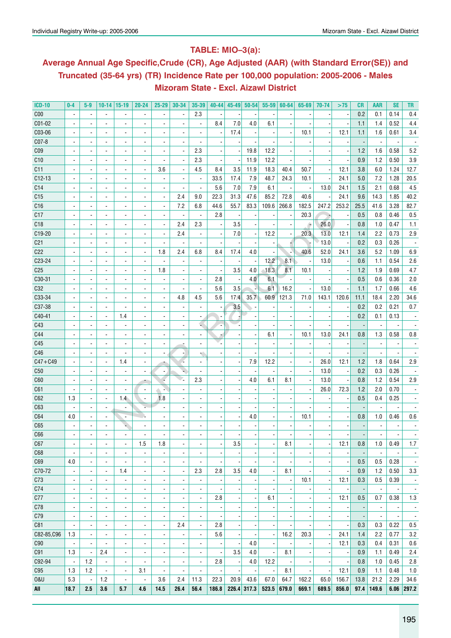## **Table: MIO–3(a):**

# **Average Annual Age Specific,Crude (CR), Age Adjusted (AAR) (with Standard Error(SE)) and Truncated (35-64 yrs) (TR) Incidence Rate per 100,000 population: 2005-2006 - Males Mizoram State - Excl. Aizawl District**

| <b>ICD-10</b>   | $0-4$                    | $5-9$                    |                          | $10-14$ 15-19            | $20 - 24$                | 25-29                    | 30-34                    | 35-39                    | $40 - 44$                | $45 - 49$ | $50 - 54$   | $55 - 59$                | 60-64                    | 65-69 | 70-74 | >75   | CR   | AAR                      | <b>SE</b>                | TR                       |
|-----------------|--------------------------|--------------------------|--------------------------|--------------------------|--------------------------|--------------------------|--------------------------|--------------------------|--------------------------|-----------|-------------|--------------------------|--------------------------|-------|-------|-------|------|--------------------------|--------------------------|--------------------------|
| C <sub>00</sub> |                          |                          |                          |                          |                          |                          |                          | 2.3                      |                          |           |             |                          |                          |       |       |       | 0.2  | 0.1                      | 0.14                     | 0.4                      |
| C01-02          |                          |                          | ä,                       |                          |                          |                          |                          | $\overline{\phantom{a}}$ | 8.4                      | 7.0       | 4.0         | 6.1                      |                          |       |       |       | 1.1  | 1.4                      | 0.52                     | 4.4                      |
| C03-06          |                          |                          | $\blacksquare$           | $\overline{\phantom{a}}$ |                          |                          |                          | $\overline{\phantom{a}}$ |                          | 17.4      |             |                          |                          | 10.1  |       | 12.1  | 1.1  | 1.6                      | 0.61                     | 3.4                      |
| C07-8           |                          |                          | $\overline{\phantom{a}}$ | $\blacksquare$           |                          |                          |                          | $\overline{a}$           |                          |           |             |                          |                          |       |       |       |      |                          |                          |                          |
| C <sub>09</sub> |                          |                          | $\blacksquare$           | ÷,                       |                          |                          |                          | 2.3                      |                          |           | 19.8        | 12.2                     |                          |       |       |       | 1.2  | 1.6                      | 0.58                     | 5.2                      |
| C10             |                          |                          | ä,                       | ÷,                       |                          |                          |                          | 2.3                      | $\overline{\phantom{a}}$ |           | 11.9        | 12.2                     |                          |       |       |       | 0.9  | 1.2                      | 0.50                     | 3.9                      |
| C11             |                          |                          | $\blacksquare$           | $\overline{\phantom{a}}$ | $\overline{a}$           | 3.6                      |                          | 4.5                      | 8.4                      | 3.5       | 11.9        | 18.3                     | 40.4                     | 50.7  |       | 12.1  | 3.8  | 6.0                      | 1.24                     | 12.7                     |
| C12-13          |                          |                          | $\overline{\phantom{a}}$ | $\overline{\phantom{a}}$ |                          |                          |                          | $\overline{\phantom{a}}$ | 33.5                     | 17.4      | 7.9         | 48.7                     | 24.3                     | 10.1  |       | 24.1  | 5.0  | 7.2                      | 1.28                     | 20.5                     |
| C <sub>14</sub> |                          |                          | $\overline{\phantom{a}}$ | $\overline{\phantom{a}}$ |                          |                          |                          | $\blacksquare$           | 5.6                      | 7.0       | 7.9         | 6.1                      |                          |       | 13.0  | 24.1  | 1.5  | 2.1                      | 0.68                     | 4.5                      |
| C <sub>15</sub> |                          |                          | $\blacksquare$           | $\overline{\phantom{a}}$ | $\frac{1}{2}$            | $\overline{\phantom{a}}$ | 2.4                      | 9.0                      | 22.3                     | 31.3      | 47.6        | 85.2                     | 72.8                     | 40.6  |       | 24.1  | 9.6  | 14.3                     | 1.85                     | 40.2                     |
| C16             |                          |                          | $\blacksquare$           | $\overline{\phantom{a}}$ | $\overline{\phantom{a}}$ | $\overline{\phantom{a}}$ | 7.2                      | 6.8                      | 44.6                     | 55.7      | 83.3        | 109.6                    | 266.8                    | 182.5 | 247.2 | 253.2 | 25.5 | 41.6                     | 3.28                     | 82.7                     |
| C17             |                          |                          | $\blacksquare$           | $\blacksquare$           | $\frac{1}{2}$            | $\overline{\phantom{a}}$ | $\overline{\phantom{a}}$ | $\blacksquare$           | 2.8                      |           |             |                          |                          | 20.3  | , .   |       | 0.5  | 0.8                      | 0.46                     | 0.5                      |
| C18             |                          |                          | $\blacksquare$           | $\blacksquare$           | $\frac{1}{2}$            | $\overline{a}$           | 2.4                      | 2.3                      | $\overline{\phantom{a}}$ | 3.5       |             |                          |                          | ۵     | 26.0  |       | 0.8  | 1.0                      | 0.47                     | 1.1                      |
| C19-20          |                          |                          | $\overline{\phantom{a}}$ | $\overline{\phantom{a}}$ | $\overline{\phantom{a}}$ | $\overline{\phantom{a}}$ | 2.4                      | $\overline{\phantom{a}}$ | $\overline{\phantom{a}}$ | 7.0       |             | 12.2                     |                          | 20.3  | 13.0  | 12.1  | 1.4  | 2.2                      | 0.73                     | 2.9                      |
| C <sub>21</sub> |                          |                          | $\blacksquare$           | $\overline{\phantom{a}}$ | $\overline{\phantom{a}}$ | $\overline{a}$           | $\overline{\phantom{a}}$ | $\overline{\phantom{a}}$ | $\overline{\phantom{a}}$ |           |             |                          |                          |       | 13.0  |       | 0.2  | 0.3                      | 0.26                     |                          |
| C <sub>22</sub> |                          |                          | $\blacksquare$           | $\overline{\phantom{a}}$ | $\overline{\phantom{a}}$ | 1.8                      | 2.4                      | 6.8                      | 8.4                      | 17.4      | 4.0         |                          |                          | 40.6  | 52.0  | 24.1  | 3.6  | 5.2                      | 1.09                     | 6.9                      |
| C23-24          |                          |                          | $\overline{\phantom{a}}$ | $\overline{\phantom{a}}$ | $\overline{\phantom{a}}$ |                          | $\overline{\phantom{a}}$ | $\blacksquare$           |                          |           |             | 12.2                     | 8.1                      |       | 13.0  |       | 0.6  | 1.1                      | 0.54                     | 2.6                      |
|                 |                          |                          |                          |                          |                          | 1.8                      | $\overline{a}$           | $\overline{a}$           |                          | 3.5       | 4.0         | 18.3                     | 8.1                      |       |       |       | 1.2  | 1.9                      | 0.69                     | 4.7                      |
| C <sub>25</sub> |                          | $\blacksquare$           | $\blacksquare$           | $\overline{\phantom{a}}$ | $\overline{\phantom{a}}$ |                          |                          |                          | $\blacksquare$<br>2.8    |           | 4.0         | 6.1                      |                          | 10.1  |       |       | 0.5  | 0.6                      | 0.36                     |                          |
| C30-31          |                          |                          | $\overline{\phantom{a}}$ | $\blacksquare$           | $\blacksquare$           |                          | $\overline{a}$           | $\overline{a}$           |                          |           |             |                          |                          |       |       |       |      |                          |                          | 2.0                      |
| C32             |                          |                          | $\overline{\phantom{a}}$ | $\blacksquare$           | $\blacksquare$           |                          |                          | $\overline{a}$           | 5.6                      | 3.5       |             | 6.1                      | 16.2                     |       | 13.0  |       | 1.1  | 1.7                      | 0.66                     | 4.6                      |
| C33-34          |                          |                          | $\blacksquare$           | $\blacksquare$           | $\blacksquare$           |                          | 4.8                      | 4.5                      | 5.6                      | 17.4      | 35.7        | 60.9                     | 121.3                    | 71.0  | 143.1 | 120.6 | 11.1 | 18.4                     | 2.20                     | 34.6                     |
| C37-38          |                          |                          | $\blacksquare$           | $\blacksquare$           |                          |                          |                          |                          |                          | 3.5       |             |                          |                          |       |       |       | 0.2  | 0.2                      | 0.21                     | 0.7                      |
| C40-41          |                          |                          | $\overline{a}$           | 1.4                      | $\blacksquare$           |                          |                          | $\overline{a}$           |                          |           |             |                          |                          |       |       |       | 0.2  | 0.1                      | 0.13                     |                          |
| C43             |                          |                          | $\blacksquare$           | $\blacksquare$           |                          |                          |                          | c                        |                          |           |             |                          |                          |       |       |       |      |                          |                          |                          |
| C44             |                          |                          | $\overline{a}$           | $\overline{\phantom{a}}$ | $\blacksquare$           |                          |                          | ä,                       |                          |           |             | 6.1                      |                          | 10.1  | 13.0  | 24.1  | 0.8  | 1.3                      | 0.58                     | 0.8                      |
| C45             |                          |                          | $\blacksquare$           | $\overline{\phantom{a}}$ | $\blacksquare$           | ٠                        |                          | $\overline{\phantom{0}}$ |                          |           |             |                          |                          |       |       |       |      | $\overline{a}$           |                          |                          |
| C46             |                          |                          | $\blacksquare$           | $\blacksquare$           | $\overline{a}$           | ٠                        |                          |                          |                          |           |             |                          |                          |       |       |       |      | $\overline{a}$           |                          |                          |
| $C47 + C49$     |                          |                          | ä,                       | 1.4                      |                          |                          |                          |                          |                          |           | 7.9         | 12.2                     |                          |       | 26.0  | 12.1  | 1.2  | 1.8                      | 0.64                     | 2.9                      |
| C50             |                          |                          |                          | ÷,                       | $\overline{a}$           |                          |                          | ÷,                       |                          |           |             |                          |                          |       | 13.0  |       | 0.2  | 0.3                      | 0.26                     |                          |
| C60             |                          |                          |                          | ÷,                       |                          |                          |                          | 2.3                      |                          |           | 4.0         | 6.1                      | 8.1                      |       | 13.0  |       | 0.8  | 1.2                      | 0.54                     | 2.9                      |
| C61             |                          |                          | ä,                       | $\blacksquare$           | $\overline{\phantom{a}}$ |                          |                          | $\overline{a}$           |                          |           |             |                          |                          |       | 26.0  | 72.3  | 1.2  | 2.0                      | 0.70                     |                          |
| C62             | 1.3                      |                          | $\overline{\phantom{a}}$ | 1.4                      | ä,                       | 1.8                      |                          | $\overline{a}$           |                          |           |             |                          |                          |       |       |       | 0.5  | 0.4                      | 0.25                     |                          |
| C63             |                          |                          |                          |                          |                          |                          |                          | $\overline{a}$           |                          |           |             |                          |                          |       |       |       |      |                          |                          |                          |
| C64             | 4.0                      |                          | ä,                       |                          |                          |                          |                          |                          |                          |           | 4.0         |                          |                          | 10.1  |       |       | 0.8  | 1.0                      | 0.46                     | 0.6                      |
| C65             |                          |                          |                          |                          |                          |                          |                          |                          |                          |           |             |                          |                          |       |       |       |      |                          |                          |                          |
| C66             |                          |                          |                          |                          |                          |                          |                          |                          |                          |           |             |                          |                          |       |       |       |      |                          |                          |                          |
| C67             |                          |                          | $\overline{\phantom{a}}$ | $\overline{\phantom{a}}$ | 1.5                      | 1.8                      |                          | ۰                        |                          | 3.5       |             |                          | 8.1                      |       |       | 12.1  | 0.8  | 1.0                      | 0.49                     | 1.7                      |
| C68             | $\overline{\phantom{a}}$ | $\blacksquare$           | $\overline{\phantom{a}}$ | $\overline{\phantom{a}}$ | $\overline{\phantom{a}}$ | $\overline{\phantom{a}}$ | $\blacksquare$           | $\overline{\phantom{a}}$ |                          |           |             |                          |                          |       |       |       |      | $\overline{\phantom{a}}$ |                          | $\overline{\phantom{a}}$ |
| C69             | 4.0                      | $\blacksquare$           | $\blacksquare$           | $\overline{\phantom{a}}$ | $\overline{\phantom{a}}$ | $\overline{a}$           | $\blacksquare$           | $\blacksquare$           |                          |           |             |                          |                          |       |       |       | 0.5  | 0.5                      | 0.28                     | $\overline{\phantom{a}}$ |
| C70-72          | $\blacksquare$           | $\overline{\phantom{a}}$ | $\blacksquare$           | 1.4                      | $\overline{\phantom{a}}$ | $\overline{a}$           | $\overline{\phantom{a}}$ | 2.3                      | 2.8                      | 3.5       | 4.0         | $\overline{a}$           | 8.1                      |       |       |       | 0.9  | 1.2                      | 0.50                     | 3.3                      |
| C73             | $\overline{\phantom{a}}$ | $\blacksquare$           | $\blacksquare$           | $\overline{\phantom{a}}$ | $\overline{\phantom{a}}$ | $\overline{a}$           | $\overline{\phantom{a}}$ | $\blacksquare$           | $\overline{\phantom{a}}$ |           |             |                          | $\overline{\phantom{a}}$ | 10.1  |       | 12.1  | 0.3  | 0.5                      | 0.39                     | $\overline{\phantom{a}}$ |
| C74             | $\overline{\phantom{a}}$ | $\blacksquare$           | $\blacksquare$           | ÷,                       | $\overline{\phantom{a}}$ | $\blacksquare$           | $\blacksquare$           | $\blacksquare$           |                          |           |             |                          |                          |       |       |       |      | $\blacksquare$           | $\overline{\phantom{a}}$ | $\overline{\phantom{a}}$ |
| C77             | $\overline{\phantom{a}}$ | $\blacksquare$           | $\blacksquare$           | $\overline{\phantom{a}}$ | $\overline{\phantom{a}}$ | $\blacksquare$           | $\blacksquare$           | $\blacksquare$           | 2.8                      |           |             | 6.1                      | $\blacksquare$           |       |       | 12.1  | 0.5  | 0.7                      | 0.38                     | 1.3                      |
| C78             | $\overline{\phantom{a}}$ | $\blacksquare$           | $\blacksquare$           | $\overline{\phantom{a}}$ | $\overline{\phantom{a}}$ | $\blacksquare$           | $\blacksquare$           | $\blacksquare$           | $\blacksquare$           |           |             |                          |                          |       |       |       |      | $\blacksquare$           | $\overline{\phantom{a}}$ | $\overline{\phantom{a}}$ |
| C79             | $\overline{\phantom{a}}$ | $\blacksquare$           | $\blacksquare$           | $\overline{\phantom{a}}$ | $\overline{\phantom{a}}$ | $\blacksquare$           | $\blacksquare$           | $\blacksquare$           |                          |           |             |                          |                          |       |       |       |      | $\blacksquare$           | $\blacksquare$           | $\overline{\phantom{a}}$ |
| C81             |                          | $\blacksquare$           | $\blacksquare$           | $\overline{\phantom{a}}$ | $\overline{\phantom{a}}$ | $\blacksquare$           | 2.4                      | $\frac{1}{2}$            | 2.8                      |           |             |                          |                          |       |       |       | 0.3  | 0.3                      | 0.22                     | 0.5                      |
| C82-85,C96      | 1.3                      | $\blacksquare$           | $\overline{\phantom{a}}$ | $\overline{\phantom{a}}$ | $\frac{1}{2}$            | ä,                       | $\blacksquare$           | $\blacksquare$           | 5.6                      |           |             | $\blacksquare$           | 16.2                     | 20.3  |       | 24.1  | 1.4  | 2.2                      | 0.77                     | 3.2                      |
| C90             | $\overline{\phantom{a}}$ | $\blacksquare$           | ä,                       | $\overline{\phantom{a}}$ | $\frac{1}{2}$            | $\overline{\phantom{a}}$ | $\blacksquare$           | $\overline{\phantom{a}}$ | $\overline{\phantom{a}}$ |           | 4.0         | $\overline{a}$           |                          |       |       | 12.1  | 0.3  | 0.4                      | 0.31                     | 0.6                      |
| C91             | 1.3                      | $\blacksquare$           | 2.4                      | $\blacksquare$           | $\frac{1}{2}$            | $\overline{\phantom{a}}$ | $\blacksquare$           | $\overline{\phantom{a}}$ | $\overline{\phantom{a}}$ | 3.5       | 4.0         | $\overline{a}$           | 8.1                      |       |       |       | 0.9  | 1.1                      | 0.49                     | $2.4\,$                  |
| C92-94          | $\overline{\phantom{a}}$ | 1.2                      | $\overline{\phantom{a}}$ | $\blacksquare$           | $\overline{\phantom{a}}$ | $\overline{\phantom{a}}$ | $\blacksquare$           | $\blacksquare$           | 2.8                      |           | 4.0         | 12.2                     |                          |       |       |       | 0.8  | 1.0                      | 0.45                     | 2.8                      |
| C95             | 1.3                      | 1.2                      | $\overline{\phantom{a}}$ | $\overline{\phantom{a}}$ | 3.1                      | $\overline{\phantom{a}}$ | $\blacksquare$           | $\overline{a}$           | $\overline{\phantom{a}}$ |           |             | $\overline{\phantom{a}}$ | 8.1                      |       |       | 12.1  | 0.9  | 1.1                      | 0.48                     | 1.0                      |
| <b>0&amp;U</b>  | 5.3                      | $\overline{\phantom{a}}$ | 1.2                      | $\overline{\phantom{a}}$ | $\overline{\phantom{a}}$ | 3.6                      | 2.4                      | 11.3                     | 22.3                     | 20.9      | 43.6        | 67.0                     | 64.7                     | 162.2 | 65.0  | 156.7 | 13.8 | 21.2                     | 2.29                     | 34.6                     |
| All             | 18.7                     | 2.5                      | 3.6                      | 5.7                      | 4.6                      | 14.5                     | 26.4                     | 56.4                     | 186.8                    |           | 226.4 317.3 |                          | 523.5   679.0            | 669.1 | 689.5 | 856.0 | 97.4 | 149.6                    |                          | $6.06$ 297.2             |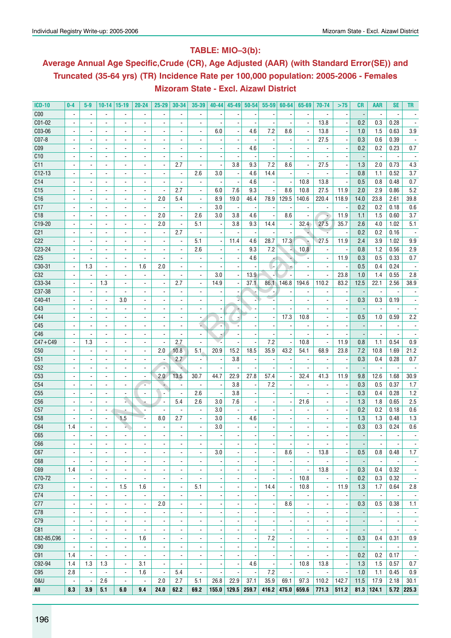## **Table: MIO–3(b):**

# **Average Annual Age Specific,Crude (CR), Age Adjusted (AAR) (with Standard Error(SE)) and Truncated (35-64 yrs) (TR) Incidence Rate per 100,000 population: 2005-2006 - Females Mizoram State - Excl. Aizawl District**

| C <sub>00</sub><br>$\blacksquare$<br>$\overline{\phantom{a}}$<br>$\blacksquare$<br>$\overline{\phantom{a}}$<br>$\blacksquare$<br>$\overline{\phantom{a}}$<br>$\overline{\phantom{a}}$<br>$\overline{\phantom{a}}$<br>C01-02<br>13.8<br>0.2<br>0.3<br>0.28<br>$\overline{\phantom{a}}$<br>$\blacksquare$<br>$\blacksquare$<br>$\overline{\phantom{a}}$<br>÷,<br>C03-06<br>7.2<br>3.9<br>6.0<br>4.6<br>8.6<br>13.8<br>1.0<br>1.5<br>0.63<br>$\blacksquare$<br>$\overline{\phantom{a}}$<br>$\blacksquare$<br>$\blacksquare$<br>$\blacksquare$<br>$\overline{\phantom{0}}$<br>$\blacksquare$<br>$\overline{\phantom{a}}$<br>$\overline{\phantom{a}}$<br>$\overline{\phantom{a}}$<br>$\overline{\phantom{a}}$<br>$CO7-8$<br>27.5<br>0.3<br>0.6<br>0.39<br>$\overline{\phantom{a}}$<br>ä,<br>÷,<br>$\blacksquare$<br>$\blacksquare$<br>$\blacksquare$<br>$\overline{\phantom{a}}$<br>C <sub>09</sub><br>4.6<br>0.2<br>0.23<br>0.7<br>0.2<br>٠<br>C10<br>$\sim$<br>$\blacksquare$<br>$\blacksquare$<br>$\overline{\phantom{a}}$<br>$\blacksquare$<br>$\blacksquare$<br>$\overline{\phantom{a}}$<br>$\blacksquare$<br>C11<br>2.7<br>3.8<br>9.3<br>7.2<br>27.5<br>1.3<br>2.0<br>0.73<br>4.3<br>8.6<br>$\overline{\phantom{a}}$<br>$\blacksquare$<br>$\overline{a}$<br>$\overline{a}$<br>$\overline{\phantom{a}}$<br>$\blacksquare$<br>$\overline{a}$<br>$\overline{\phantom{a}}$<br>$C12-13$<br>3.7<br>2.6<br>3.0<br>4.6<br>14.4<br>0.8<br>0.52<br>1.1<br>$\overline{\phantom{a}}$<br>$\blacksquare$<br>$\overline{\phantom{a}}$<br>$\overline{\phantom{a}}$<br>$\overline{\phantom{a}}$<br>C <sub>14</sub><br>4.6<br>10.8<br>13.8<br>0.5<br>0.8<br>0.7<br>0.48<br>÷,<br>$\blacksquare$<br>$\overline{\phantom{a}}$<br>$\overline{a}$<br>$\overline{\phantom{a}}$<br>5.2<br>C15<br>7.6<br>11.9<br>2.9<br>2.7<br>6.0<br>9.3<br>8.6<br>10.8<br>27.5<br>2.0<br>0.86<br>$\blacksquare$<br>$\blacksquare$<br>$\blacksquare$<br>$\overline{\phantom{a}}$<br>$\blacksquare$<br>$\overline{\phantom{a}}$<br>$\overline{\phantom{a}}$<br>$\overline{\phantom{a}}$<br>C16<br>2.0<br>8.9<br>19.0<br>46.4<br>129.5<br>140.6<br>220.4<br>23.8<br>2.61<br>39.8<br>5.4<br>78.9<br>118.9<br>14.0<br>$\overline{\phantom{a}}$<br>$\blacksquare$<br>ä,<br>÷,<br>C17<br>3.0<br>0.2<br>0.6<br>0.2<br>0.18<br>$\overline{\phantom{a}}$<br>$\overline{\phantom{a}}$<br>$\qquad \qquad \blacksquare$<br>$\overline{\phantom{a}}$<br>$\overline{\phantom{a}}$<br>2.6<br>C18<br>2.0<br>4.6<br>11.9<br>1.1<br>1.5<br>0.60<br>3.7<br>3.0<br>3.8<br>8.6<br>۷<br>$\overline{\phantom{a}}$<br>$\overline{\phantom{a}}$<br>$\overline{\phantom{a}}$<br>ä,<br>$\blacksquare$<br>C19-20<br>2.0<br>5.1<br>3.8<br>9.3<br>14.4<br>32.4<br>27.5<br>35.7<br>2.6<br>4.0<br>1.02<br>5.1<br>$\blacksquare$<br>$\overline{\phantom{a}}$<br>$\blacksquare$<br>$\overline{a}$<br>$\overline{a}$<br>2.7<br>0.2<br>0.2<br>0.16<br>C <sub>21</sub><br>٠<br>$\overline{\phantom{a}}$<br>$\overline{\phantom{a}}$<br>$\overline{\phantom{a}}$<br>C22<br>5.1<br>4.6<br>28.7<br>17.3<br>27.5<br>11.9<br>3.9<br>1.02<br>9.9<br>11.4<br>2.4<br>$\blacksquare$<br>÷.<br>$\blacksquare$<br>$\blacksquare$<br>$\overline{\phantom{a}}$<br>2.9<br>C23-24<br>2.6<br>10.8<br>1.2<br>9.3<br>7.2<br>0.8<br>0.56<br>$\overline{\phantom{a}}$<br>$\blacksquare$<br>$\overline{\phantom{a}}$<br>$\frac{1}{2}$<br>÷,<br>÷,<br>$\blacksquare$<br>٠<br>$\blacksquare$<br>÷,<br>C <sub>25</sub><br>4.6<br>11.9<br>0.3<br>0.5<br>0.33<br>0.7<br>$\blacksquare$<br>$\blacksquare$<br>÷,<br>$\blacksquare$<br>$\blacksquare$<br>$\overline{\phantom{a}}$<br>$\blacksquare$<br>C30-31<br>1.3<br>2.0<br>1.6<br>0.5<br>0.4<br>0.24<br>$\blacksquare$<br>$\overline{\phantom{a}}$<br>$\overline{\phantom{a}}$<br>ŀ.<br>C32<br>3.0<br>13.9<br>23.8<br>1.0<br>1.4<br>0.55<br>2.8<br>$\overline{\phantom{a}}$<br>C33-34<br>1.3<br>37.1<br>2.7<br>14.9<br>194.6<br>110.2<br>83.2<br>12.5<br>2.56<br>38.9<br>86.1<br>146.8<br>22.1<br>$\overline{a}$<br>$\overline{a}$<br>$\blacksquare$<br>$\overline{\phantom{a}}$<br>$\overline{\phantom{a}}$<br>C37-38<br>$\overline{\phantom{a}}$<br>$\overline{\phantom{a}}$<br>$\overline{\phantom{a}}$<br>C40-41<br>3.0<br>0.3<br>0.3<br>0.19<br>÷,<br>$\blacksquare$<br>$\overline{a}$<br>C43<br>$\blacksquare$<br>$\overline{\phantom{a}}$<br>$\blacksquare$<br>÷,<br>$\blacksquare$<br>$\overline{\phantom{a}}$<br>٠<br>$\overline{\phantom{0}}$<br>$\blacksquare$<br>$\qquad \qquad \blacksquare$<br>$\overline{\phantom{0}}$<br>$\overline{\phantom{a}}$<br>C44<br>17.3<br>0.59<br>2.2<br>10.8<br>0.5<br>1.0<br>$\overline{\phantom{a}}$<br>$\blacksquare$<br>$\overline{\phantom{a}}$<br>$\blacksquare$<br>$\blacksquare$<br>$\blacksquare$<br>$\blacksquare$<br>$\overline{a}$<br>$\blacksquare$<br>$\overline{\phantom{a}}$<br>$\overline{\phantom{a}}$<br>C45<br>u,<br>٠<br>$\overline{\phantom{a}}$<br>÷,<br>C46<br>$\blacksquare$<br>$\blacksquare$<br>$\blacksquare$<br>7.2<br>0.54<br>$C47 + C49$<br>1.3<br>2.7<br>11.9<br>1.1<br>0.9<br>10.8<br>0.8<br>$\blacksquare$<br>$\overline{a}$<br>$\overline{a}$<br>ä,<br>$\blacksquare$<br>$\blacksquare$<br>15.2<br>18.5<br>23.8<br>21.2<br>C50<br>2.0<br>10.8<br>5.1<br>20.9<br>35.9<br>43.2<br>54.1<br>68.9<br>7.2<br>10.8<br>1.69<br>$\blacksquare$<br>$\blacksquare$<br>C51<br>2.7<br>3.8<br>0.3<br>0.28<br>0.7<br>0.4<br>$\blacksquare$<br>$\ddot{\phantom{a}}$<br>$\overline{\phantom{a}}$<br>ä,<br>$\blacksquare$<br>C52<br>$\overline{\phantom{a}}$<br>$\overline{\phantom{a}}$<br>$\overline{\phantom{a}}$<br>$\overline{a}$<br>$\overline{\phantom{a}}$<br>$\blacksquare$<br>$\overline{\phantom{a}}$<br>$\overline{\phantom{a}}$<br>$\blacksquare$<br>$\overline{\phantom{a}}$<br>$\blacksquare$<br>$\overline{\phantom{a}}$<br>C <sub>53</sub><br>30.9<br>13.5<br>22.9<br>27.8<br>32.4<br>41.3<br>12.6<br>2.0<br>30.7<br>44.7<br>57.4<br>11.9<br>9.8<br>1.68<br>$\blacksquare$<br>ä,<br>$\overline{\phantom{a}}$<br>$\blacksquare$<br>$\blacksquare$<br>$\blacksquare$<br>3.8<br>7.2<br>C <sub>54</sub><br>0.3<br>0.5<br>0.37<br>1.7<br>$\overline{\phantom{a}}$<br>$\blacksquare$<br>$\overline{\phantom{a}}$<br>$\overline{\phantom{m}}$<br>$\overline{\phantom{a}}$<br>$\overline{\phantom{a}}$<br>2.6<br>3.8<br>0.28<br>1.2<br>C <sub>55</sub><br>0.3<br>0.4<br>$\blacksquare$<br>s.<br>5.4<br>2.6<br>3.0<br>7.6<br>1.3<br>0.65<br>2.5<br>C56<br>21.6<br>1.8<br>$\blacksquare$<br>$\blacksquare$<br>$\overline{\phantom{a}}$<br>C57<br>3.0<br>0.2<br>0.2<br>0.18<br>0.6<br>$\overline{\phantom{a}}$<br>$\blacksquare$<br>$\overline{\phantom{a}}$<br>C58<br>8.0<br>2.7<br>3.0<br>4.6<br>1.3<br>1.3<br>0.48<br>1.3<br>1.5<br>$\blacksquare$<br>$\blacksquare$<br>C64<br>0.3<br>0.3<br>0.6<br>1.4<br>3.0<br>0.24<br>$\overline{\phantom{a}}$<br>÷,<br>÷,<br>$\blacksquare$<br>$\overline{\phantom{a}}$<br>$\overline{\phantom{0}}$<br>C65<br>ä,<br>$\overline{a}$<br>$\overline{\phantom{0}}$<br>C66<br>$\overline{\phantom{a}}$<br>$\overline{\phantom{a}}$<br>٠<br>۰<br>$\overline{\phantom{a}}$<br>۰<br>٠<br>٠<br>$\overline{\phantom{a}}$<br>$\overline{\phantom{a}}$<br>$\overline{\phantom{a}}$<br>$\overline{\phantom{a}}$<br>$\overline{\phantom{a}}$<br>$\overline{\phantom{a}}$<br>۰<br>$\overline{\phantom{a}}$<br>$\overline{\phantom{a}}$<br>8.6<br>0.5<br>1.7<br>C67<br>3.0<br>13.8<br>0.48<br>0.8<br>$\blacksquare$<br>$\blacksquare$<br>$\overline{\phantom{a}}$<br>$\overline{\phantom{a}}$<br>$\blacksquare$<br>$\blacksquare$<br>$\blacksquare$<br>$\blacksquare$<br>$\blacksquare$<br>$\overline{a}$<br>$\overline{\phantom{a}}$<br>$\blacksquare$<br>$\overline{a}$<br>C68<br>$\overline{\phantom{a}}$<br>$\blacksquare$<br>$\blacksquare$<br>$\blacksquare$<br>÷,<br>$\blacksquare$<br>$\blacksquare$<br>$\overline{\phantom{a}}$<br>$\overline{\phantom{a}}$<br>$\overline{\phantom{a}}$<br>$\overline{a}$<br>13.8<br>0.32<br>C69<br>1.4<br>0.3<br>0.4<br>$\overline{\phantom{a}}$<br>$\overline{\phantom{a}}$<br>$\overline{\phantom{a}}$<br>$\overline{\phantom{a}}$<br>$\blacksquare$<br>$\blacksquare$<br>$\blacksquare$<br>$\blacksquare$<br>$\overline{\phantom{a}}$<br>$\blacksquare$<br>$\blacksquare$<br>$\blacksquare$<br>$\overline{a}$<br>$\overline{\phantom{a}}$<br>C70-72<br>10.8<br>0.2<br>0.3<br>0.32<br>$\blacksquare$<br>$\overline{\phantom{a}}$<br>$\blacksquare$<br>$\blacksquare$<br>$\overline{\phantom{a}}$<br>$\overline{\phantom{a}}$<br>$\overline{\phantom{a}}$<br>$\overline{\phantom{a}}$<br>11.9<br>1.7<br>0.64<br>C73<br>1.5<br>1.6<br>5.1<br>14.4<br>10.8<br>1.3<br>2.8<br>$\overline{\phantom{a}}$<br>$\overline{\phantom{a}}$<br>$\overline{\phantom{a}}$<br>$\overline{\phantom{a}}$<br>$\overline{\phantom{a}}$<br>$\overline{\phantom{a}}$<br>$\overline{\phantom{a}}$<br>-<br>C74<br>$\blacksquare$<br>$\overline{\phantom{a}}$<br>$\overline{\phantom{a}}$<br>$\overline{\phantom{a}}$<br>$\overline{\phantom{a}}$<br>$\blacksquare$<br>$\overline{\phantom{a}}$<br>$\overline{\phantom{a}}$<br>$\overline{\phantom{a}}$<br>$\overline{\phantom{a}}$<br>$\overline{\phantom{a}}$<br>$\blacksquare$<br>$\overline{\phantom{a}}$<br>÷,<br>$\overline{a}$<br>$\overline{\phantom{a}}$<br>C77<br>2.0<br>8.6<br>0.3<br>0.5<br>0.38<br>1.1<br>$\overline{\phantom{a}}$<br>$\overline{\phantom{a}}$<br>$\overline{\phantom{a}}$<br>$\overline{\phantom{a}}$<br>$\overline{\phantom{a}}$<br>$\overline{\phantom{a}}$<br>$\overline{\phantom{a}}$<br>$\overline{\phantom{a}}$<br>$\overline{\phantom{a}}$<br>$\overline{\phantom{a}}$<br>٠<br>$\overline{\phantom{a}}$<br>$\overline{\phantom{a}}$<br>$\overline{\phantom{a}}$<br>C78<br>$\overline{\phantom{a}}$<br>$\overline{\phantom{a}}$<br>$\overline{\phantom{a}}$<br>$\overline{\phantom{a}}$<br>$\overline{\phantom{a}}$<br>$\overline{\phantom{a}}$<br>$\overline{\phantom{a}}$<br>$\overline{\phantom{a}}$<br>$\overline{\phantom{a}}$<br>$\overline{\phantom{a}}$<br>$\overline{\phantom{a}}$<br>$\overline{\phantom{a}}$<br>$\overline{\phantom{a}}$<br>$\overline{\phantom{a}}$<br>$\overline{\phantom{a}}$<br>$\overline{\phantom{a}}$<br>$\overline{\phantom{a}}$<br>$\overline{\phantom{m}}$<br>C79<br>$\overline{\phantom{a}}$<br>$\overline{\phantom{a}}$<br>$\overline{\phantom{a}}$<br>$\overline{\phantom{a}}$<br>$\overline{\phantom{a}}$<br>$\overline{\phantom{a}}$<br>$\overline{\phantom{a}}$<br>$\overline{\phantom{a}}$<br>$\overline{\phantom{a}}$<br>$\overline{\phantom{a}}$<br>$\overline{\phantom{a}}$<br>$\overline{\phantom{a}}$<br>$\overline{\phantom{a}}$<br>$\overline{\phantom{a}}$<br>$\overline{\phantom{a}}$<br>$\overline{\phantom{a}}$<br>$\overline{\phantom{a}}$<br>$\overline{\phantom{a}}$<br>$\overline{\phantom{m}}$<br>$\overline{\phantom{m}}$<br>C81<br>$\overline{\phantom{a}}$<br>$\overline{\phantom{a}}$<br>$\blacksquare$<br>$\blacksquare$<br>$\overline{\phantom{a}}$<br>$\overline{\phantom{a}}$<br>$\overline{\phantom{a}}$<br>$\overline{\phantom{a}}$<br>$\blacksquare$<br>ä,<br>$\blacksquare$<br>$\overline{a}$<br>$\overline{\phantom{a}}$<br>$\overline{\phantom{a}}$<br>C82-85, C96<br>1.6<br>7.2<br>0.31<br>0.3<br>0.4<br>0.9<br>$\overline{\phantom{a}}$<br>$\overline{\phantom{a}}$<br>$\blacksquare$<br>$\blacksquare$<br>$\overline{\phantom{a}}$<br>$\overline{\phantom{a}}$<br>$\overline{\phantom{a}}$<br>$\overline{\phantom{a}}$<br>$\overline{\phantom{a}}$<br>$\blacksquare$<br>$\frac{1}{2}$<br>$\overline{\phantom{a}}$<br>C90<br>$\blacksquare$<br>$\overline{\phantom{a}}$<br>$\overline{\phantom{a}}$<br>$\blacksquare$<br>$\overline{a}$<br>$\overline{\phantom{a}}$<br>$\overline{a}$<br>$\overline{\phantom{a}}$<br>$\overline{a}$<br>$\overline{\phantom{a}}$<br>$\overline{\phantom{a}}$<br>$\blacksquare$<br>$\blacksquare$<br>$\overline{\phantom{a}}$<br>$\overline{\phantom{a}}$<br>0.2<br>0.2<br>C91<br>1.4<br>0.17<br>$\overline{\phantom{a}}$<br>$\overline{\phantom{a}}$<br>$\overline{\phantom{a}}$<br>$\overline{\phantom{a}}$<br>$\overline{\phantom{a}}$<br>$\overline{\phantom{a}}$<br>$\overline{\phantom{a}}$<br>$\overline{\phantom{a}}$<br>$\overline{\phantom{a}}$<br>$\overline{\phantom{a}}$<br>C92-94<br>1.3<br>1.3<br>4.6<br>10.8<br>13.8<br>1.3<br>1.5<br>0.57<br>1.4<br>3.1<br>0.7<br>$\overline{\phantom{a}}$<br>$\blacksquare$<br>$\blacksquare$<br>$\overline{\phantom{a}}$<br>$\overline{\phantom{a}}$<br>$\overline{\phantom{a}}$<br>$\overline{\phantom{a}}$<br>$\overline{\phantom{a}}$<br>$\overline{\phantom{a}}$<br>7.2<br>1.1<br>0.9<br>C95<br>2.8<br>1.6<br>5.4<br>1.0<br>0.45<br>$\overline{\phantom{a}}$<br>$\overline{\phantom{a}}$<br>$\overline{\phantom{a}}$<br>$\overline{\phantom{a}}$<br>$\overline{\phantom{a}}$<br>$\overline{\phantom{a}}$<br>$\overline{\phantom{a}}$<br>$\overline{\phantom{a}}$<br>$\overline{\phantom{a}}$<br>$\overline{\phantom{a}}$<br>$\overline{\phantom{a}}$<br>$\overline{\phantom{a}}$<br>2.7<br>11.5<br><b>0&amp;U</b><br>2.6<br>2.0<br>5.1<br>26.8<br>37.1<br>35.9<br>110.2<br>142.7<br>17.9<br>2.18<br>30.1<br>22.9<br>69.1<br>97.3<br>$\overline{\phantom{a}}$<br>$\overline{\phantom{a}}$<br>$\blacksquare$<br>$\blacksquare$<br>24.0<br>62.2<br>69.2<br>416.2 475.0 659.6<br>$81.3$ 124.1<br>8.3<br>3.9<br>5.1<br>6.0<br>9.4<br>155.0<br>129.5<br>259.7<br>771.3<br>511.2<br>$5.72$ 225.3<br>All | <b>ICD-10</b> | $0-4$ | $5-9$ | 10-14 | 15-19 | 20-24 | $25 - 29$ | 30-34 | 35-39 | $40 - 44$ | $45 - 49$ | $50 - 54$ | $55 - 59$ | 60-64 | 65-69 | 70-74 | >75 | CR | <b>AAR</b> | <b>SE</b> | TR |
|--------------------------------------------------------------------------------------------------------------------------------------------------------------------------------------------------------------------------------------------------------------------------------------------------------------------------------------------------------------------------------------------------------------------------------------------------------------------------------------------------------------------------------------------------------------------------------------------------------------------------------------------------------------------------------------------------------------------------------------------------------------------------------------------------------------------------------------------------------------------------------------------------------------------------------------------------------------------------------------------------------------------------------------------------------------------------------------------------------------------------------------------------------------------------------------------------------------------------------------------------------------------------------------------------------------------------------------------------------------------------------------------------------------------------------------------------------------------------------------------------------------------------------------------------------------------------------------------------------------------------------------------------------------------------------------------------------------------------------------------------------------------------------------------------------------------------------------------------------------------------------------------------------------------------------------------------------------------------------------------------------------------------------------------------------------------------------------------------------------------------------------------------------------------------------------------------------------------------------------------------------------------------------------------------------------------------------------------------------------------------------------------------------------------------------------------------------------------------------------------------------------------------------------------------------------------------------------------------------------------------------------------------------------------------------------------------------------------------------------------------------------------------------------------------------------------------------------------------------------------------------------------------------------------------------------------------------------------------------------------------------------------------------------------------------------------------------------------------------------------------------------------------------------------------------------------------------------------------------------------------------------------------------------------------------------------------------------------------------------------------------------------------------------------------------------------------------------------------------------------------------------------------------------------------------------------------------------------------------------------------------------------------------------------------------------------------------------------------------------------------------------------------------------------------------------------------------------------------------------------------------------------------------------------------------------------------------------------------------------------------------------------------------------------------------------------------------------------------------------------------------------------------------------------------------------------------------------------------------------------------------------------------------------------------------------------------------------------------------------------------------------------------------------------------------------------------------------------------------------------------------------------------------------------------------------------------------------------------------------------------------------------------------------------------------------------------------------------------------------------------------------------------------------------------------------------------------------------------------------------------------------------------------------------------------------------------------------------------------------------------------------------------------------------------------------------------------------------------------------------------------------------------------------------------------------------------------------------------------------------------------------------------------------------------------------------------------------------------------------------------------------------------------------------------------------------------------------------------------------------------------------------------------------------------------------------------------------------------------------------------------------------------------------------------------------------------------------------------------------------------------------------------------------------------------------------------------------------------------------------------------------------------------------------------------------------------------------------------------------------------------------------------------------------------------------------------------------------------------------------------------------------------------------------------------------------------------------------------------------------------------------------------------------------------------------------------------------------------------------------------------------------------------------------------------------------------------------------------------------------------------------------------------------------------------------------------------------------------------------------------------------------------------------------------------------------------------------------------------------------------------------------------------------------------------------------------------------------------------------------------------------------------------------------------------------------------------------------------------------------------------------------------------------------------------------------------------------------------------------------------------------------------------------------------------------------------------------------------------------------------------------------------------------------------------------------------------------------------------------------------------------------------------------------------------------------------------------------------------------------------------------------------------------------------------------------------------------------------------------------------------------------------------------------------------------------------------------------------------------------------------------------------------------------------------------------------------------------------------------------------------------------------------------------------------------------------------------------------------------------------------------------------------------------------------------------------------------------------------------------------------------------------------------------------------------------------------------------------------------------------------------------------------------------------------------------------------------------------------------------------------------------------------------------------------------------------------------------------------------------------------------------------------------------------------------------------------------------------------------------------------------------------------------------------------------------------------------------------------------------------------------------------------------------------------------------------------------------------------------------------------------------------------------------------------------------------------------------------------------------------------------------------------------------------------------------------------------------------------------------------------------------------------------------------------------------------------------------------------------------------------------------------------------------------------------------------------------------------------------------------------------------------------------------------------------------------------------------------------------------------------------------------------------------------------------------------------------------------------------------------------------------------------------------------------------------------------------------------------------------------------------------------------------------------------------------------------------------------------------------------------------------------------------------------------------------------------------------------------------------------------------------------------------------------------------------------------------------------------------------------------------------------------------------------------------------------------------------------------------------------------------------------------------------------------------------------------------------------------------------------------------------------------------------------------------------------------------------------------------------------------------------------------------------------------------------------------------------------------------------------------------------------------------------------------------------------------------------------------------------------------------------------------------------------------------------------------------------------------------------------------------------------------------------------------------------------------------------------------------------------------------------------------------------------------------------------------------------------------------------------------------------------------------------------------------------------------------------------------------------------------------------------------------------------------------------------------------------------------------------------------------------------------------------------------------------------------------------------------------------------------------------------------------------------------------------------------------------------------------------------------------------------------------------------------------------------------------------------------------------------------------------------------------------------------------------------------------------------------------------------------------------------------------------------------------------------------------------------------------------------------------------------------------------------------------------------------------------------------------------------------------------------------------------------------------------------------------------------------------------------------------------------------------------------------------------------------------------------------------------------------------------------------------------------------------------------------------------------------------------------------------------------------------------------------------------------------------------------------------------------------------------------------------------------------------------------------------------------------------------------------------------------------------------------------------------------------------------------------------------------------------------------------------------------------------------------------------------------------------------------------------------------------------------------------------------------------------------------------------------------------------------------------------------------------------------------------------------------------------------------------------------------------------------------------------|---------------|-------|-------|-------|-------|-------|-----------|-------|-------|-----------|-----------|-----------|-----------|-------|-------|-------|-----|----|------------|-----------|----|
|                                                                                                                                                                                                                                                                                                                                                                                                                                                                                                                                                                                                                                                                                                                                                                                                                                                                                                                                                                                                                                                                                                                                                                                                                                                                                                                                                                                                                                                                                                                                                                                                                                                                                                                                                                                                                                                                                                                                                                                                                                                                                                                                                                                                                                                                                                                                                                                                                                                                                                                                                                                                                                                                                                                                                                                                                                                                                                                                                                                                                                                                                                                                                                                                                                                                                                                                                                                                                                                                                                                                                                                                                                                                                                                                                                                                                                                                                                                                                                                                                                                                                                                                                                                                                                                                                                                                                                                                                                                                                                                                                                                                                                                                                                                                                                                                                                                                                                                                                                                                                                                                                                                                                                                                                                                                                                                                                                                                                                                                                                                                                                                                                                                                                                                                                                                                                                                                                                                                                                                                                                                                                                                                                                                                                                                                                                                                                                                                                                                                                                                                                                                                                                                                                                                                                                                                                                                                                                                                                                                                                                                                                                                                                                                                                                                                                                                                                                                                                                                                                                                                                                                                                                                                                                                                                                                                                                                                                                                                                                                                                                                                                                                                                                                                                                                                                                                                                                                                                                                                                                                                                                                                                                                                                                                                                                                                                                                                                                                                                                                                                                                                                                                                                                                                                                                                                                                                                                                                                                                                                                                                                                                                                                                                                                                                                                                                                                                                                                                                                                                                                                                                                                                                                                                                                                                                                                                                                                                                                                                                                                                                                                                                                                                                                                                                                                                                                                                                                                                                                                                                                                                                                                                                                                                                                                                                                                                                                                                                                                                                                                                                                                                                                                                                                                                                                                                                                                                                                                                                                                                                                                                                                                                                                                                                                                                                                                                                                                                                                                                                                                                                                                                                                                                                                                                                                                                                                                                                                                                                                                                                                                                                                                                                                                                                                                                                                                              |               |       |       |       |       |       |           |       |       |           |           |           |           |       |       |       |     |    |            |           |    |
|                                                                                                                                                                                                                                                                                                                                                                                                                                                                                                                                                                                                                                                                                                                                                                                                                                                                                                                                                                                                                                                                                                                                                                                                                                                                                                                                                                                                                                                                                                                                                                                                                                                                                                                                                                                                                                                                                                                                                                                                                                                                                                                                                                                                                                                                                                                                                                                                                                                                                                                                                                                                                                                                                                                                                                                                                                                                                                                                                                                                                                                                                                                                                                                                                                                                                                                                                                                                                                                                                                                                                                                                                                                                                                                                                                                                                                                                                                                                                                                                                                                                                                                                                                                                                                                                                                                                                                                                                                                                                                                                                                                                                                                                                                                                                                                                                                                                                                                                                                                                                                                                                                                                                                                                                                                                                                                                                                                                                                                                                                                                                                                                                                                                                                                                                                                                                                                                                                                                                                                                                                                                                                                                                                                                                                                                                                                                                                                                                                                                                                                                                                                                                                                                                                                                                                                                                                                                                                                                                                                                                                                                                                                                                                                                                                                                                                                                                                                                                                                                                                                                                                                                                                                                                                                                                                                                                                                                                                                                                                                                                                                                                                                                                                                                                                                                                                                                                                                                                                                                                                                                                                                                                                                                                                                                                                                                                                                                                                                                                                                                                                                                                                                                                                                                                                                                                                                                                                                                                                                                                                                                                                                                                                                                                                                                                                                                                                                                                                                                                                                                                                                                                                                                                                                                                                                                                                                                                                                                                                                                                                                                                                                                                                                                                                                                                                                                                                                                                                                                                                                                                                                                                                                                                                                                                                                                                                                                                                                                                                                                                                                                                                                                                                                                                                                                                                                                                                                                                                                                                                                                                                                                                                                                                                                                                                                                                                                                                                                                                                                                                                                                                                                                                                                                                                                                                                                                                                                                                                                                                                                                                                                                                                                                                                                                                                                                                                              |               |       |       |       |       |       |           |       |       |           |           |           |           |       |       |       |     |    |            |           |    |
|                                                                                                                                                                                                                                                                                                                                                                                                                                                                                                                                                                                                                                                                                                                                                                                                                                                                                                                                                                                                                                                                                                                                                                                                                                                                                                                                                                                                                                                                                                                                                                                                                                                                                                                                                                                                                                                                                                                                                                                                                                                                                                                                                                                                                                                                                                                                                                                                                                                                                                                                                                                                                                                                                                                                                                                                                                                                                                                                                                                                                                                                                                                                                                                                                                                                                                                                                                                                                                                                                                                                                                                                                                                                                                                                                                                                                                                                                                                                                                                                                                                                                                                                                                                                                                                                                                                                                                                                                                                                                                                                                                                                                                                                                                                                                                                                                                                                                                                                                                                                                                                                                                                                                                                                                                                                                                                                                                                                                                                                                                                                                                                                                                                                                                                                                                                                                                                                                                                                                                                                                                                                                                                                                                                                                                                                                                                                                                                                                                                                                                                                                                                                                                                                                                                                                                                                                                                                                                                                                                                                                                                                                                                                                                                                                                                                                                                                                                                                                                                                                                                                                                                                                                                                                                                                                                                                                                                                                                                                                                                                                                                                                                                                                                                                                                                                                                                                                                                                                                                                                                                                                                                                                                                                                                                                                                                                                                                                                                                                                                                                                                                                                                                                                                                                                                                                                                                                                                                                                                                                                                                                                                                                                                                                                                                                                                                                                                                                                                                                                                                                                                                                                                                                                                                                                                                                                                                                                                                                                                                                                                                                                                                                                                                                                                                                                                                                                                                                                                                                                                                                                                                                                                                                                                                                                                                                                                                                                                                                                                                                                                                                                                                                                                                                                                                                                                                                                                                                                                                                                                                                                                                                                                                                                                                                                                                                                                                                                                                                                                                                                                                                                                                                                                                                                                                                                                                                                                                                                                                                                                                                                                                                                                                                                                                                                                                                                                              |               |       |       |       |       |       |           |       |       |           |           |           |           |       |       |       |     |    |            |           |    |
|                                                                                                                                                                                                                                                                                                                                                                                                                                                                                                                                                                                                                                                                                                                                                                                                                                                                                                                                                                                                                                                                                                                                                                                                                                                                                                                                                                                                                                                                                                                                                                                                                                                                                                                                                                                                                                                                                                                                                                                                                                                                                                                                                                                                                                                                                                                                                                                                                                                                                                                                                                                                                                                                                                                                                                                                                                                                                                                                                                                                                                                                                                                                                                                                                                                                                                                                                                                                                                                                                                                                                                                                                                                                                                                                                                                                                                                                                                                                                                                                                                                                                                                                                                                                                                                                                                                                                                                                                                                                                                                                                                                                                                                                                                                                                                                                                                                                                                                                                                                                                                                                                                                                                                                                                                                                                                                                                                                                                                                                                                                                                                                                                                                                                                                                                                                                                                                                                                                                                                                                                                                                                                                                                                                                                                                                                                                                                                                                                                                                                                                                                                                                                                                                                                                                                                                                                                                                                                                                                                                                                                                                                                                                                                                                                                                                                                                                                                                                                                                                                                                                                                                                                                                                                                                                                                                                                                                                                                                                                                                                                                                                                                                                                                                                                                                                                                                                                                                                                                                                                                                                                                                                                                                                                                                                                                                                                                                                                                                                                                                                                                                                                                                                                                                                                                                                                                                                                                                                                                                                                                                                                                                                                                                                                                                                                                                                                                                                                                                                                                                                                                                                                                                                                                                                                                                                                                                                                                                                                                                                                                                                                                                                                                                                                                                                                                                                                                                                                                                                                                                                                                                                                                                                                                                                                                                                                                                                                                                                                                                                                                                                                                                                                                                                                                                                                                                                                                                                                                                                                                                                                                                                                                                                                                                                                                                                                                                                                                                                                                                                                                                                                                                                                                                                                                                                                                                                                                                                                                                                                                                                                                                                                                                                                                                                                                                                                                              |               |       |       |       |       |       |           |       |       |           |           |           |           |       |       |       |     |    |            |           |    |
|                                                                                                                                                                                                                                                                                                                                                                                                                                                                                                                                                                                                                                                                                                                                                                                                                                                                                                                                                                                                                                                                                                                                                                                                                                                                                                                                                                                                                                                                                                                                                                                                                                                                                                                                                                                                                                                                                                                                                                                                                                                                                                                                                                                                                                                                                                                                                                                                                                                                                                                                                                                                                                                                                                                                                                                                                                                                                                                                                                                                                                                                                                                                                                                                                                                                                                                                                                                                                                                                                                                                                                                                                                                                                                                                                                                                                                                                                                                                                                                                                                                                                                                                                                                                                                                                                                                                                                                                                                                                                                                                                                                                                                                                                                                                                                                                                                                                                                                                                                                                                                                                                                                                                                                                                                                                                                                                                                                                                                                                                                                                                                                                                                                                                                                                                                                                                                                                                                                                                                                                                                                                                                                                                                                                                                                                                                                                                                                                                                                                                                                                                                                                                                                                                                                                                                                                                                                                                                                                                                                                                                                                                                                                                                                                                                                                                                                                                                                                                                                                                                                                                                                                                                                                                                                                                                                                                                                                                                                                                                                                                                                                                                                                                                                                                                                                                                                                                                                                                                                                                                                                                                                                                                                                                                                                                                                                                                                                                                                                                                                                                                                                                                                                                                                                                                                                                                                                                                                                                                                                                                                                                                                                                                                                                                                                                                                                                                                                                                                                                                                                                                                                                                                                                                                                                                                                                                                                                                                                                                                                                                                                                                                                                                                                                                                                                                                                                                                                                                                                                                                                                                                                                                                                                                                                                                                                                                                                                                                                                                                                                                                                                                                                                                                                                                                                                                                                                                                                                                                                                                                                                                                                                                                                                                                                                                                                                                                                                                                                                                                                                                                                                                                                                                                                                                                                                                                                                                                                                                                                                                                                                                                                                                                                                                                                                                                                                                              |               |       |       |       |       |       |           |       |       |           |           |           |           |       |       |       |     |    |            |           |    |
|                                                                                                                                                                                                                                                                                                                                                                                                                                                                                                                                                                                                                                                                                                                                                                                                                                                                                                                                                                                                                                                                                                                                                                                                                                                                                                                                                                                                                                                                                                                                                                                                                                                                                                                                                                                                                                                                                                                                                                                                                                                                                                                                                                                                                                                                                                                                                                                                                                                                                                                                                                                                                                                                                                                                                                                                                                                                                                                                                                                                                                                                                                                                                                                                                                                                                                                                                                                                                                                                                                                                                                                                                                                                                                                                                                                                                                                                                                                                                                                                                                                                                                                                                                                                                                                                                                                                                                                                                                                                                                                                                                                                                                                                                                                                                                                                                                                                                                                                                                                                                                                                                                                                                                                                                                                                                                                                                                                                                                                                                                                                                                                                                                                                                                                                                                                                                                                                                                                                                                                                                                                                                                                                                                                                                                                                                                                                                                                                                                                                                                                                                                                                                                                                                                                                                                                                                                                                                                                                                                                                                                                                                                                                                                                                                                                                                                                                                                                                                                                                                                                                                                                                                                                                                                                                                                                                                                                                                                                                                                                                                                                                                                                                                                                                                                                                                                                                                                                                                                                                                                                                                                                                                                                                                                                                                                                                                                                                                                                                                                                                                                                                                                                                                                                                                                                                                                                                                                                                                                                                                                                                                                                                                                                                                                                                                                                                                                                                                                                                                                                                                                                                                                                                                                                                                                                                                                                                                                                                                                                                                                                                                                                                                                                                                                                                                                                                                                                                                                                                                                                                                                                                                                                                                                                                                                                                                                                                                                                                                                                                                                                                                                                                                                                                                                                                                                                                                                                                                                                                                                                                                                                                                                                                                                                                                                                                                                                                                                                                                                                                                                                                                                                                                                                                                                                                                                                                                                                                                                                                                                                                                                                                                                                                                                                                                                                                                                              |               |       |       |       |       |       |           |       |       |           |           |           |           |       |       |       |     |    |            |           |    |
|                                                                                                                                                                                                                                                                                                                                                                                                                                                                                                                                                                                                                                                                                                                                                                                                                                                                                                                                                                                                                                                                                                                                                                                                                                                                                                                                                                                                                                                                                                                                                                                                                                                                                                                                                                                                                                                                                                                                                                                                                                                                                                                                                                                                                                                                                                                                                                                                                                                                                                                                                                                                                                                                                                                                                                                                                                                                                                                                                                                                                                                                                                                                                                                                                                                                                                                                                                                                                                                                                                                                                                                                                                                                                                                                                                                                                                                                                                                                                                                                                                                                                                                                                                                                                                                                                                                                                                                                                                                                                                                                                                                                                                                                                                                                                                                                                                                                                                                                                                                                                                                                                                                                                                                                                                                                                                                                                                                                                                                                                                                                                                                                                                                                                                                                                                                                                                                                                                                                                                                                                                                                                                                                                                                                                                                                                                                                                                                                                                                                                                                                                                                                                                                                                                                                                                                                                                                                                                                                                                                                                                                                                                                                                                                                                                                                                                                                                                                                                                                                                                                                                                                                                                                                                                                                                                                                                                                                                                                                                                                                                                                                                                                                                                                                                                                                                                                                                                                                                                                                                                                                                                                                                                                                                                                                                                                                                                                                                                                                                                                                                                                                                                                                                                                                                                                                                                                                                                                                                                                                                                                                                                                                                                                                                                                                                                                                                                                                                                                                                                                                                                                                                                                                                                                                                                                                                                                                                                                                                                                                                                                                                                                                                                                                                                                                                                                                                                                                                                                                                                                                                                                                                                                                                                                                                                                                                                                                                                                                                                                                                                                                                                                                                                                                                                                                                                                                                                                                                                                                                                                                                                                                                                                                                                                                                                                                                                                                                                                                                                                                                                                                                                                                                                                                                                                                                                                                                                                                                                                                                                                                                                                                                                                                                                                                                                                                                                              |               |       |       |       |       |       |           |       |       |           |           |           |           |       |       |       |     |    |            |           |    |
|                                                                                                                                                                                                                                                                                                                                                                                                                                                                                                                                                                                                                                                                                                                                                                                                                                                                                                                                                                                                                                                                                                                                                                                                                                                                                                                                                                                                                                                                                                                                                                                                                                                                                                                                                                                                                                                                                                                                                                                                                                                                                                                                                                                                                                                                                                                                                                                                                                                                                                                                                                                                                                                                                                                                                                                                                                                                                                                                                                                                                                                                                                                                                                                                                                                                                                                                                                                                                                                                                                                                                                                                                                                                                                                                                                                                                                                                                                                                                                                                                                                                                                                                                                                                                                                                                                                                                                                                                                                                                                                                                                                                                                                                                                                                                                                                                                                                                                                                                                                                                                                                                                                                                                                                                                                                                                                                                                                                                                                                                                                                                                                                                                                                                                                                                                                                                                                                                                                                                                                                                                                                                                                                                                                                                                                                                                                                                                                                                                                                                                                                                                                                                                                                                                                                                                                                                                                                                                                                                                                                                                                                                                                                                                                                                                                                                                                                                                                                                                                                                                                                                                                                                                                                                                                                                                                                                                                                                                                                                                                                                                                                                                                                                                                                                                                                                                                                                                                                                                                                                                                                                                                                                                                                                                                                                                                                                                                                                                                                                                                                                                                                                                                                                                                                                                                                                                                                                                                                                                                                                                                                                                                                                                                                                                                                                                                                                                                                                                                                                                                                                                                                                                                                                                                                                                                                                                                                                                                                                                                                                                                                                                                                                                                                                                                                                                                                                                                                                                                                                                                                                                                                                                                                                                                                                                                                                                                                                                                                                                                                                                                                                                                                                                                                                                                                                                                                                                                                                                                                                                                                                                                                                                                                                                                                                                                                                                                                                                                                                                                                                                                                                                                                                                                                                                                                                                                                                                                                                                                                                                                                                                                                                                                                                                                                                                                                                                              |               |       |       |       |       |       |           |       |       |           |           |           |           |       |       |       |     |    |            |           |    |
|                                                                                                                                                                                                                                                                                                                                                                                                                                                                                                                                                                                                                                                                                                                                                                                                                                                                                                                                                                                                                                                                                                                                                                                                                                                                                                                                                                                                                                                                                                                                                                                                                                                                                                                                                                                                                                                                                                                                                                                                                                                                                                                                                                                                                                                                                                                                                                                                                                                                                                                                                                                                                                                                                                                                                                                                                                                                                                                                                                                                                                                                                                                                                                                                                                                                                                                                                                                                                                                                                                                                                                                                                                                                                                                                                                                                                                                                                                                                                                                                                                                                                                                                                                                                                                                                                                                                                                                                                                                                                                                                                                                                                                                                                                                                                                                                                                                                                                                                                                                                                                                                                                                                                                                                                                                                                                                                                                                                                                                                                                                                                                                                                                                                                                                                                                                                                                                                                                                                                                                                                                                                                                                                                                                                                                                                                                                                                                                                                                                                                                                                                                                                                                                                                                                                                                                                                                                                                                                                                                                                                                                                                                                                                                                                                                                                                                                                                                                                                                                                                                                                                                                                                                                                                                                                                                                                                                                                                                                                                                                                                                                                                                                                                                                                                                                                                                                                                                                                                                                                                                                                                                                                                                                                                                                                                                                                                                                                                                                                                                                                                                                                                                                                                                                                                                                                                                                                                                                                                                                                                                                                                                                                                                                                                                                                                                                                                                                                                                                                                                                                                                                                                                                                                                                                                                                                                                                                                                                                                                                                                                                                                                                                                                                                                                                                                                                                                                                                                                                                                                                                                                                                                                                                                                                                                                                                                                                                                                                                                                                                                                                                                                                                                                                                                                                                                                                                                                                                                                                                                                                                                                                                                                                                                                                                                                                                                                                                                                                                                                                                                                                                                                                                                                                                                                                                                                                                                                                                                                                                                                                                                                                                                                                                                                                                                                                                                                              |               |       |       |       |       |       |           |       |       |           |           |           |           |       |       |       |     |    |            |           |    |
|                                                                                                                                                                                                                                                                                                                                                                                                                                                                                                                                                                                                                                                                                                                                                                                                                                                                                                                                                                                                                                                                                                                                                                                                                                                                                                                                                                                                                                                                                                                                                                                                                                                                                                                                                                                                                                                                                                                                                                                                                                                                                                                                                                                                                                                                                                                                                                                                                                                                                                                                                                                                                                                                                                                                                                                                                                                                                                                                                                                                                                                                                                                                                                                                                                                                                                                                                                                                                                                                                                                                                                                                                                                                                                                                                                                                                                                                                                                                                                                                                                                                                                                                                                                                                                                                                                                                                                                                                                                                                                                                                                                                                                                                                                                                                                                                                                                                                                                                                                                                                                                                                                                                                                                                                                                                                                                                                                                                                                                                                                                                                                                                                                                                                                                                                                                                                                                                                                                                                                                                                                                                                                                                                                                                                                                                                                                                                                                                                                                                                                                                                                                                                                                                                                                                                                                                                                                                                                                                                                                                                                                                                                                                                                                                                                                                                                                                                                                                                                                                                                                                                                                                                                                                                                                                                                                                                                                                                                                                                                                                                                                                                                                                                                                                                                                                                                                                                                                                                                                                                                                                                                                                                                                                                                                                                                                                                                                                                                                                                                                                                                                                                                                                                                                                                                                                                                                                                                                                                                                                                                                                                                                                                                                                                                                                                                                                                                                                                                                                                                                                                                                                                                                                                                                                                                                                                                                                                                                                                                                                                                                                                                                                                                                                                                                                                                                                                                                                                                                                                                                                                                                                                                                                                                                                                                                                                                                                                                                                                                                                                                                                                                                                                                                                                                                                                                                                                                                                                                                                                                                                                                                                                                                                                                                                                                                                                                                                                                                                                                                                                                                                                                                                                                                                                                                                                                                                                                                                                                                                                                                                                                                                                                                                                                                                                                                                                                              |               |       |       |       |       |       |           |       |       |           |           |           |           |       |       |       |     |    |            |           |    |
|                                                                                                                                                                                                                                                                                                                                                                                                                                                                                                                                                                                                                                                                                                                                                                                                                                                                                                                                                                                                                                                                                                                                                                                                                                                                                                                                                                                                                                                                                                                                                                                                                                                                                                                                                                                                                                                                                                                                                                                                                                                                                                                                                                                                                                                                                                                                                                                                                                                                                                                                                                                                                                                                                                                                                                                                                                                                                                                                                                                                                                                                                                                                                                                                                                                                                                                                                                                                                                                                                                                                                                                                                                                                                                                                                                                                                                                                                                                                                                                                                                                                                                                                                                                                                                                                                                                                                                                                                                                                                                                                                                                                                                                                                                                                                                                                                                                                                                                                                                                                                                                                                                                                                                                                                                                                                                                                                                                                                                                                                                                                                                                                                                                                                                                                                                                                                                                                                                                                                                                                                                                                                                                                                                                                                                                                                                                                                                                                                                                                                                                                                                                                                                                                                                                                                                                                                                                                                                                                                                                                                                                                                                                                                                                                                                                                                                                                                                                                                                                                                                                                                                                                                                                                                                                                                                                                                                                                                                                                                                                                                                                                                                                                                                                                                                                                                                                                                                                                                                                                                                                                                                                                                                                                                                                                                                                                                                                                                                                                                                                                                                                                                                                                                                                                                                                                                                                                                                                                                                                                                                                                                                                                                                                                                                                                                                                                                                                                                                                                                                                                                                                                                                                                                                                                                                                                                                                                                                                                                                                                                                                                                                                                                                                                                                                                                                                                                                                                                                                                                                                                                                                                                                                                                                                                                                                                                                                                                                                                                                                                                                                                                                                                                                                                                                                                                                                                                                                                                                                                                                                                                                                                                                                                                                                                                                                                                                                                                                                                                                                                                                                                                                                                                                                                                                                                                                                                                                                                                                                                                                                                                                                                                                                                                                                                                                                                                                              |               |       |       |       |       |       |           |       |       |           |           |           |           |       |       |       |     |    |            |           |    |
|                                                                                                                                                                                                                                                                                                                                                                                                                                                                                                                                                                                                                                                                                                                                                                                                                                                                                                                                                                                                                                                                                                                                                                                                                                                                                                                                                                                                                                                                                                                                                                                                                                                                                                                                                                                                                                                                                                                                                                                                                                                                                                                                                                                                                                                                                                                                                                                                                                                                                                                                                                                                                                                                                                                                                                                                                                                                                                                                                                                                                                                                                                                                                                                                                                                                                                                                                                                                                                                                                                                                                                                                                                                                                                                                                                                                                                                                                                                                                                                                                                                                                                                                                                                                                                                                                                                                                                                                                                                                                                                                                                                                                                                                                                                                                                                                                                                                                                                                                                                                                                                                                                                                                                                                                                                                                                                                                                                                                                                                                                                                                                                                                                                                                                                                                                                                                                                                                                                                                                                                                                                                                                                                                                                                                                                                                                                                                                                                                                                                                                                                                                                                                                                                                                                                                                                                                                                                                                                                                                                                                                                                                                                                                                                                                                                                                                                                                                                                                                                                                                                                                                                                                                                                                                                                                                                                                                                                                                                                                                                                                                                                                                                                                                                                                                                                                                                                                                                                                                                                                                                                                                                                                                                                                                                                                                                                                                                                                                                                                                                                                                                                                                                                                                                                                                                                                                                                                                                                                                                                                                                                                                                                                                                                                                                                                                                                                                                                                                                                                                                                                                                                                                                                                                                                                                                                                                                                                                                                                                                                                                                                                                                                                                                                                                                                                                                                                                                                                                                                                                                                                                                                                                                                                                                                                                                                                                                                                                                                                                                                                                                                                                                                                                                                                                                                                                                                                                                                                                                                                                                                                                                                                                                                                                                                                                                                                                                                                                                                                                                                                                                                                                                                                                                                                                                                                                                                                                                                                                                                                                                                                                                                                                                                                                                                                                                                                                              |               |       |       |       |       |       |           |       |       |           |           |           |           |       |       |       |     |    |            |           |    |
|                                                                                                                                                                                                                                                                                                                                                                                                                                                                                                                                                                                                                                                                                                                                                                                                                                                                                                                                                                                                                                                                                                                                                                                                                                                                                                                                                                                                                                                                                                                                                                                                                                                                                                                                                                                                                                                                                                                                                                                                                                                                                                                                                                                                                                                                                                                                                                                                                                                                                                                                                                                                                                                                                                                                                                                                                                                                                                                                                                                                                                                                                                                                                                                                                                                                                                                                                                                                                                                                                                                                                                                                                                                                                                                                                                                                                                                                                                                                                                                                                                                                                                                                                                                                                                                                                                                                                                                                                                                                                                                                                                                                                                                                                                                                                                                                                                                                                                                                                                                                                                                                                                                                                                                                                                                                                                                                                                                                                                                                                                                                                                                                                                                                                                                                                                                                                                                                                                                                                                                                                                                                                                                                                                                                                                                                                                                                                                                                                                                                                                                                                                                                                                                                                                                                                                                                                                                                                                                                                                                                                                                                                                                                                                                                                                                                                                                                                                                                                                                                                                                                                                                                                                                                                                                                                                                                                                                                                                                                                                                                                                                                                                                                                                                                                                                                                                                                                                                                                                                                                                                                                                                                                                                                                                                                                                                                                                                                                                                                                                                                                                                                                                                                                                                                                                                                                                                                                                                                                                                                                                                                                                                                                                                                                                                                                                                                                                                                                                                                                                                                                                                                                                                                                                                                                                                                                                                                                                                                                                                                                                                                                                                                                                                                                                                                                                                                                                                                                                                                                                                                                                                                                                                                                                                                                                                                                                                                                                                                                                                                                                                                                                                                                                                                                                                                                                                                                                                                                                                                                                                                                                                                                                                                                                                                                                                                                                                                                                                                                                                                                                                                                                                                                                                                                                                                                                                                                                                                                                                                                                                                                                                                                                                                                                                                                                                                                                              |               |       |       |       |       |       |           |       |       |           |           |           |           |       |       |       |     |    |            |           |    |
|                                                                                                                                                                                                                                                                                                                                                                                                                                                                                                                                                                                                                                                                                                                                                                                                                                                                                                                                                                                                                                                                                                                                                                                                                                                                                                                                                                                                                                                                                                                                                                                                                                                                                                                                                                                                                                                                                                                                                                                                                                                                                                                                                                                                                                                                                                                                                                                                                                                                                                                                                                                                                                                                                                                                                                                                                                                                                                                                                                                                                                                                                                                                                                                                                                                                                                                                                                                                                                                                                                                                                                                                                                                                                                                                                                                                                                                                                                                                                                                                                                                                                                                                                                                                                                                                                                                                                                                                                                                                                                                                                                                                                                                                                                                                                                                                                                                                                                                                                                                                                                                                                                                                                                                                                                                                                                                                                                                                                                                                                                                                                                                                                                                                                                                                                                                                                                                                                                                                                                                                                                                                                                                                                                                                                                                                                                                                                                                                                                                                                                                                                                                                                                                                                                                                                                                                                                                                                                                                                                                                                                                                                                                                                                                                                                                                                                                                                                                                                                                                                                                                                                                                                                                                                                                                                                                                                                                                                                                                                                                                                                                                                                                                                                                                                                                                                                                                                                                                                                                                                                                                                                                                                                                                                                                                                                                                                                                                                                                                                                                                                                                                                                                                                                                                                                                                                                                                                                                                                                                                                                                                                                                                                                                                                                                                                                                                                                                                                                                                                                                                                                                                                                                                                                                                                                                                                                                                                                                                                                                                                                                                                                                                                                                                                                                                                                                                                                                                                                                                                                                                                                                                                                                                                                                                                                                                                                                                                                                                                                                                                                                                                                                                                                                                                                                                                                                                                                                                                                                                                                                                                                                                                                                                                                                                                                                                                                                                                                                                                                                                                                                                                                                                                                                                                                                                                                                                                                                                                                                                                                                                                                                                                                                                                                                                                                                                                                              |               |       |       |       |       |       |           |       |       |           |           |           |           |       |       |       |     |    |            |           |    |
|                                                                                                                                                                                                                                                                                                                                                                                                                                                                                                                                                                                                                                                                                                                                                                                                                                                                                                                                                                                                                                                                                                                                                                                                                                                                                                                                                                                                                                                                                                                                                                                                                                                                                                                                                                                                                                                                                                                                                                                                                                                                                                                                                                                                                                                                                                                                                                                                                                                                                                                                                                                                                                                                                                                                                                                                                                                                                                                                                                                                                                                                                                                                                                                                                                                                                                                                                                                                                                                                                                                                                                                                                                                                                                                                                                                                                                                                                                                                                                                                                                                                                                                                                                                                                                                                                                                                                                                                                                                                                                                                                                                                                                                                                                                                                                                                                                                                                                                                                                                                                                                                                                                                                                                                                                                                                                                                                                                                                                                                                                                                                                                                                                                                                                                                                                                                                                                                                                                                                                                                                                                                                                                                                                                                                                                                                                                                                                                                                                                                                                                                                                                                                                                                                                                                                                                                                                                                                                                                                                                                                                                                                                                                                                                                                                                                                                                                                                                                                                                                                                                                                                                                                                                                                                                                                                                                                                                                                                                                                                                                                                                                                                                                                                                                                                                                                                                                                                                                                                                                                                                                                                                                                                                                                                                                                                                                                                                                                                                                                                                                                                                                                                                                                                                                                                                                                                                                                                                                                                                                                                                                                                                                                                                                                                                                                                                                                                                                                                                                                                                                                                                                                                                                                                                                                                                                                                                                                                                                                                                                                                                                                                                                                                                                                                                                                                                                                                                                                                                                                                                                                                                                                                                                                                                                                                                                                                                                                                                                                                                                                                                                                                                                                                                                                                                                                                                                                                                                                                                                                                                                                                                                                                                                                                                                                                                                                                                                                                                                                                                                                                                                                                                                                                                                                                                                                                                                                                                                                                                                                                                                                                                                                                                                                                                                                                                                                                              |               |       |       |       |       |       |           |       |       |           |           |           |           |       |       |       |     |    |            |           |    |
|                                                                                                                                                                                                                                                                                                                                                                                                                                                                                                                                                                                                                                                                                                                                                                                                                                                                                                                                                                                                                                                                                                                                                                                                                                                                                                                                                                                                                                                                                                                                                                                                                                                                                                                                                                                                                                                                                                                                                                                                                                                                                                                                                                                                                                                                                                                                                                                                                                                                                                                                                                                                                                                                                                                                                                                                                                                                                                                                                                                                                                                                                                                                                                                                                                                                                                                                                                                                                                                                                                                                                                                                                                                                                                                                                                                                                                                                                                                                                                                                                                                                                                                                                                                                                                                                                                                                                                                                                                                                                                                                                                                                                                                                                                                                                                                                                                                                                                                                                                                                                                                                                                                                                                                                                                                                                                                                                                                                                                                                                                                                                                                                                                                                                                                                                                                                                                                                                                                                                                                                                                                                                                                                                                                                                                                                                                                                                                                                                                                                                                                                                                                                                                                                                                                                                                                                                                                                                                                                                                                                                                                                                                                                                                                                                                                                                                                                                                                                                                                                                                                                                                                                                                                                                                                                                                                                                                                                                                                                                                                                                                                                                                                                                                                                                                                                                                                                                                                                                                                                                                                                                                                                                                                                                                                                                                                                                                                                                                                                                                                                                                                                                                                                                                                                                                                                                                                                                                                                                                                                                                                                                                                                                                                                                                                                                                                                                                                                                                                                                                                                                                                                                                                                                                                                                                                                                                                                                                                                                                                                                                                                                                                                                                                                                                                                                                                                                                                                                                                                                                                                                                                                                                                                                                                                                                                                                                                                                                                                                                                                                                                                                                                                                                                                                                                                                                                                                                                                                                                                                                                                                                                                                                                                                                                                                                                                                                                                                                                                                                                                                                                                                                                                                                                                                                                                                                                                                                                                                                                                                                                                                                                                                                                                                                                                                                                                                                              |               |       |       |       |       |       |           |       |       |           |           |           |           |       |       |       |     |    |            |           |    |
|                                                                                                                                                                                                                                                                                                                                                                                                                                                                                                                                                                                                                                                                                                                                                                                                                                                                                                                                                                                                                                                                                                                                                                                                                                                                                                                                                                                                                                                                                                                                                                                                                                                                                                                                                                                                                                                                                                                                                                                                                                                                                                                                                                                                                                                                                                                                                                                                                                                                                                                                                                                                                                                                                                                                                                                                                                                                                                                                                                                                                                                                                                                                                                                                                                                                                                                                                                                                                                                                                                                                                                                                                                                                                                                                                                                                                                                                                                                                                                                                                                                                                                                                                                                                                                                                                                                                                                                                                                                                                                                                                                                                                                                                                                                                                                                                                                                                                                                                                                                                                                                                                                                                                                                                                                                                                                                                                                                                                                                                                                                                                                                                                                                                                                                                                                                                                                                                                                                                                                                                                                                                                                                                                                                                                                                                                                                                                                                                                                                                                                                                                                                                                                                                                                                                                                                                                                                                                                                                                                                                                                                                                                                                                                                                                                                                                                                                                                                                                                                                                                                                                                                                                                                                                                                                                                                                                                                                                                                                                                                                                                                                                                                                                                                                                                                                                                                                                                                                                                                                                                                                                                                                                                                                                                                                                                                                                                                                                                                                                                                                                                                                                                                                                                                                                                                                                                                                                                                                                                                                                                                                                                                                                                                                                                                                                                                                                                                                                                                                                                                                                                                                                                                                                                                                                                                                                                                                                                                                                                                                                                                                                                                                                                                                                                                                                                                                                                                                                                                                                                                                                                                                                                                                                                                                                                                                                                                                                                                                                                                                                                                                                                                                                                                                                                                                                                                                                                                                                                                                                                                                                                                                                                                                                                                                                                                                                                                                                                                                                                                                                                                                                                                                                                                                                                                                                                                                                                                                                                                                                                                                                                                                                                                                                                                                                                                                                                              |               |       |       |       |       |       |           |       |       |           |           |           |           |       |       |       |     |    |            |           |    |
|                                                                                                                                                                                                                                                                                                                                                                                                                                                                                                                                                                                                                                                                                                                                                                                                                                                                                                                                                                                                                                                                                                                                                                                                                                                                                                                                                                                                                                                                                                                                                                                                                                                                                                                                                                                                                                                                                                                                                                                                                                                                                                                                                                                                                                                                                                                                                                                                                                                                                                                                                                                                                                                                                                                                                                                                                                                                                                                                                                                                                                                                                                                                                                                                                                                                                                                                                                                                                                                                                                                                                                                                                                                                                                                                                                                                                                                                                                                                                                                                                                                                                                                                                                                                                                                                                                                                                                                                                                                                                                                                                                                                                                                                                                                                                                                                                                                                                                                                                                                                                                                                                                                                                                                                                                                                                                                                                                                                                                                                                                                                                                                                                                                                                                                                                                                                                                                                                                                                                                                                                                                                                                                                                                                                                                                                                                                                                                                                                                                                                                                                                                                                                                                                                                                                                                                                                                                                                                                                                                                                                                                                                                                                                                                                                                                                                                                                                                                                                                                                                                                                                                                                                                                                                                                                                                                                                                                                                                                                                                                                                                                                                                                                                                                                                                                                                                                                                                                                                                                                                                                                                                                                                                                                                                                                                                                                                                                                                                                                                                                                                                                                                                                                                                                                                                                                                                                                                                                                                                                                                                                                                                                                                                                                                                                                                                                                                                                                                                                                                                                                                                                                                                                                                                                                                                                                                                                                                                                                                                                                                                                                                                                                                                                                                                                                                                                                                                                                                                                                                                                                                                                                                                                                                                                                                                                                                                                                                                                                                                                                                                                                                                                                                                                                                                                                                                                                                                                                                                                                                                                                                                                                                                                                                                                                                                                                                                                                                                                                                                                                                                                                                                                                                                                                                                                                                                                                                                                                                                                                                                                                                                                                                                                                                                                                                                                                                                              |               |       |       |       |       |       |           |       |       |           |           |           |           |       |       |       |     |    |            |           |    |
|                                                                                                                                                                                                                                                                                                                                                                                                                                                                                                                                                                                                                                                                                                                                                                                                                                                                                                                                                                                                                                                                                                                                                                                                                                                                                                                                                                                                                                                                                                                                                                                                                                                                                                                                                                                                                                                                                                                                                                                                                                                                                                                                                                                                                                                                                                                                                                                                                                                                                                                                                                                                                                                                                                                                                                                                                                                                                                                                                                                                                                                                                                                                                                                                                                                                                                                                                                                                                                                                                                                                                                                                                                                                                                                                                                                                                                                                                                                                                                                                                                                                                                                                                                                                                                                                                                                                                                                                                                                                                                                                                                                                                                                                                                                                                                                                                                                                                                                                                                                                                                                                                                                                                                                                                                                                                                                                                                                                                                                                                                                                                                                                                                                                                                                                                                                                                                                                                                                                                                                                                                                                                                                                                                                                                                                                                                                                                                                                                                                                                                                                                                                                                                                                                                                                                                                                                                                                                                                                                                                                                                                                                                                                                                                                                                                                                                                                                                                                                                                                                                                                                                                                                                                                                                                                                                                                                                                                                                                                                                                                                                                                                                                                                                                                                                                                                                                                                                                                                                                                                                                                                                                                                                                                                                                                                                                                                                                                                                                                                                                                                                                                                                                                                                                                                                                                                                                                                                                                                                                                                                                                                                                                                                                                                                                                                                                                                                                                                                                                                                                                                                                                                                                                                                                                                                                                                                                                                                                                                                                                                                                                                                                                                                                                                                                                                                                                                                                                                                                                                                                                                                                                                                                                                                                                                                                                                                                                                                                                                                                                                                                                                                                                                                                                                                                                                                                                                                                                                                                                                                                                                                                                                                                                                                                                                                                                                                                                                                                                                                                                                                                                                                                                                                                                                                                                                                                                                                                                                                                                                                                                                                                                                                                                                                                                                                                                                                              |               |       |       |       |       |       |           |       |       |           |           |           |           |       |       |       |     |    |            |           |    |
|                                                                                                                                                                                                                                                                                                                                                                                                                                                                                                                                                                                                                                                                                                                                                                                                                                                                                                                                                                                                                                                                                                                                                                                                                                                                                                                                                                                                                                                                                                                                                                                                                                                                                                                                                                                                                                                                                                                                                                                                                                                                                                                                                                                                                                                                                                                                                                                                                                                                                                                                                                                                                                                                                                                                                                                                                                                                                                                                                                                                                                                                                                                                                                                                                                                                                                                                                                                                                                                                                                                                                                                                                                                                                                                                                                                                                                                                                                                                                                                                                                                                                                                                                                                                                                                                                                                                                                                                                                                                                                                                                                                                                                                                                                                                                                                                                                                                                                                                                                                                                                                                                                                                                                                                                                                                                                                                                                                                                                                                                                                                                                                                                                                                                                                                                                                                                                                                                                                                                                                                                                                                                                                                                                                                                                                                                                                                                                                                                                                                                                                                                                                                                                                                                                                                                                                                                                                                                                                                                                                                                                                                                                                                                                                                                                                                                                                                                                                                                                                                                                                                                                                                                                                                                                                                                                                                                                                                                                                                                                                                                                                                                                                                                                                                                                                                                                                                                                                                                                                                                                                                                                                                                                                                                                                                                                                                                                                                                                                                                                                                                                                                                                                                                                                                                                                                                                                                                                                                                                                                                                                                                                                                                                                                                                                                                                                                                                                                                                                                                                                                                                                                                                                                                                                                                                                                                                                                                                                                                                                                                                                                                                                                                                                                                                                                                                                                                                                                                                                                                                                                                                                                                                                                                                                                                                                                                                                                                                                                                                                                                                                                                                                                                                                                                                                                                                                                                                                                                                                                                                                                                                                                                                                                                                                                                                                                                                                                                                                                                                                                                                                                                                                                                                                                                                                                                                                                                                                                                                                                                                                                                                                                                                                                                                                                                                                                                                              |               |       |       |       |       |       |           |       |       |           |           |           |           |       |       |       |     |    |            |           |    |
|                                                                                                                                                                                                                                                                                                                                                                                                                                                                                                                                                                                                                                                                                                                                                                                                                                                                                                                                                                                                                                                                                                                                                                                                                                                                                                                                                                                                                                                                                                                                                                                                                                                                                                                                                                                                                                                                                                                                                                                                                                                                                                                                                                                                                                                                                                                                                                                                                                                                                                                                                                                                                                                                                                                                                                                                                                                                                                                                                                                                                                                                                                                                                                                                                                                                                                                                                                                                                                                                                                                                                                                                                                                                                                                                                                                                                                                                                                                                                                                                                                                                                                                                                                                                                                                                                                                                                                                                                                                                                                                                                                                                                                                                                                                                                                                                                                                                                                                                                                                                                                                                                                                                                                                                                                                                                                                                                                                                                                                                                                                                                                                                                                                                                                                                                                                                                                                                                                                                                                                                                                                                                                                                                                                                                                                                                                                                                                                                                                                                                                                                                                                                                                                                                                                                                                                                                                                                                                                                                                                                                                                                                                                                                                                                                                                                                                                                                                                                                                                                                                                                                                                                                                                                                                                                                                                                                                                                                                                                                                                                                                                                                                                                                                                                                                                                                                                                                                                                                                                                                                                                                                                                                                                                                                                                                                                                                                                                                                                                                                                                                                                                                                                                                                                                                                                                                                                                                                                                                                                                                                                                                                                                                                                                                                                                                                                                                                                                                                                                                                                                                                                                                                                                                                                                                                                                                                                                                                                                                                                                                                                                                                                                                                                                                                                                                                                                                                                                                                                                                                                                                                                                                                                                                                                                                                                                                                                                                                                                                                                                                                                                                                                                                                                                                                                                                                                                                                                                                                                                                                                                                                                                                                                                                                                                                                                                                                                                                                                                                                                                                                                                                                                                                                                                                                                                                                                                                                                                                                                                                                                                                                                                                                                                                                                                                                                                                                              |               |       |       |       |       |       |           |       |       |           |           |           |           |       |       |       |     |    |            |           |    |
|                                                                                                                                                                                                                                                                                                                                                                                                                                                                                                                                                                                                                                                                                                                                                                                                                                                                                                                                                                                                                                                                                                                                                                                                                                                                                                                                                                                                                                                                                                                                                                                                                                                                                                                                                                                                                                                                                                                                                                                                                                                                                                                                                                                                                                                                                                                                                                                                                                                                                                                                                                                                                                                                                                                                                                                                                                                                                                                                                                                                                                                                                                                                                                                                                                                                                                                                                                                                                                                                                                                                                                                                                                                                                                                                                                                                                                                                                                                                                                                                                                                                                                                                                                                                                                                                                                                                                                                                                                                                                                                                                                                                                                                                                                                                                                                                                                                                                                                                                                                                                                                                                                                                                                                                                                                                                                                                                                                                                                                                                                                                                                                                                                                                                                                                                                                                                                                                                                                                                                                                                                                                                                                                                                                                                                                                                                                                                                                                                                                                                                                                                                                                                                                                                                                                                                                                                                                                                                                                                                                                                                                                                                                                                                                                                                                                                                                                                                                                                                                                                                                                                                                                                                                                                                                                                                                                                                                                                                                                                                                                                                                                                                                                                                                                                                                                                                                                                                                                                                                                                                                                                                                                                                                                                                                                                                                                                                                                                                                                                                                                                                                                                                                                                                                                                                                                                                                                                                                                                                                                                                                                                                                                                                                                                                                                                                                                                                                                                                                                                                                                                                                                                                                                                                                                                                                                                                                                                                                                                                                                                                                                                                                                                                                                                                                                                                                                                                                                                                                                                                                                                                                                                                                                                                                                                                                                                                                                                                                                                                                                                                                                                                                                                                                                                                                                                                                                                                                                                                                                                                                                                                                                                                                                                                                                                                                                                                                                                                                                                                                                                                                                                                                                                                                                                                                                                                                                                                                                                                                                                                                                                                                                                                                                                                                                                                                                                                              |               |       |       |       |       |       |           |       |       |           |           |           |           |       |       |       |     |    |            |           |    |
|                                                                                                                                                                                                                                                                                                                                                                                                                                                                                                                                                                                                                                                                                                                                                                                                                                                                                                                                                                                                                                                                                                                                                                                                                                                                                                                                                                                                                                                                                                                                                                                                                                                                                                                                                                                                                                                                                                                                                                                                                                                                                                                                                                                                                                                                                                                                                                                                                                                                                                                                                                                                                                                                                                                                                                                                                                                                                                                                                                                                                                                                                                                                                                                                                                                                                                                                                                                                                                                                                                                                                                                                                                                                                                                                                                                                                                                                                                                                                                                                                                                                                                                                                                                                                                                                                                                                                                                                                                                                                                                                                                                                                                                                                                                                                                                                                                                                                                                                                                                                                                                                                                                                                                                                                                                                                                                                                                                                                                                                                                                                                                                                                                                                                                                                                                                                                                                                                                                                                                                                                                                                                                                                                                                                                                                                                                                                                                                                                                                                                                                                                                                                                                                                                                                                                                                                                                                                                                                                                                                                                                                                                                                                                                                                                                                                                                                                                                                                                                                                                                                                                                                                                                                                                                                                                                                                                                                                                                                                                                                                                                                                                                                                                                                                                                                                                                                                                                                                                                                                                                                                                                                                                                                                                                                                                                                                                                                                                                                                                                                                                                                                                                                                                                                                                                                                                                                                                                                                                                                                                                                                                                                                                                                                                                                                                                                                                                                                                                                                                                                                                                                                                                                                                                                                                                                                                                                                                                                                                                                                                                                                                                                                                                                                                                                                                                                                                                                                                                                                                                                                                                                                                                                                                                                                                                                                                                                                                                                                                                                                                                                                                                                                                                                                                                                                                                                                                                                                                                                                                                                                                                                                                                                                                                                                                                                                                                                                                                                                                                                                                                                                                                                                                                                                                                                                                                                                                                                                                                                                                                                                                                                                                                                                                                                                                                                                                                              |               |       |       |       |       |       |           |       |       |           |           |           |           |       |       |       |     |    |            |           |    |
|                                                                                                                                                                                                                                                                                                                                                                                                                                                                                                                                                                                                                                                                                                                                                                                                                                                                                                                                                                                                                                                                                                                                                                                                                                                                                                                                                                                                                                                                                                                                                                                                                                                                                                                                                                                                                                                                                                                                                                                                                                                                                                                                                                                                                                                                                                                                                                                                                                                                                                                                                                                                                                                                                                                                                                                                                                                                                                                                                                                                                                                                                                                                                                                                                                                                                                                                                                                                                                                                                                                                                                                                                                                                                                                                                                                                                                                                                                                                                                                                                                                                                                                                                                                                                                                                                                                                                                                                                                                                                                                                                                                                                                                                                                                                                                                                                                                                                                                                                                                                                                                                                                                                                                                                                                                                                                                                                                                                                                                                                                                                                                                                                                                                                                                                                                                                                                                                                                                                                                                                                                                                                                                                                                                                                                                                                                                                                                                                                                                                                                                                                                                                                                                                                                                                                                                                                                                                                                                                                                                                                                                                                                                                                                                                                                                                                                                                                                                                                                                                                                                                                                                                                                                                                                                                                                                                                                                                                                                                                                                                                                                                                                                                                                                                                                                                                                                                                                                                                                                                                                                                                                                                                                                                                                                                                                                                                                                                                                                                                                                                                                                                                                                                                                                                                                                                                                                                                                                                                                                                                                                                                                                                                                                                                                                                                                                                                                                                                                                                                                                                                                                                                                                                                                                                                                                                                                                                                                                                                                                                                                                                                                                                                                                                                                                                                                                                                                                                                                                                                                                                                                                                                                                                                                                                                                                                                                                                                                                                                                                                                                                                                                                                                                                                                                                                                                                                                                                                                                                                                                                                                                                                                                                                                                                                                                                                                                                                                                                                                                                                                                                                                                                                                                                                                                                                                                                                                                                                                                                                                                                                                                                                                                                                                                                                                                                                                                              |               |       |       |       |       |       |           |       |       |           |           |           |           |       |       |       |     |    |            |           |    |
|                                                                                                                                                                                                                                                                                                                                                                                                                                                                                                                                                                                                                                                                                                                                                                                                                                                                                                                                                                                                                                                                                                                                                                                                                                                                                                                                                                                                                                                                                                                                                                                                                                                                                                                                                                                                                                                                                                                                                                                                                                                                                                                                                                                                                                                                                                                                                                                                                                                                                                                                                                                                                                                                                                                                                                                                                                                                                                                                                                                                                                                                                                                                                                                                                                                                                                                                                                                                                                                                                                                                                                                                                                                                                                                                                                                                                                                                                                                                                                                                                                                                                                                                                                                                                                                                                                                                                                                                                                                                                                                                                                                                                                                                                                                                                                                                                                                                                                                                                                                                                                                                                                                                                                                                                                                                                                                                                                                                                                                                                                                                                                                                                                                                                                                                                                                                                                                                                                                                                                                                                                                                                                                                                                                                                                                                                                                                                                                                                                                                                                                                                                                                                                                                                                                                                                                                                                                                                                                                                                                                                                                                                                                                                                                                                                                                                                                                                                                                                                                                                                                                                                                                                                                                                                                                                                                                                                                                                                                                                                                                                                                                                                                                                                                                                                                                                                                                                                                                                                                                                                                                                                                                                                                                                                                                                                                                                                                                                                                                                                                                                                                                                                                                                                                                                                                                                                                                                                                                                                                                                                                                                                                                                                                                                                                                                                                                                                                                                                                                                                                                                                                                                                                                                                                                                                                                                                                                                                                                                                                                                                                                                                                                                                                                                                                                                                                                                                                                                                                                                                                                                                                                                                                                                                                                                                                                                                                                                                                                                                                                                                                                                                                                                                                                                                                                                                                                                                                                                                                                                                                                                                                                                                                                                                                                                                                                                                                                                                                                                                                                                                                                                                                                                                                                                                                                                                                                                                                                                                                                                                                                                                                                                                                                                                                                                                                                                                              |               |       |       |       |       |       |           |       |       |           |           |           |           |       |       |       |     |    |            |           |    |
|                                                                                                                                                                                                                                                                                                                                                                                                                                                                                                                                                                                                                                                                                                                                                                                                                                                                                                                                                                                                                                                                                                                                                                                                                                                                                                                                                                                                                                                                                                                                                                                                                                                                                                                                                                                                                                                                                                                                                                                                                                                                                                                                                                                                                                                                                                                                                                                                                                                                                                                                                                                                                                                                                                                                                                                                                                                                                                                                                                                                                                                                                                                                                                                                                                                                                                                                                                                                                                                                                                                                                                                                                                                                                                                                                                                                                                                                                                                                                                                                                                                                                                                                                                                                                                                                                                                                                                                                                                                                                                                                                                                                                                                                                                                                                                                                                                                                                                                                                                                                                                                                                                                                                                                                                                                                                                                                                                                                                                                                                                                                                                                                                                                                                                                                                                                                                                                                                                                                                                                                                                                                                                                                                                                                                                                                                                                                                                                                                                                                                                                                                                                                                                                                                                                                                                                                                                                                                                                                                                                                                                                                                                                                                                                                                                                                                                                                                                                                                                                                                                                                                                                                                                                                                                                                                                                                                                                                                                                                                                                                                                                                                                                                                                                                                                                                                                                                                                                                                                                                                                                                                                                                                                                                                                                                                                                                                                                                                                                                                                                                                                                                                                                                                                                                                                                                                                                                                                                                                                                                                                                                                                                                                                                                                                                                                                                                                                                                                                                                                                                                                                                                                                                                                                                                                                                                                                                                                                                                                                                                                                                                                                                                                                                                                                                                                                                                                                                                                                                                                                                                                                                                                                                                                                                                                                                                                                                                                                                                                                                                                                                                                                                                                                                                                                                                                                                                                                                                                                                                                                                                                                                                                                                                                                                                                                                                                                                                                                                                                                                                                                                                                                                                                                                                                                                                                                                                                                                                                                                                                                                                                                                                                                                                                                                                                                                                                                              |               |       |       |       |       |       |           |       |       |           |           |           |           |       |       |       |     |    |            |           |    |
|                                                                                                                                                                                                                                                                                                                                                                                                                                                                                                                                                                                                                                                                                                                                                                                                                                                                                                                                                                                                                                                                                                                                                                                                                                                                                                                                                                                                                                                                                                                                                                                                                                                                                                                                                                                                                                                                                                                                                                                                                                                                                                                                                                                                                                                                                                                                                                                                                                                                                                                                                                                                                                                                                                                                                                                                                                                                                                                                                                                                                                                                                                                                                                                                                                                                                                                                                                                                                                                                                                                                                                                                                                                                                                                                                                                                                                                                                                                                                                                                                                                                                                                                                                                                                                                                                                                                                                                                                                                                                                                                                                                                                                                                                                                                                                                                                                                                                                                                                                                                                                                                                                                                                                                                                                                                                                                                                                                                                                                                                                                                                                                                                                                                                                                                                                                                                                                                                                                                                                                                                                                                                                                                                                                                                                                                                                                                                                                                                                                                                                                                                                                                                                                                                                                                                                                                                                                                                                                                                                                                                                                                                                                                                                                                                                                                                                                                                                                                                                                                                                                                                                                                                                                                                                                                                                                                                                                                                                                                                                                                                                                                                                                                                                                                                                                                                                                                                                                                                                                                                                                                                                                                                                                                                                                                                                                                                                                                                                                                                                                                                                                                                                                                                                                                                                                                                                                                                                                                                                                                                                                                                                                                                                                                                                                                                                                                                                                                                                                                                                                                                                                                                                                                                                                                                                                                                                                                                                                                                                                                                                                                                                                                                                                                                                                                                                                                                                                                                                                                                                                                                                                                                                                                                                                                                                                                                                                                                                                                                                                                                                                                                                                                                                                                                                                                                                                                                                                                                                                                                                                                                                                                                                                                                                                                                                                                                                                                                                                                                                                                                                                                                                                                                                                                                                                                                                                                                                                                                                                                                                                                                                                                                                                                                                                                                                                                                                              |               |       |       |       |       |       |           |       |       |           |           |           |           |       |       |       |     |    |            |           |    |
|                                                                                                                                                                                                                                                                                                                                                                                                                                                                                                                                                                                                                                                                                                                                                                                                                                                                                                                                                                                                                                                                                                                                                                                                                                                                                                                                                                                                                                                                                                                                                                                                                                                                                                                                                                                                                                                                                                                                                                                                                                                                                                                                                                                                                                                                                                                                                                                                                                                                                                                                                                                                                                                                                                                                                                                                                                                                                                                                                                                                                                                                                                                                                                                                                                                                                                                                                                                                                                                                                                                                                                                                                                                                                                                                                                                                                                                                                                                                                                                                                                                                                                                                                                                                                                                                                                                                                                                                                                                                                                                                                                                                                                                                                                                                                                                                                                                                                                                                                                                                                                                                                                                                                                                                                                                                                                                                                                                                                                                                                                                                                                                                                                                                                                                                                                                                                                                                                                                                                                                                                                                                                                                                                                                                                                                                                                                                                                                                                                                                                                                                                                                                                                                                                                                                                                                                                                                                                                                                                                                                                                                                                                                                                                                                                                                                                                                                                                                                                                                                                                                                                                                                                                                                                                                                                                                                                                                                                                                                                                                                                                                                                                                                                                                                                                                                                                                                                                                                                                                                                                                                                                                                                                                                                                                                                                                                                                                                                                                                                                                                                                                                                                                                                                                                                                                                                                                                                                                                                                                                                                                                                                                                                                                                                                                                                                                                                                                                                                                                                                                                                                                                                                                                                                                                                                                                                                                                                                                                                                                                                                                                                                                                                                                                                                                                                                                                                                                                                                                                                                                                                                                                                                                                                                                                                                                                                                                                                                                                                                                                                                                                                                                                                                                                                                                                                                                                                                                                                                                                                                                                                                                                                                                                                                                                                                                                                                                                                                                                                                                                                                                                                                                                                                                                                                                                                                                                                                                                                                                                                                                                                                                                                                                                                                                                                                                                                                              |               |       |       |       |       |       |           |       |       |           |           |           |           |       |       |       |     |    |            |           |    |
|                                                                                                                                                                                                                                                                                                                                                                                                                                                                                                                                                                                                                                                                                                                                                                                                                                                                                                                                                                                                                                                                                                                                                                                                                                                                                                                                                                                                                                                                                                                                                                                                                                                                                                                                                                                                                                                                                                                                                                                                                                                                                                                                                                                                                                                                                                                                                                                                                                                                                                                                                                                                                                                                                                                                                                                                                                                                                                                                                                                                                                                                                                                                                                                                                                                                                                                                                                                                                                                                                                                                                                                                                                                                                                                                                                                                                                                                                                                                                                                                                                                                                                                                                                                                                                                                                                                                                                                                                                                                                                                                                                                                                                                                                                                                                                                                                                                                                                                                                                                                                                                                                                                                                                                                                                                                                                                                                                                                                                                                                                                                                                                                                                                                                                                                                                                                                                                                                                                                                                                                                                                                                                                                                                                                                                                                                                                                                                                                                                                                                                                                                                                                                                                                                                                                                                                                                                                                                                                                                                                                                                                                                                                                                                                                                                                                                                                                                                                                                                                                                                                                                                                                                                                                                                                                                                                                                                                                                                                                                                                                                                                                                                                                                                                                                                                                                                                                                                                                                                                                                                                                                                                                                                                                                                                                                                                                                                                                                                                                                                                                                                                                                                                                                                                                                                                                                                                                                                                                                                                                                                                                                                                                                                                                                                                                                                                                                                                                                                                                                                                                                                                                                                                                                                                                                                                                                                                                                                                                                                                                                                                                                                                                                                                                                                                                                                                                                                                                                                                                                                                                                                                                                                                                                                                                                                                                                                                                                                                                                                                                                                                                                                                                                                                                                                                                                                                                                                                                                                                                                                                                                                                                                                                                                                                                                                                                                                                                                                                                                                                                                                                                                                                                                                                                                                                                                                                                                                                                                                                                                                                                                                                                                                                                                                                                                                                                                                              |               |       |       |       |       |       |           |       |       |           |           |           |           |       |       |       |     |    |            |           |    |
|                                                                                                                                                                                                                                                                                                                                                                                                                                                                                                                                                                                                                                                                                                                                                                                                                                                                                                                                                                                                                                                                                                                                                                                                                                                                                                                                                                                                                                                                                                                                                                                                                                                                                                                                                                                                                                                                                                                                                                                                                                                                                                                                                                                                                                                                                                                                                                                                                                                                                                                                                                                                                                                                                                                                                                                                                                                                                                                                                                                                                                                                                                                                                                                                                                                                                                                                                                                                                                                                                                                                                                                                                                                                                                                                                                                                                                                                                                                                                                                                                                                                                                                                                                                                                                                                                                                                                                                                                                                                                                                                                                                                                                                                                                                                                                                                                                                                                                                                                                                                                                                                                                                                                                                                                                                                                                                                                                                                                                                                                                                                                                                                                                                                                                                                                                                                                                                                                                                                                                                                                                                                                                                                                                                                                                                                                                                                                                                                                                                                                                                                                                                                                                                                                                                                                                                                                                                                                                                                                                                                                                                                                                                                                                                                                                                                                                                                                                                                                                                                                                                                                                                                                                                                                                                                                                                                                                                                                                                                                                                                                                                                                                                                                                                                                                                                                                                                                                                                                                                                                                                                                                                                                                                                                                                                                                                                                                                                                                                                                                                                                                                                                                                                                                                                                                                                                                                                                                                                                                                                                                                                                                                                                                                                                                                                                                                                                                                                                                                                                                                                                                                                                                                                                                                                                                                                                                                                                                                                                                                                                                                                                                                                                                                                                                                                                                                                                                                                                                                                                                                                                                                                                                                                                                                                                                                                                                                                                                                                                                                                                                                                                                                                                                                                                                                                                                                                                                                                                                                                                                                                                                                                                                                                                                                                                                                                                                                                                                                                                                                                                                                                                                                                                                                                                                                                                                                                                                                                                                                                                                                                                                                                                                                                                                                                                                                                                                              |               |       |       |       |       |       |           |       |       |           |           |           |           |       |       |       |     |    |            |           |    |
|                                                                                                                                                                                                                                                                                                                                                                                                                                                                                                                                                                                                                                                                                                                                                                                                                                                                                                                                                                                                                                                                                                                                                                                                                                                                                                                                                                                                                                                                                                                                                                                                                                                                                                                                                                                                                                                                                                                                                                                                                                                                                                                                                                                                                                                                                                                                                                                                                                                                                                                                                                                                                                                                                                                                                                                                                                                                                                                                                                                                                                                                                                                                                                                                                                                                                                                                                                                                                                                                                                                                                                                                                                                                                                                                                                                                                                                                                                                                                                                                                                                                                                                                                                                                                                                                                                                                                                                                                                                                                                                                                                                                                                                                                                                                                                                                                                                                                                                                                                                                                                                                                                                                                                                                                                                                                                                                                                                                                                                                                                                                                                                                                                                                                                                                                                                                                                                                                                                                                                                                                                                                                                                                                                                                                                                                                                                                                                                                                                                                                                                                                                                                                                                                                                                                                                                                                                                                                                                                                                                                                                                                                                                                                                                                                                                                                                                                                                                                                                                                                                                                                                                                                                                                                                                                                                                                                                                                                                                                                                                                                                                                                                                                                                                                                                                                                                                                                                                                                                                                                                                                                                                                                                                                                                                                                                                                                                                                                                                                                                                                                                                                                                                                                                                                                                                                                                                                                                                                                                                                                                                                                                                                                                                                                                                                                                                                                                                                                                                                                                                                                                                                                                                                                                                                                                                                                                                                                                                                                                                                                                                                                                                                                                                                                                                                                                                                                                                                                                                                                                                                                                                                                                                                                                                                                                                                                                                                                                                                                                                                                                                                                                                                                                                                                                                                                                                                                                                                                                                                                                                                                                                                                                                                                                                                                                                                                                                                                                                                                                                                                                                                                                                                                                                                                                                                                                                                                                                                                                                                                                                                                                                                                                                                                                                                                                                                                                              |               |       |       |       |       |       |           |       |       |           |           |           |           |       |       |       |     |    |            |           |    |
|                                                                                                                                                                                                                                                                                                                                                                                                                                                                                                                                                                                                                                                                                                                                                                                                                                                                                                                                                                                                                                                                                                                                                                                                                                                                                                                                                                                                                                                                                                                                                                                                                                                                                                                                                                                                                                                                                                                                                                                                                                                                                                                                                                                                                                                                                                                                                                                                                                                                                                                                                                                                                                                                                                                                                                                                                                                                                                                                                                                                                                                                                                                                                                                                                                                                                                                                                                                                                                                                                                                                                                                                                                                                                                                                                                                                                                                                                                                                                                                                                                                                                                                                                                                                                                                                                                                                                                                                                                                                                                                                                                                                                                                                                                                                                                                                                                                                                                                                                                                                                                                                                                                                                                                                                                                                                                                                                                                                                                                                                                                                                                                                                                                                                                                                                                                                                                                                                                                                                                                                                                                                                                                                                                                                                                                                                                                                                                                                                                                                                                                                                                                                                                                                                                                                                                                                                                                                                                                                                                                                                                                                                                                                                                                                                                                                                                                                                                                                                                                                                                                                                                                                                                                                                                                                                                                                                                                                                                                                                                                                                                                                                                                                                                                                                                                                                                                                                                                                                                                                                                                                                                                                                                                                                                                                                                                                                                                                                                                                                                                                                                                                                                                                                                                                                                                                                                                                                                                                                                                                                                                                                                                                                                                                                                                                                                                                                                                                                                                                                                                                                                                                                                                                                                                                                                                                                                                                                                                                                                                                                                                                                                                                                                                                                                                                                                                                                                                                                                                                                                                                                                                                                                                                                                                                                                                                                                                                                                                                                                                                                                                                                                                                                                                                                                                                                                                                                                                                                                                                                                                                                                                                                                                                                                                                                                                                                                                                                                                                                                                                                                                                                                                                                                                                                                                                                                                                                                                                                                                                                                                                                                                                                                                                                                                                                                                                                                              |               |       |       |       |       |       |           |       |       |           |           |           |           |       |       |       |     |    |            |           |    |
|                                                                                                                                                                                                                                                                                                                                                                                                                                                                                                                                                                                                                                                                                                                                                                                                                                                                                                                                                                                                                                                                                                                                                                                                                                                                                                                                                                                                                                                                                                                                                                                                                                                                                                                                                                                                                                                                                                                                                                                                                                                                                                                                                                                                                                                                                                                                                                                                                                                                                                                                                                                                                                                                                                                                                                                                                                                                                                                                                                                                                                                                                                                                                                                                                                                                                                                                                                                                                                                                                                                                                                                                                                                                                                                                                                                                                                                                                                                                                                                                                                                                                                                                                                                                                                                                                                                                                                                                                                                                                                                                                                                                                                                                                                                                                                                                                                                                                                                                                                                                                                                                                                                                                                                                                                                                                                                                                                                                                                                                                                                                                                                                                                                                                                                                                                                                                                                                                                                                                                                                                                                                                                                                                                                                                                                                                                                                                                                                                                                                                                                                                                                                                                                                                                                                                                                                                                                                                                                                                                                                                                                                                                                                                                                                                                                                                                                                                                                                                                                                                                                                                                                                                                                                                                                                                                                                                                                                                                                                                                                                                                                                                                                                                                                                                                                                                                                                                                                                                                                                                                                                                                                                                                                                                                                                                                                                                                                                                                                                                                                                                                                                                                                                                                                                                                                                                                                                                                                                                                                                                                                                                                                                                                                                                                                                                                                                                                                                                                                                                                                                                                                                                                                                                                                                                                                                                                                                                                                                                                                                                                                                                                                                                                                                                                                                                                                                                                                                                                                                                                                                                                                                                                                                                                                                                                                                                                                                                                                                                                                                                                                                                                                                                                                                                                                                                                                                                                                                                                                                                                                                                                                                                                                                                                                                                                                                                                                                                                                                                                                                                                                                                                                                                                                                                                                                                                                                                                                                                                                                                                                                                                                                                                                                                                                                                                                                                                              |               |       |       |       |       |       |           |       |       |           |           |           |           |       |       |       |     |    |            |           |    |
|                                                                                                                                                                                                                                                                                                                                                                                                                                                                                                                                                                                                                                                                                                                                                                                                                                                                                                                                                                                                                                                                                                                                                                                                                                                                                                                                                                                                                                                                                                                                                                                                                                                                                                                                                                                                                                                                                                                                                                                                                                                                                                                                                                                                                                                                                                                                                                                                                                                                                                                                                                                                                                                                                                                                                                                                                                                                                                                                                                                                                                                                                                                                                                                                                                                                                                                                                                                                                                                                                                                                                                                                                                                                                                                                                                                                                                                                                                                                                                                                                                                                                                                                                                                                                                                                                                                                                                                                                                                                                                                                                                                                                                                                                                                                                                                                                                                                                                                                                                                                                                                                                                                                                                                                                                                                                                                                                                                                                                                                                                                                                                                                                                                                                                                                                                                                                                                                                                                                                                                                                                                                                                                                                                                                                                                                                                                                                                                                                                                                                                                                                                                                                                                                                                                                                                                                                                                                                                                                                                                                                                                                                                                                                                                                                                                                                                                                                                                                                                                                                                                                                                                                                                                                                                                                                                                                                                                                                                                                                                                                                                                                                                                                                                                                                                                                                                                                                                                                                                                                                                                                                                                                                                                                                                                                                                                                                                                                                                                                                                                                                                                                                                                                                                                                                                                                                                                                                                                                                                                                                                                                                                                                                                                                                                                                                                                                                                                                                                                                                                                                                                                                                                                                                                                                                                                                                                                                                                                                                                                                                                                                                                                                                                                                                                                                                                                                                                                                                                                                                                                                                                                                                                                                                                                                                                                                                                                                                                                                                                                                                                                                                                                                                                                                                                                                                                                                                                                                                                                                                                                                                                                                                                                                                                                                                                                                                                                                                                                                                                                                                                                                                                                                                                                                                                                                                                                                                                                                                                                                                                                                                                                                                                                                                                                                                                                                                                              |               |       |       |       |       |       |           |       |       |           |           |           |           |       |       |       |     |    |            |           |    |
|                                                                                                                                                                                                                                                                                                                                                                                                                                                                                                                                                                                                                                                                                                                                                                                                                                                                                                                                                                                                                                                                                                                                                                                                                                                                                                                                                                                                                                                                                                                                                                                                                                                                                                                                                                                                                                                                                                                                                                                                                                                                                                                                                                                                                                                                                                                                                                                                                                                                                                                                                                                                                                                                                                                                                                                                                                                                                                                                                                                                                                                                                                                                                                                                                                                                                                                                                                                                                                                                                                                                                                                                                                                                                                                                                                                                                                                                                                                                                                                                                                                                                                                                                                                                                                                                                                                                                                                                                                                                                                                                                                                                                                                                                                                                                                                                                                                                                                                                                                                                                                                                                                                                                                                                                                                                                                                                                                                                                                                                                                                                                                                                                                                                                                                                                                                                                                                                                                                                                                                                                                                                                                                                                                                                                                                                                                                                                                                                                                                                                                                                                                                                                                                                                                                                                                                                                                                                                                                                                                                                                                                                                                                                                                                                                                                                                                                                                                                                                                                                                                                                                                                                                                                                                                                                                                                                                                                                                                                                                                                                                                                                                                                                                                                                                                                                                                                                                                                                                                                                                                                                                                                                                                                                                                                                                                                                                                                                                                                                                                                                                                                                                                                                                                                                                                                                                                                                                                                                                                                                                                                                                                                                                                                                                                                                                                                                                                                                                                                                                                                                                                                                                                                                                                                                                                                                                                                                                                                                                                                                                                                                                                                                                                                                                                                                                                                                                                                                                                                                                                                                                                                                                                                                                                                                                                                                                                                                                                                                                                                                                                                                                                                                                                                                                                                                                                                                                                                                                                                                                                                                                                                                                                                                                                                                                                                                                                                                                                                                                                                                                                                                                                                                                                                                                                                                                                                                                                                                                                                                                                                                                                                                                                                                                                                                                                                                                                              |               |       |       |       |       |       |           |       |       |           |           |           |           |       |       |       |     |    |            |           |    |
|                                                                                                                                                                                                                                                                                                                                                                                                                                                                                                                                                                                                                                                                                                                                                                                                                                                                                                                                                                                                                                                                                                                                                                                                                                                                                                                                                                                                                                                                                                                                                                                                                                                                                                                                                                                                                                                                                                                                                                                                                                                                                                                                                                                                                                                                                                                                                                                                                                                                                                                                                                                                                                                                                                                                                                                                                                                                                                                                                                                                                                                                                                                                                                                                                                                                                                                                                                                                                                                                                                                                                                                                                                                                                                                                                                                                                                                                                                                                                                                                                                                                                                                                                                                                                                                                                                                                                                                                                                                                                                                                                                                                                                                                                                                                                                                                                                                                                                                                                                                                                                                                                                                                                                                                                                                                                                                                                                                                                                                                                                                                                                                                                                                                                                                                                                                                                                                                                                                                                                                                                                                                                                                                                                                                                                                                                                                                                                                                                                                                                                                                                                                                                                                                                                                                                                                                                                                                                                                                                                                                                                                                                                                                                                                                                                                                                                                                                                                                                                                                                                                                                                                                                                                                                                                                                                                                                                                                                                                                                                                                                                                                                                                                                                                                                                                                                                                                                                                                                                                                                                                                                                                                                                                                                                                                                                                                                                                                                                                                                                                                                                                                                                                                                                                                                                                                                                                                                                                                                                                                                                                                                                                                                                                                                                                                                                                                                                                                                                                                                                                                                                                                                                                                                                                                                                                                                                                                                                                                                                                                                                                                                                                                                                                                                                                                                                                                                                                                                                                                                                                                                                                                                                                                                                                                                                                                                                                                                                                                                                                                                                                                                                                                                                                                                                                                                                                                                                                                                                                                                                                                                                                                                                                                                                                                                                                                                                                                                                                                                                                                                                                                                                                                                                                                                                                                                                                                                                                                                                                                                                                                                                                                                                                                                                                                                                                                                                              |               |       |       |       |       |       |           |       |       |           |           |           |           |       |       |       |     |    |            |           |    |
|                                                                                                                                                                                                                                                                                                                                                                                                                                                                                                                                                                                                                                                                                                                                                                                                                                                                                                                                                                                                                                                                                                                                                                                                                                                                                                                                                                                                                                                                                                                                                                                                                                                                                                                                                                                                                                                                                                                                                                                                                                                                                                                                                                                                                                                                                                                                                                                                                                                                                                                                                                                                                                                                                                                                                                                                                                                                                                                                                                                                                                                                                                                                                                                                                                                                                                                                                                                                                                                                                                                                                                                                                                                                                                                                                                                                                                                                                                                                                                                                                                                                                                                                                                                                                                                                                                                                                                                                                                                                                                                                                                                                                                                                                                                                                                                                                                                                                                                                                                                                                                                                                                                                                                                                                                                                                                                                                                                                                                                                                                                                                                                                                                                                                                                                                                                                                                                                                                                                                                                                                                                                                                                                                                                                                                                                                                                                                                                                                                                                                                                                                                                                                                                                                                                                                                                                                                                                                                                                                                                                                                                                                                                                                                                                                                                                                                                                                                                                                                                                                                                                                                                                                                                                                                                                                                                                                                                                                                                                                                                                                                                                                                                                                                                                                                                                                                                                                                                                                                                                                                                                                                                                                                                                                                                                                                                                                                                                                                                                                                                                                                                                                                                                                                                                                                                                                                                                                                                                                                                                                                                                                                                                                                                                                                                                                                                                                                                                                                                                                                                                                                                                                                                                                                                                                                                                                                                                                                                                                                                                                                                                                                                                                                                                                                                                                                                                                                                                                                                                                                                                                                                                                                                                                                                                                                                                                                                                                                                                                                                                                                                                                                                                                                                                                                                                                                                                                                                                                                                                                                                                                                                                                                                                                                                                                                                                                                                                                                                                                                                                                                                                                                                                                                                                                                                                                                                                                                                                                                                                                                                                                                                                                                                                                                                                                                                                                                              |               |       |       |       |       |       |           |       |       |           |           |           |           |       |       |       |     |    |            |           |    |
|                                                                                                                                                                                                                                                                                                                                                                                                                                                                                                                                                                                                                                                                                                                                                                                                                                                                                                                                                                                                                                                                                                                                                                                                                                                                                                                                                                                                                                                                                                                                                                                                                                                                                                                                                                                                                                                                                                                                                                                                                                                                                                                                                                                                                                                                                                                                                                                                                                                                                                                                                                                                                                                                                                                                                                                                                                                                                                                                                                                                                                                                                                                                                                                                                                                                                                                                                                                                                                                                                                                                                                                                                                                                                                                                                                                                                                                                                                                                                                                                                                                                                                                                                                                                                                                                                                                                                                                                                                                                                                                                                                                                                                                                                                                                                                                                                                                                                                                                                                                                                                                                                                                                                                                                                                                                                                                                                                                                                                                                                                                                                                                                                                                                                                                                                                                                                                                                                                                                                                                                                                                                                                                                                                                                                                                                                                                                                                                                                                                                                                                                                                                                                                                                                                                                                                                                                                                                                                                                                                                                                                                                                                                                                                                                                                                                                                                                                                                                                                                                                                                                                                                                                                                                                                                                                                                                                                                                                                                                                                                                                                                                                                                                                                                                                                                                                                                                                                                                                                                                                                                                                                                                                                                                                                                                                                                                                                                                                                                                                                                                                                                                                                                                                                                                                                                                                                                                                                                                                                                                                                                                                                                                                                                                                                                                                                                                                                                                                                                                                                                                                                                                                                                                                                                                                                                                                                                                                                                                                                                                                                                                                                                                                                                                                                                                                                                                                                                                                                                                                                                                                                                                                                                                                                                                                                                                                                                                                                                                                                                                                                                                                                                                                                                                                                                                                                                                                                                                                                                                                                                                                                                                                                                                                                                                                                                                                                                                                                                                                                                                                                                                                                                                                                                                                                                                                                                                                                                                                                                                                                                                                                                                                                                                                                                                                                                                                                              |               |       |       |       |       |       |           |       |       |           |           |           |           |       |       |       |     |    |            |           |    |
|                                                                                                                                                                                                                                                                                                                                                                                                                                                                                                                                                                                                                                                                                                                                                                                                                                                                                                                                                                                                                                                                                                                                                                                                                                                                                                                                                                                                                                                                                                                                                                                                                                                                                                                                                                                                                                                                                                                                                                                                                                                                                                                                                                                                                                                                                                                                                                                                                                                                                                                                                                                                                                                                                                                                                                                                                                                                                                                                                                                                                                                                                                                                                                                                                                                                                                                                                                                                                                                                                                                                                                                                                                                                                                                                                                                                                                                                                                                                                                                                                                                                                                                                                                                                                                                                                                                                                                                                                                                                                                                                                                                                                                                                                                                                                                                                                                                                                                                                                                                                                                                                                                                                                                                                                                                                                                                                                                                                                                                                                                                                                                                                                                                                                                                                                                                                                                                                                                                                                                                                                                                                                                                                                                                                                                                                                                                                                                                                                                                                                                                                                                                                                                                                                                                                                                                                                                                                                                                                                                                                                                                                                                                                                                                                                                                                                                                                                                                                                                                                                                                                                                                                                                                                                                                                                                                                                                                                                                                                                                                                                                                                                                                                                                                                                                                                                                                                                                                                                                                                                                                                                                                                                                                                                                                                                                                                                                                                                                                                                                                                                                                                                                                                                                                                                                                                                                                                                                                                                                                                                                                                                                                                                                                                                                                                                                                                                                                                                                                                                                                                                                                                                                                                                                                                                                                                                                                                                                                                                                                                                                                                                                                                                                                                                                                                                                                                                                                                                                                                                                                                                                                                                                                                                                                                                                                                                                                                                                                                                                                                                                                                                                                                                                                                                                                                                                                                                                                                                                                                                                                                                                                                                                                                                                                                                                                                                                                                                                                                                                                                                                                                                                                                                                                                                                                                                                                                                                                                                                                                                                                                                                                                                                                                                                                                                                                                                                              |               |       |       |       |       |       |           |       |       |           |           |           |           |       |       |       |     |    |            |           |    |
|                                                                                                                                                                                                                                                                                                                                                                                                                                                                                                                                                                                                                                                                                                                                                                                                                                                                                                                                                                                                                                                                                                                                                                                                                                                                                                                                                                                                                                                                                                                                                                                                                                                                                                                                                                                                                                                                                                                                                                                                                                                                                                                                                                                                                                                                                                                                                                                                                                                                                                                                                                                                                                                                                                                                                                                                                                                                                                                                                                                                                                                                                                                                                                                                                                                                                                                                                                                                                                                                                                                                                                                                                                                                                                                                                                                                                                                                                                                                                                                                                                                                                                                                                                                                                                                                                                                                                                                                                                                                                                                                                                                                                                                                                                                                                                                                                                                                                                                                                                                                                                                                                                                                                                                                                                                                                                                                                                                                                                                                                                                                                                                                                                                                                                                                                                                                                                                                                                                                                                                                                                                                                                                                                                                                                                                                                                                                                                                                                                                                                                                                                                                                                                                                                                                                                                                                                                                                                                                                                                                                                                                                                                                                                                                                                                                                                                                                                                                                                                                                                                                                                                                                                                                                                                                                                                                                                                                                                                                                                                                                                                                                                                                                                                                                                                                                                                                                                                                                                                                                                                                                                                                                                                                                                                                                                                                                                                                                                                                                                                                                                                                                                                                                                                                                                                                                                                                                                                                                                                                                                                                                                                                                                                                                                                                                                                                                                                                                                                                                                                                                                                                                                                                                                                                                                                                                                                                                                                                                                                                                                                                                                                                                                                                                                                                                                                                                                                                                                                                                                                                                                                                                                                                                                                                                                                                                                                                                                                                                                                                                                                                                                                                                                                                                                                                                                                                                                                                                                                                                                                                                                                                                                                                                                                                                                                                                                                                                                                                                                                                                                                                                                                                                                                                                                                                                                                                                                                                                                                                                                                                                                                                                                                                                                                                                                                                                                                              |               |       |       |       |       |       |           |       |       |           |           |           |           |       |       |       |     |    |            |           |    |
|                                                                                                                                                                                                                                                                                                                                                                                                                                                                                                                                                                                                                                                                                                                                                                                                                                                                                                                                                                                                                                                                                                                                                                                                                                                                                                                                                                                                                                                                                                                                                                                                                                                                                                                                                                                                                                                                                                                                                                                                                                                                                                                                                                                                                                                                                                                                                                                                                                                                                                                                                                                                                                                                                                                                                                                                                                                                                                                                                                                                                                                                                                                                                                                                                                                                                                                                                                                                                                                                                                                                                                                                                                                                                                                                                                                                                                                                                                                                                                                                                                                                                                                                                                                                                                                                                                                                                                                                                                                                                                                                                                                                                                                                                                                                                                                                                                                                                                                                                                                                                                                                                                                                                                                                                                                                                                                                                                                                                                                                                                                                                                                                                                                                                                                                                                                                                                                                                                                                                                                                                                                                                                                                                                                                                                                                                                                                                                                                                                                                                                                                                                                                                                                                                                                                                                                                                                                                                                                                                                                                                                                                                                                                                                                                                                                                                                                                                                                                                                                                                                                                                                                                                                                                                                                                                                                                                                                                                                                                                                                                                                                                                                                                                                                                                                                                                                                                                                                                                                                                                                                                                                                                                                                                                                                                                                                                                                                                                                                                                                                                                                                                                                                                                                                                                                                                                                                                                                                                                                                                                                                                                                                                                                                                                                                                                                                                                                                                                                                                                                                                                                                                                                                                                                                                                                                                                                                                                                                                                                                                                                                                                                                                                                                                                                                                                                                                                                                                                                                                                                                                                                                                                                                                                                                                                                                                                                                                                                                                                                                                                                                                                                                                                                                                                                                                                                                                                                                                                                                                                                                                                                                                                                                                                                                                                                                                                                                                                                                                                                                                                                                                                                                                                                                                                                                                                                                                                                                                                                                                                                                                                                                                                                                                                                                                                                                                                                              |               |       |       |       |       |       |           |       |       |           |           |           |           |       |       |       |     |    |            |           |    |
|                                                                                                                                                                                                                                                                                                                                                                                                                                                                                                                                                                                                                                                                                                                                                                                                                                                                                                                                                                                                                                                                                                                                                                                                                                                                                                                                                                                                                                                                                                                                                                                                                                                                                                                                                                                                                                                                                                                                                                                                                                                                                                                                                                                                                                                                                                                                                                                                                                                                                                                                                                                                                                                                                                                                                                                                                                                                                                                                                                                                                                                                                                                                                                                                                                                                                                                                                                                                                                                                                                                                                                                                                                                                                                                                                                                                                                                                                                                                                                                                                                                                                                                                                                                                                                                                                                                                                                                                                                                                                                                                                                                                                                                                                                                                                                                                                                                                                                                                                                                                                                                                                                                                                                                                                                                                                                                                                                                                                                                                                                                                                                                                                                                                                                                                                                                                                                                                                                                                                                                                                                                                                                                                                                                                                                                                                                                                                                                                                                                                                                                                                                                                                                                                                                                                                                                                                                                                                                                                                                                                                                                                                                                                                                                                                                                                                                                                                                                                                                                                                                                                                                                                                                                                                                                                                                                                                                                                                                                                                                                                                                                                                                                                                                                                                                                                                                                                                                                                                                                                                                                                                                                                                                                                                                                                                                                                                                                                                                                                                                                                                                                                                                                                                                                                                                                                                                                                                                                                                                                                                                                                                                                                                                                                                                                                                                                                                                                                                                                                                                                                                                                                                                                                                                                                                                                                                                                                                                                                                                                                                                                                                                                                                                                                                                                                                                                                                                                                                                                                                                                                                                                                                                                                                                                                                                                                                                                                                                                                                                                                                                                                                                                                                                                                                                                                                                                                                                                                                                                                                                                                                                                                                                                                                                                                                                                                                                                                                                                                                                                                                                                                                                                                                                                                                                                                                                                                                                                                                                                                                                                                                                                                                                                                                                                                                                                                                                              |               |       |       |       |       |       |           |       |       |           |           |           |           |       |       |       |     |    |            |           |    |
|                                                                                                                                                                                                                                                                                                                                                                                                                                                                                                                                                                                                                                                                                                                                                                                                                                                                                                                                                                                                                                                                                                                                                                                                                                                                                                                                                                                                                                                                                                                                                                                                                                                                                                                                                                                                                                                                                                                                                                                                                                                                                                                                                                                                                                                                                                                                                                                                                                                                                                                                                                                                                                                                                                                                                                                                                                                                                                                                                                                                                                                                                                                                                                                                                                                                                                                                                                                                                                                                                                                                                                                                                                                                                                                                                                                                                                                                                                                                                                                                                                                                                                                                                                                                                                                                                                                                                                                                                                                                                                                                                                                                                                                                                                                                                                                                                                                                                                                                                                                                                                                                                                                                                                                                                                                                                                                                                                                                                                                                                                                                                                                                                                                                                                                                                                                                                                                                                                                                                                                                                                                                                                                                                                                                                                                                                                                                                                                                                                                                                                                                                                                                                                                                                                                                                                                                                                                                                                                                                                                                                                                                                                                                                                                                                                                                                                                                                                                                                                                                                                                                                                                                                                                                                                                                                                                                                                                                                                                                                                                                                                                                                                                                                                                                                                                                                                                                                                                                                                                                                                                                                                                                                                                                                                                                                                                                                                                                                                                                                                                                                                                                                                                                                                                                                                                                                                                                                                                                                                                                                                                                                                                                                                                                                                                                                                                                                                                                                                                                                                                                                                                                                                                                                                                                                                                                                                                                                                                                                                                                                                                                                                                                                                                                                                                                                                                                                                                                                                                                                                                                                                                                                                                                                                                                                                                                                                                                                                                                                                                                                                                                                                                                                                                                                                                                                                                                                                                                                                                                                                                                                                                                                                                                                                                                                                                                                                                                                                                                                                                                                                                                                                                                                                                                                                                                                                                                                                                                                                                                                                                                                                                                                                                                                                                                                                                                                                              |               |       |       |       |       |       |           |       |       |           |           |           |           |       |       |       |     |    |            |           |    |
|                                                                                                                                                                                                                                                                                                                                                                                                                                                                                                                                                                                                                                                                                                                                                                                                                                                                                                                                                                                                                                                                                                                                                                                                                                                                                                                                                                                                                                                                                                                                                                                                                                                                                                                                                                                                                                                                                                                                                                                                                                                                                                                                                                                                                                                                                                                                                                                                                                                                                                                                                                                                                                                                                                                                                                                                                                                                                                                                                                                                                                                                                                                                                                                                                                                                                                                                                                                                                                                                                                                                                                                                                                                                                                                                                                                                                                                                                                                                                                                                                                                                                                                                                                                                                                                                                                                                                                                                                                                                                                                                                                                                                                                                                                                                                                                                                                                                                                                                                                                                                                                                                                                                                                                                                                                                                                                                                                                                                                                                                                                                                                                                                                                                                                                                                                                                                                                                                                                                                                                                                                                                                                                                                                                                                                                                                                                                                                                                                                                                                                                                                                                                                                                                                                                                                                                                                                                                                                                                                                                                                                                                                                                                                                                                                                                                                                                                                                                                                                                                                                                                                                                                                                                                                                                                                                                                                                                                                                                                                                                                                                                                                                                                                                                                                                                                                                                                                                                                                                                                                                                                                                                                                                                                                                                                                                                                                                                                                                                                                                                                                                                                                                                                                                                                                                                                                                                                                                                                                                                                                                                                                                                                                                                                                                                                                                                                                                                                                                                                                                                                                                                                                                                                                                                                                                                                                                                                                                                                                                                                                                                                                                                                                                                                                                                                                                                                                                                                                                                                                                                                                                                                                                                                                                                                                                                                                                                                                                                                                                                                                                                                                                                                                                                                                                                                                                                                                                                                                                                                                                                                                                                                                                                                                                                                                                                                                                                                                                                                                                                                                                                                                                                                                                                                                                                                                                                                                                                                                                                                                                                                                                                                                                                                                                                                                                                                                                              |               |       |       |       |       |       |           |       |       |           |           |           |           |       |       |       |     |    |            |           |    |
|                                                                                                                                                                                                                                                                                                                                                                                                                                                                                                                                                                                                                                                                                                                                                                                                                                                                                                                                                                                                                                                                                                                                                                                                                                                                                                                                                                                                                                                                                                                                                                                                                                                                                                                                                                                                                                                                                                                                                                                                                                                                                                                                                                                                                                                                                                                                                                                                                                                                                                                                                                                                                                                                                                                                                                                                                                                                                                                                                                                                                                                                                                                                                                                                                                                                                                                                                                                                                                                                                                                                                                                                                                                                                                                                                                                                                                                                                                                                                                                                                                                                                                                                                                                                                                                                                                                                                                                                                                                                                                                                                                                                                                                                                                                                                                                                                                                                                                                                                                                                                                                                                                                                                                                                                                                                                                                                                                                                                                                                                                                                                                                                                                                                                                                                                                                                                                                                                                                                                                                                                                                                                                                                                                                                                                                                                                                                                                                                                                                                                                                                                                                                                                                                                                                                                                                                                                                                                                                                                                                                                                                                                                                                                                                                                                                                                                                                                                                                                                                                                                                                                                                                                                                                                                                                                                                                                                                                                                                                                                                                                                                                                                                                                                                                                                                                                                                                                                                                                                                                                                                                                                                                                                                                                                                                                                                                                                                                                                                                                                                                                                                                                                                                                                                                                                                                                                                                                                                                                                                                                                                                                                                                                                                                                                                                                                                                                                                                                                                                                                                                                                                                                                                                                                                                                                                                                                                                                                                                                                                                                                                                                                                                                                                                                                                                                                                                                                                                                                                                                                                                                                                                                                                                                                                                                                                                                                                                                                                                                                                                                                                                                                                                                                                                                                                                                                                                                                                                                                                                                                                                                                                                                                                                                                                                                                                                                                                                                                                                                                                                                                                                                                                                                                                                                                                                                                                                                                                                                                                                                                                                                                                                                                                                                                                                                                                                                                              |               |       |       |       |       |       |           |       |       |           |           |           |           |       |       |       |     |    |            |           |    |
|                                                                                                                                                                                                                                                                                                                                                                                                                                                                                                                                                                                                                                                                                                                                                                                                                                                                                                                                                                                                                                                                                                                                                                                                                                                                                                                                                                                                                                                                                                                                                                                                                                                                                                                                                                                                                                                                                                                                                                                                                                                                                                                                                                                                                                                                                                                                                                                                                                                                                                                                                                                                                                                                                                                                                                                                                                                                                                                                                                                                                                                                                                                                                                                                                                                                                                                                                                                                                                                                                                                                                                                                                                                                                                                                                                                                                                                                                                                                                                                                                                                                                                                                                                                                                                                                                                                                                                                                                                                                                                                                                                                                                                                                                                                                                                                                                                                                                                                                                                                                                                                                                                                                                                                                                                                                                                                                                                                                                                                                                                                                                                                                                                                                                                                                                                                                                                                                                                                                                                                                                                                                                                                                                                                                                                                                                                                                                                                                                                                                                                                                                                                                                                                                                                                                                                                                                                                                                                                                                                                                                                                                                                                                                                                                                                                                                                                                                                                                                                                                                                                                                                                                                                                                                                                                                                                                                                                                                                                                                                                                                                                                                                                                                                                                                                                                                                                                                                                                                                                                                                                                                                                                                                                                                                                                                                                                                                                                                                                                                                                                                                                                                                                                                                                                                                                                                                                                                                                                                                                                                                                                                                                                                                                                                                                                                                                                                                                                                                                                                                                                                                                                                                                                                                                                                                                                                                                                                                                                                                                                                                                                                                                                                                                                                                                                                                                                                                                                                                                                                                                                                                                                                                                                                                                                                                                                                                                                                                                                                                                                                                                                                                                                                                                                                                                                                                                                                                                                                                                                                                                                                                                                                                                                                                                                                                                                                                                                                                                                                                                                                                                                                                                                                                                                                                                                                                                                                                                                                                                                                                                                                                                                                                                                                                                                                                                                                                              |               |       |       |       |       |       |           |       |       |           |           |           |           |       |       |       |     |    |            |           |    |
|                                                                                                                                                                                                                                                                                                                                                                                                                                                                                                                                                                                                                                                                                                                                                                                                                                                                                                                                                                                                                                                                                                                                                                                                                                                                                                                                                                                                                                                                                                                                                                                                                                                                                                                                                                                                                                                                                                                                                                                                                                                                                                                                                                                                                                                                                                                                                                                                                                                                                                                                                                                                                                                                                                                                                                                                                                                                                                                                                                                                                                                                                                                                                                                                                                                                                                                                                                                                                                                                                                                                                                                                                                                                                                                                                                                                                                                                                                                                                                                                                                                                                                                                                                                                                                                                                                                                                                                                                                                                                                                                                                                                                                                                                                                                                                                                                                                                                                                                                                                                                                                                                                                                                                                                                                                                                                                                                                                                                                                                                                                                                                                                                                                                                                                                                                                                                                                                                                                                                                                                                                                                                                                                                                                                                                                                                                                                                                                                                                                                                                                                                                                                                                                                                                                                                                                                                                                                                                                                                                                                                                                                                                                                                                                                                                                                                                                                                                                                                                                                                                                                                                                                                                                                                                                                                                                                                                                                                                                                                                                                                                                                                                                                                                                                                                                                                                                                                                                                                                                                                                                                                                                                                                                                                                                                                                                                                                                                                                                                                                                                                                                                                                                                                                                                                                                                                                                                                                                                                                                                                                                                                                                                                                                                                                                                                                                                                                                                                                                                                                                                                                                                                                                                                                                                                                                                                                                                                                                                                                                                                                                                                                                                                                                                                                                                                                                                                                                                                                                                                                                                                                                                                                                                                                                                                                                                                                                                                                                                                                                                                                                                                                                                                                                                                                                                                                                                                                                                                                                                                                                                                                                                                                                                                                                                                                                                                                                                                                                                                                                                                                                                                                                                                                                                                                                                                                                                                                                                                                                                                                                                                                                                                                                                                                                                                                                                                                              |               |       |       |       |       |       |           |       |       |           |           |           |           |       |       |       |     |    |            |           |    |
|                                                                                                                                                                                                                                                                                                                                                                                                                                                                                                                                                                                                                                                                                                                                                                                                                                                                                                                                                                                                                                                                                                                                                                                                                                                                                                                                                                                                                                                                                                                                                                                                                                                                                                                                                                                                                                                                                                                                                                                                                                                                                                                                                                                                                                                                                                                                                                                                                                                                                                                                                                                                                                                                                                                                                                                                                                                                                                                                                                                                                                                                                                                                                                                                                                                                                                                                                                                                                                                                                                                                                                                                                                                                                                                                                                                                                                                                                                                                                                                                                                                                                                                                                                                                                                                                                                                                                                                                                                                                                                                                                                                                                                                                                                                                                                                                                                                                                                                                                                                                                                                                                                                                                                                                                                                                                                                                                                                                                                                                                                                                                                                                                                                                                                                                                                                                                                                                                                                                                                                                                                                                                                                                                                                                                                                                                                                                                                                                                                                                                                                                                                                                                                                                                                                                                                                                                                                                                                                                                                                                                                                                                                                                                                                                                                                                                                                                                                                                                                                                                                                                                                                                                                                                                                                                                                                                                                                                                                                                                                                                                                                                                                                                                                                                                                                                                                                                                                                                                                                                                                                                                                                                                                                                                                                                                                                                                                                                                                                                                                                                                                                                                                                                                                                                                                                                                                                                                                                                                                                                                                                                                                                                                                                                                                                                                                                                                                                                                                                                                                                                                                                                                                                                                                                                                                                                                                                                                                                                                                                                                                                                                                                                                                                                                                                                                                                                                                                                                                                                                                                                                                                                                                                                                                                                                                                                                                                                                                                                                                                                                                                                                                                                                                                                                                                                                                                                                                                                                                                                                                                                                                                                                                                                                                                                                                                                                                                                                                                                                                                                                                                                                                                                                                                                                                                                                                                                                                                                                                                                                                                                                                                                                                                                                                                                                                                                                                              |               |       |       |       |       |       |           |       |       |           |           |           |           |       |       |       |     |    |            |           |    |
|                                                                                                                                                                                                                                                                                                                                                                                                                                                                                                                                                                                                                                                                                                                                                                                                                                                                                                                                                                                                                                                                                                                                                                                                                                                                                                                                                                                                                                                                                                                                                                                                                                                                                                                                                                                                                                                                                                                                                                                                                                                                                                                                                                                                                                                                                                                                                                                                                                                                                                                                                                                                                                                                                                                                                                                                                                                                                                                                                                                                                                                                                                                                                                                                                                                                                                                                                                                                                                                                                                                                                                                                                                                                                                                                                                                                                                                                                                                                                                                                                                                                                                                                                                                                                                                                                                                                                                                                                                                                                                                                                                                                                                                                                                                                                                                                                                                                                                                                                                                                                                                                                                                                                                                                                                                                                                                                                                                                                                                                                                                                                                                                                                                                                                                                                                                                                                                                                                                                                                                                                                                                                                                                                                                                                                                                                                                                                                                                                                                                                                                                                                                                                                                                                                                                                                                                                                                                                                                                                                                                                                                                                                                                                                                                                                                                                                                                                                                                                                                                                                                                                                                                                                                                                                                                                                                                                                                                                                                                                                                                                                                                                                                                                                                                                                                                                                                                                                                                                                                                                                                                                                                                                                                                                                                                                                                                                                                                                                                                                                                                                                                                                                                                                                                                                                                                                                                                                                                                                                                                                                                                                                                                                                                                                                                                                                                                                                                                                                                                                                                                                                                                                                                                                                                                                                                                                                                                                                                                                                                                                                                                                                                                                                                                                                                                                                                                                                                                                                                                                                                                                                                                                                                                                                                                                                                                                                                                                                                                                                                                                                                                                                                                                                                                                                                                                                                                                                                                                                                                                                                                                                                                                                                                                                                                                                                                                                                                                                                                                                                                                                                                                                                                                                                                                                                                                                                                                                                                                                                                                                                                                                                                                                                                                                                                                                                                                                              |               |       |       |       |       |       |           |       |       |           |           |           |           |       |       |       |     |    |            |           |    |
|                                                                                                                                                                                                                                                                                                                                                                                                                                                                                                                                                                                                                                                                                                                                                                                                                                                                                                                                                                                                                                                                                                                                                                                                                                                                                                                                                                                                                                                                                                                                                                                                                                                                                                                                                                                                                                                                                                                                                                                                                                                                                                                                                                                                                                                                                                                                                                                                                                                                                                                                                                                                                                                                                                                                                                                                                                                                                                                                                                                                                                                                                                                                                                                                                                                                                                                                                                                                                                                                                                                                                                                                                                                                                                                                                                                                                                                                                                                                                                                                                                                                                                                                                                                                                                                                                                                                                                                                                                                                                                                                                                                                                                                                                                                                                                                                                                                                                                                                                                                                                                                                                                                                                                                                                                                                                                                                                                                                                                                                                                                                                                                                                                                                                                                                                                                                                                                                                                                                                                                                                                                                                                                                                                                                                                                                                                                                                                                                                                                                                                                                                                                                                                                                                                                                                                                                                                                                                                                                                                                                                                                                                                                                                                                                                                                                                                                                                                                                                                                                                                                                                                                                                                                                                                                                                                                                                                                                                                                                                                                                                                                                                                                                                                                                                                                                                                                                                                                                                                                                                                                                                                                                                                                                                                                                                                                                                                                                                                                                                                                                                                                                                                                                                                                                                                                                                                                                                                                                                                                                                                                                                                                                                                                                                                                                                                                                                                                                                                                                                                                                                                                                                                                                                                                                                                                                                                                                                                                                                                                                                                                                                                                                                                                                                                                                                                                                                                                                                                                                                                                                                                                                                                                                                                                                                                                                                                                                                                                                                                                                                                                                                                                                                                                                                                                                                                                                                                                                                                                                                                                                                                                                                                                                                                                                                                                                                                                                                                                                                                                                                                                                                                                                                                                                                                                                                                                                                                                                                                                                                                                                                                                                                                                                                                                                                                                                                                              |               |       |       |       |       |       |           |       |       |           |           |           |           |       |       |       |     |    |            |           |    |
|                                                                                                                                                                                                                                                                                                                                                                                                                                                                                                                                                                                                                                                                                                                                                                                                                                                                                                                                                                                                                                                                                                                                                                                                                                                                                                                                                                                                                                                                                                                                                                                                                                                                                                                                                                                                                                                                                                                                                                                                                                                                                                                                                                                                                                                                                                                                                                                                                                                                                                                                                                                                                                                                                                                                                                                                                                                                                                                                                                                                                                                                                                                                                                                                                                                                                                                                                                                                                                                                                                                                                                                                                                                                                                                                                                                                                                                                                                                                                                                                                                                                                                                                                                                                                                                                                                                                                                                                                                                                                                                                                                                                                                                                                                                                                                                                                                                                                                                                                                                                                                                                                                                                                                                                                                                                                                                                                                                                                                                                                                                                                                                                                                                                                                                                                                                                                                                                                                                                                                                                                                                                                                                                                                                                                                                                                                                                                                                                                                                                                                                                                                                                                                                                                                                                                                                                                                                                                                                                                                                                                                                                                                                                                                                                                                                                                                                                                                                                                                                                                                                                                                                                                                                                                                                                                                                                                                                                                                                                                                                                                                                                                                                                                                                                                                                                                                                                                                                                                                                                                                                                                                                                                                                                                                                                                                                                                                                                                                                                                                                                                                                                                                                                                                                                                                                                                                                                                                                                                                                                                                                                                                                                                                                                                                                                                                                                                                                                                                                                                                                                                                                                                                                                                                                                                                                                                                                                                                                                                                                                                                                                                                                                                                                                                                                                                                                                                                                                                                                                                                                                                                                                                                                                                                                                                                                                                                                                                                                                                                                                                                                                                                                                                                                                                                                                                                                                                                                                                                                                                                                                                                                                                                                                                                                                                                                                                                                                                                                                                                                                                                                                                                                                                                                                                                                                                                                                                                                                                                                                                                                                                                                                                                                                                                                                                                                                                                              |               |       |       |       |       |       |           |       |       |           |           |           |           |       |       |       |     |    |            |           |    |
|                                                                                                                                                                                                                                                                                                                                                                                                                                                                                                                                                                                                                                                                                                                                                                                                                                                                                                                                                                                                                                                                                                                                                                                                                                                                                                                                                                                                                                                                                                                                                                                                                                                                                                                                                                                                                                                                                                                                                                                                                                                                                                                                                                                                                                                                                                                                                                                                                                                                                                                                                                                                                                                                                                                                                                                                                                                                                                                                                                                                                                                                                                                                                                                                                                                                                                                                                                                                                                                                                                                                                                                                                                                                                                                                                                                                                                                                                                                                                                                                                                                                                                                                                                                                                                                                                                                                                                                                                                                                                                                                                                                                                                                                                                                                                                                                                                                                                                                                                                                                                                                                                                                                                                                                                                                                                                                                                                                                                                                                                                                                                                                                                                                                                                                                                                                                                                                                                                                                                                                                                                                                                                                                                                                                                                                                                                                                                                                                                                                                                                                                                                                                                                                                                                                                                                                                                                                                                                                                                                                                                                                                                                                                                                                                                                                                                                                                                                                                                                                                                                                                                                                                                                                                                                                                                                                                                                                                                                                                                                                                                                                                                                                                                                                                                                                                                                                                                                                                                                                                                                                                                                                                                                                                                                                                                                                                                                                                                                                                                                                                                                                                                                                                                                                                                                                                                                                                                                                                                                                                                                                                                                                                                                                                                                                                                                                                                                                                                                                                                                                                                                                                                                                                                                                                                                                                                                                                                                                                                                                                                                                                                                                                                                                                                                                                                                                                                                                                                                                                                                                                                                                                                                                                                                                                                                                                                                                                                                                                                                                                                                                                                                                                                                                                                                                                                                                                                                                                                                                                                                                                                                                                                                                                                                                                                                                                                                                                                                                                                                                                                                                                                                                                                                                                                                                                                                                                                                                                                                                                                                                                                                                                                                                                                                                                                                                                                                              |               |       |       |       |       |       |           |       |       |           |           |           |           |       |       |       |     |    |            |           |    |
|                                                                                                                                                                                                                                                                                                                                                                                                                                                                                                                                                                                                                                                                                                                                                                                                                                                                                                                                                                                                                                                                                                                                                                                                                                                                                                                                                                                                                                                                                                                                                                                                                                                                                                                                                                                                                                                                                                                                                                                                                                                                                                                                                                                                                                                                                                                                                                                                                                                                                                                                                                                                                                                                                                                                                                                                                                                                                                                                                                                                                                                                                                                                                                                                                                                                                                                                                                                                                                                                                                                                                                                                                                                                                                                                                                                                                                                                                                                                                                                                                                                                                                                                                                                                                                                                                                                                                                                                                                                                                                                                                                                                                                                                                                                                                                                                                                                                                                                                                                                                                                                                                                                                                                                                                                                                                                                                                                                                                                                                                                                                                                                                                                                                                                                                                                                                                                                                                                                                                                                                                                                                                                                                                                                                                                                                                                                                                                                                                                                                                                                                                                                                                                                                                                                                                                                                                                                                                                                                                                                                                                                                                                                                                                                                                                                                                                                                                                                                                                                                                                                                                                                                                                                                                                                                                                                                                                                                                                                                                                                                                                                                                                                                                                                                                                                                                                                                                                                                                                                                                                                                                                                                                                                                                                                                                                                                                                                                                                                                                                                                                                                                                                                                                                                                                                                                                                                                                                                                                                                                                                                                                                                                                                                                                                                                                                                                                                                                                                                                                                                                                                                                                                                                                                                                                                                                                                                                                                                                                                                                                                                                                                                                                                                                                                                                                                                                                                                                                                                                                                                                                                                                                                                                                                                                                                                                                                                                                                                                                                                                                                                                                                                                                                                                                                                                                                                                                                                                                                                                                                                                                                                                                                                                                                                                                                                                                                                                                                                                                                                                                                                                                                                                                                                                                                                                                                                                                                                                                                                                                                                                                                                                                                                                                                                                                                                                                                              |               |       |       |       |       |       |           |       |       |           |           |           |           |       |       |       |     |    |            |           |    |
|                                                                                                                                                                                                                                                                                                                                                                                                                                                                                                                                                                                                                                                                                                                                                                                                                                                                                                                                                                                                                                                                                                                                                                                                                                                                                                                                                                                                                                                                                                                                                                                                                                                                                                                                                                                                                                                                                                                                                                                                                                                                                                                                                                                                                                                                                                                                                                                                                                                                                                                                                                                                                                                                                                                                                                                                                                                                                                                                                                                                                                                                                                                                                                                                                                                                                                                                                                                                                                                                                                                                                                                                                                                                                                                                                                                                                                                                                                                                                                                                                                                                                                                                                                                                                                                                                                                                                                                                                                                                                                                                                                                                                                                                                                                                                                                                                                                                                                                                                                                                                                                                                                                                                                                                                                                                                                                                                                                                                                                                                                                                                                                                                                                                                                                                                                                                                                                                                                                                                                                                                                                                                                                                                                                                                                                                                                                                                                                                                                                                                                                                                                                                                                                                                                                                                                                                                                                                                                                                                                                                                                                                                                                                                                                                                                                                                                                                                                                                                                                                                                                                                                                                                                                                                                                                                                                                                                                                                                                                                                                                                                                                                                                                                                                                                                                                                                                                                                                                                                                                                                                                                                                                                                                                                                                                                                                                                                                                                                                                                                                                                                                                                                                                                                                                                                                                                                                                                                                                                                                                                                                                                                                                                                                                                                                                                                                                                                                                                                                                                                                                                                                                                                                                                                                                                                                                                                                                                                                                                                                                                                                                                                                                                                                                                                                                                                                                                                                                                                                                                                                                                                                                                                                                                                                                                                                                                                                                                                                                                                                                                                                                                                                                                                                                                                                                                                                                                                                                                                                                                                                                                                                                                                                                                                                                                                                                                                                                                                                                                                                                                                                                                                                                                                                                                                                                                                                                                                                                                                                                                                                                                                                                                                                                                                                                                                                                                                              |               |       |       |       |       |       |           |       |       |           |           |           |           |       |       |       |     |    |            |           |    |
|                                                                                                                                                                                                                                                                                                                                                                                                                                                                                                                                                                                                                                                                                                                                                                                                                                                                                                                                                                                                                                                                                                                                                                                                                                                                                                                                                                                                                                                                                                                                                                                                                                                                                                                                                                                                                                                                                                                                                                                                                                                                                                                                                                                                                                                                                                                                                                                                                                                                                                                                                                                                                                                                                                                                                                                                                                                                                                                                                                                                                                                                                                                                                                                                                                                                                                                                                                                                                                                                                                                                                                                                                                                                                                                                                                                                                                                                                                                                                                                                                                                                                                                                                                                                                                                                                                                                                                                                                                                                                                                                                                                                                                                                                                                                                                                                                                                                                                                                                                                                                                                                                                                                                                                                                                                                                                                                                                                                                                                                                                                                                                                                                                                                                                                                                                                                                                                                                                                                                                                                                                                                                                                                                                                                                                                                                                                                                                                                                                                                                                                                                                                                                                                                                                                                                                                                                                                                                                                                                                                                                                                                                                                                                                                                                                                                                                                                                                                                                                                                                                                                                                                                                                                                                                                                                                                                                                                                                                                                                                                                                                                                                                                                                                                                                                                                                                                                                                                                                                                                                                                                                                                                                                                                                                                                                                                                                                                                                                                                                                                                                                                                                                                                                                                                                                                                                                                                                                                                                                                                                                                                                                                                                                                                                                                                                                                                                                                                                                                                                                                                                                                                                                                                                                                                                                                                                                                                                                                                                                                                                                                                                                                                                                                                                                                                                                                                                                                                                                                                                                                                                                                                                                                                                                                                                                                                                                                                                                                                                                                                                                                                                                                                                                                                                                                                                                                                                                                                                                                                                                                                                                                                                                                                                                                                                                                                                                                                                                                                                                                                                                                                                                                                                                                                                                                                                                                                                                                                                                                                                                                                                                                                                                                                                                                                                                                                                                              |               |       |       |       |       |       |           |       |       |           |           |           |           |       |       |       |     |    |            |           |    |
|                                                                                                                                                                                                                                                                                                                                                                                                                                                                                                                                                                                                                                                                                                                                                                                                                                                                                                                                                                                                                                                                                                                                                                                                                                                                                                                                                                                                                                                                                                                                                                                                                                                                                                                                                                                                                                                                                                                                                                                                                                                                                                                                                                                                                                                                                                                                                                                                                                                                                                                                                                                                                                                                                                                                                                                                                                                                                                                                                                                                                                                                                                                                                                                                                                                                                                                                                                                                                                                                                                                                                                                                                                                                                                                                                                                                                                                                                                                                                                                                                                                                                                                                                                                                                                                                                                                                                                                                                                                                                                                                                                                                                                                                                                                                                                                                                                                                                                                                                                                                                                                                                                                                                                                                                                                                                                                                                                                                                                                                                                                                                                                                                                                                                                                                                                                                                                                                                                                                                                                                                                                                                                                                                                                                                                                                                                                                                                                                                                                                                                                                                                                                                                                                                                                                                                                                                                                                                                                                                                                                                                                                                                                                                                                                                                                                                                                                                                                                                                                                                                                                                                                                                                                                                                                                                                                                                                                                                                                                                                                                                                                                                                                                                                                                                                                                                                                                                                                                                                                                                                                                                                                                                                                                                                                                                                                                                                                                                                                                                                                                                                                                                                                                                                                                                                                                                                                                                                                                                                                                                                                                                                                                                                                                                                                                                                                                                                                                                                                                                                                                                                                                                                                                                                                                                                                                                                                                                                                                                                                                                                                                                                                                                                                                                                                                                                                                                                                                                                                                                                                                                                                                                                                                                                                                                                                                                                                                                                                                                                                                                                                                                                                                                                                                                                                                                                                                                                                                                                                                                                                                                                                                                                                                                                                                                                                                                                                                                                                                                                                                                                                                                                                                                                                                                                                                                                                                                                                                                                                                                                                                                                                                                                                                                                                                                                                                                                              |               |       |       |       |       |       |           |       |       |           |           |           |           |       |       |       |     |    |            |           |    |
|                                                                                                                                                                                                                                                                                                                                                                                                                                                                                                                                                                                                                                                                                                                                                                                                                                                                                                                                                                                                                                                                                                                                                                                                                                                                                                                                                                                                                                                                                                                                                                                                                                                                                                                                                                                                                                                                                                                                                                                                                                                                                                                                                                                                                                                                                                                                                                                                                                                                                                                                                                                                                                                                                                                                                                                                                                                                                                                                                                                                                                                                                                                                                                                                                                                                                                                                                                                                                                                                                                                                                                                                                                                                                                                                                                                                                                                                                                                                                                                                                                                                                                                                                                                                                                                                                                                                                                                                                                                                                                                                                                                                                                                                                                                                                                                                                                                                                                                                                                                                                                                                                                                                                                                                                                                                                                                                                                                                                                                                                                                                                                                                                                                                                                                                                                                                                                                                                                                                                                                                                                                                                                                                                                                                                                                                                                                                                                                                                                                                                                                                                                                                                                                                                                                                                                                                                                                                                                                                                                                                                                                                                                                                                                                                                                                                                                                                                                                                                                                                                                                                                                                                                                                                                                                                                                                                                                                                                                                                                                                                                                                                                                                                                                                                                                                                                                                                                                                                                                                                                                                                                                                                                                                                                                                                                                                                                                                                                                                                                                                                                                                                                                                                                                                                                                                                                                                                                                                                                                                                                                                                                                                                                                                                                                                                                                                                                                                                                                                                                                                                                                                                                                                                                                                                                                                                                                                                                                                                                                                                                                                                                                                                                                                                                                                                                                                                                                                                                                                                                                                                                                                                                                                                                                                                                                                                                                                                                                                                                                                                                                                                                                                                                                                                                                                                                                                                                                                                                                                                                                                                                                                                                                                                                                                                                                                                                                                                                                                                                                                                                                                                                                                                                                                                                                                                                                                                                                                                                                                                                                                                                                                                                                                                                                                                                                                                                                              |               |       |       |       |       |       |           |       |       |           |           |           |           |       |       |       |     |    |            |           |    |
|                                                                                                                                                                                                                                                                                                                                                                                                                                                                                                                                                                                                                                                                                                                                                                                                                                                                                                                                                                                                                                                                                                                                                                                                                                                                                                                                                                                                                                                                                                                                                                                                                                                                                                                                                                                                                                                                                                                                                                                                                                                                                                                                                                                                                                                                                                                                                                                                                                                                                                                                                                                                                                                                                                                                                                                                                                                                                                                                                                                                                                                                                                                                                                                                                                                                                                                                                                                                                                                                                                                                                                                                                                                                                                                                                                                                                                                                                                                                                                                                                                                                                                                                                                                                                                                                                                                                                                                                                                                                                                                                                                                                                                                                                                                                                                                                                                                                                                                                                                                                                                                                                                                                                                                                                                                                                                                                                                                                                                                                                                                                                                                                                                                                                                                                                                                                                                                                                                                                                                                                                                                                                                                                                                                                                                                                                                                                                                                                                                                                                                                                                                                                                                                                                                                                                                                                                                                                                                                                                                                                                                                                                                                                                                                                                                                                                                                                                                                                                                                                                                                                                                                                                                                                                                                                                                                                                                                                                                                                                                                                                                                                                                                                                                                                                                                                                                                                                                                                                                                                                                                                                                                                                                                                                                                                                                                                                                                                                                                                                                                                                                                                                                                                                                                                                                                                                                                                                                                                                                                                                                                                                                                                                                                                                                                                                                                                                                                                                                                                                                                                                                                                                                                                                                                                                                                                                                                                                                                                                                                                                                                                                                                                                                                                                                                                                                                                                                                                                                                                                                                                                                                                                                                                                                                                                                                                                                                                                                                                                                                                                                                                                                                                                                                                                                                                                                                                                                                                                                                                                                                                                                                                                                                                                                                                                                                                                                                                                                                                                                                                                                                                                                                                                                                                                                                                                                                                                                                                                                                                                                                                                                                                                                                                                                                                                                                                                                              |               |       |       |       |       |       |           |       |       |           |           |           |           |       |       |       |     |    |            |           |    |
|                                                                                                                                                                                                                                                                                                                                                                                                                                                                                                                                                                                                                                                                                                                                                                                                                                                                                                                                                                                                                                                                                                                                                                                                                                                                                                                                                                                                                                                                                                                                                                                                                                                                                                                                                                                                                                                                                                                                                                                                                                                                                                                                                                                                                                                                                                                                                                                                                                                                                                                                                                                                                                                                                                                                                                                                                                                                                                                                                                                                                                                                                                                                                                                                                                                                                                                                                                                                                                                                                                                                                                                                                                                                                                                                                                                                                                                                                                                                                                                                                                                                                                                                                                                                                                                                                                                                                                                                                                                                                                                                                                                                                                                                                                                                                                                                                                                                                                                                                                                                                                                                                                                                                                                                                                                                                                                                                                                                                                                                                                                                                                                                                                                                                                                                                                                                                                                                                                                                                                                                                                                                                                                                                                                                                                                                                                                                                                                                                                                                                                                                                                                                                                                                                                                                                                                                                                                                                                                                                                                                                                                                                                                                                                                                                                                                                                                                                                                                                                                                                                                                                                                                                                                                                                                                                                                                                                                                                                                                                                                                                                                                                                                                                                                                                                                                                                                                                                                                                                                                                                                                                                                                                                                                                                                                                                                                                                                                                                                                                                                                                                                                                                                                                                                                                                                                                                                                                                                                                                                                                                                                                                                                                                                                                                                                                                                                                                                                                                                                                                                                                                                                                                                                                                                                                                                                                                                                                                                                                                                                                                                                                                                                                                                                                                                                                                                                                                                                                                                                                                                                                                                                                                                                                                                                                                                                                                                                                                                                                                                                                                                                                                                                                                                                                                                                                                                                                                                                                                                                                                                                                                                                                                                                                                                                                                                                                                                                                                                                                                                                                                                                                                                                                                                                                                                                                                                                                                                                                                                                                                                                                                                                                                                                                                                                                                                                                                              |               |       |       |       |       |       |           |       |       |           |           |           |           |       |       |       |     |    |            |           |    |
|                                                                                                                                                                                                                                                                                                                                                                                                                                                                                                                                                                                                                                                                                                                                                                                                                                                                                                                                                                                                                                                                                                                                                                                                                                                                                                                                                                                                                                                                                                                                                                                                                                                                                                                                                                                                                                                                                                                                                                                                                                                                                                                                                                                                                                                                                                                                                                                                                                                                                                                                                                                                                                                                                                                                                                                                                                                                                                                                                                                                                                                                                                                                                                                                                                                                                                                                                                                                                                                                                                                                                                                                                                                                                                                                                                                                                                                                                                                                                                                                                                                                                                                                                                                                                                                                                                                                                                                                                                                                                                                                                                                                                                                                                                                                                                                                                                                                                                                                                                                                                                                                                                                                                                                                                                                                                                                                                                                                                                                                                                                                                                                                                                                                                                                                                                                                                                                                                                                                                                                                                                                                                                                                                                                                                                                                                                                                                                                                                                                                                                                                                                                                                                                                                                                                                                                                                                                                                                                                                                                                                                                                                                                                                                                                                                                                                                                                                                                                                                                                                                                                                                                                                                                                                                                                                                                                                                                                                                                                                                                                                                                                                                                                                                                                                                                                                                                                                                                                                                                                                                                                                                                                                                                                                                                                                                                                                                                                                                                                                                                                                                                                                                                                                                                                                                                                                                                                                                                                                                                                                                                                                                                                                                                                                                                                                                                                                                                                                                                                                                                                                                                                                                                                                                                                                                                                                                                                                                                                                                                                                                                                                                                                                                                                                                                                                                                                                                                                                                                                                                                                                                                                                                                                                                                                                                                                                                                                                                                                                                                                                                                                                                                                                                                                                                                                                                                                                                                                                                                                                                                                                                                                                                                                                                                                                                                                                                                                                                                                                                                                                                                                                                                                                                                                                                                                                                                                                                                                                                                                                                                                                                                                                                                                                                                                                                                                                                              |               |       |       |       |       |       |           |       |       |           |           |           |           |       |       |       |     |    |            |           |    |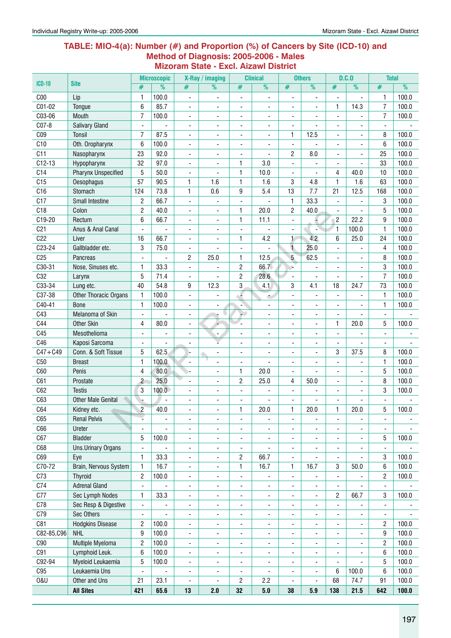#### **Table: MIO-4(a): Number (#) and Proportion (%) of Cancers by Site (ICD-10) and Method of Diagnosis: 2005-2006 - Males Mizoram State - Excl. Aizawl District**

| <b>ICD-10</b>   | <b>Site</b>                |                          | <b>Microscopic</b>       |                          | X-Ray / imaging              |                          | <b>Clinical</b>          |                              | <b>Others</b>            |                          | D.C.0                    | <b>Total</b>             |       |
|-----------------|----------------------------|--------------------------|--------------------------|--------------------------|------------------------------|--------------------------|--------------------------|------------------------------|--------------------------|--------------------------|--------------------------|--------------------------|-------|
|                 |                            | #                        | $\overline{\frac{9}{0}}$ | #                        | %                            | #                        | %                        | #                            | $\overline{\frac{9}{0}}$ | #                        | %                        | #                        | %     |
| C <sub>00</sub> | Lip                        | 1                        | 100.0                    | $\overline{a}$           | ÷,                           | ÷,                       | $\overline{\phantom{a}}$ | Ĭ.                           | ٠                        |                          | $\overline{\phantom{a}}$ | 1                        | 100.0 |
| C01-02          | Tongue                     | 6                        | 85.7                     | $\overline{\phantom{a}}$ | ۰                            | ٠                        | $\overline{\phantom{a}}$ | ٠                            | $\blacksquare$           | 1                        | 14.3                     | $\overline{7}$           | 100.0 |
| C03-06          | Mouth                      | 7                        | 100.0                    | ÷,                       | $\overline{\phantom{a}}$     | ÷,                       | $\blacksquare$           | Ĭ.                           | ٠                        | $\blacksquare$           |                          | $\overline{7}$           | 100.0 |
| C07-8           | <b>Salivary Gland</b>      |                          | ÷,                       | ٠                        | $\overline{\phantom{0}}$     | ٠                        | $\blacksquare$           | $\overline{\phantom{a}}$     |                          |                          |                          |                          |       |
| C <sub>09</sub> | <b>Tonsil</b>              | 7                        | 87.5                     | ٠                        | $\overline{\phantom{a}}$     | $\overline{\phantom{a}}$ | $\overline{\phantom{a}}$ | 1                            | 12.5                     |                          |                          | 8                        | 100.0 |
| C10             | Oth. Oropharynx            | 6                        | 100.0                    | Ĭ.                       | ٠                            | $\overline{\phantom{0}}$ | ÷,                       | $\overline{\phantom{a}}$     |                          |                          |                          | 6                        | 100.0 |
| C11             | Nasopharynx                | 23                       | 92.0                     | ÷,                       | $\overline{\phantom{0}}$     | $\overline{\phantom{a}}$ |                          | 2                            | 8.0                      |                          | $\blacksquare$           | 25                       | 100.0 |
| $C12-13$        | Hypopharynx                | 32                       | 97.0                     | $\overline{\phantom{a}}$ | $\blacksquare$               | 1                        | 3.0                      | $\blacksquare$               | ä,                       | $\overline{\phantom{a}}$ |                          | 33                       | 100.0 |
| C14             | <b>Pharynx Unspecified</b> | 5                        | 50.0                     | $\blacksquare$           |                              | 1                        | 10.0                     | $\blacksquare$               |                          | 4                        | 40.0                     | 10                       | 100.0 |
| C15             | Oesophagus                 | 57                       | 90.5                     | 1                        | 1.6                          | 1                        | 1.6                      | 3                            | 4.8                      | 1                        | 1.6                      | 63                       | 100.0 |
| C16             | Stomach                    | 124                      | 73.8                     | 1                        | 0.6                          | 9                        | 5.4                      | 13                           | 7.7                      | 21                       | 12.5                     | 168                      | 100.0 |
| C17             | <b>Small Intestine</b>     | 2                        | 66.7                     | ٠                        |                              | ä,                       |                          | 1                            | 33.3                     |                          |                          | 3                        | 100.0 |
| C18             | Colon                      | $\overline{c}$           | 40.0                     | ٠                        | $\overline{\phantom{a}}$     | 1                        | 20.0                     | 2                            | 40.0                     |                          |                          | 5                        | 100.0 |
| C19-20          | Rectum                     | 6                        | 66.7                     | ÷,                       | ٠                            | 1                        | 11.1                     | $\blacksquare$               |                          | $\overline{c}$           | 22.2                     | 9                        | 100.0 |
| C <sub>21</sub> | Anus & Anal Canal          | $\blacksquare$           |                          | ÷,                       | $\overline{\phantom{a}}$     | $\overline{\phantom{a}}$ |                          | $\blacksquare$               |                          | 1                        | 100.0                    | $\mathbf{1}$             | 100.0 |
| C <sub>22</sub> | Liver                      | 16                       | 66.7                     | ÷,                       | ÷,                           | 1                        | 4.2                      | $\mathbf{1}$                 | 4.2                      | 6                        | 25.0                     | 24                       | 100.0 |
| C23-24          | Gallbladder etc.           | 3                        | 75.0                     | ÷,                       | ٠                            | Ĭ.                       |                          | $\mathbf{1}$                 | 25.0                     |                          |                          | 4                        | 100.0 |
| C <sub>25</sub> | Pancreas                   |                          |                          | 2                        | 25.0                         | $\mathbf{1}$             | 12.5                     | 5                            | 62.5                     |                          |                          | 8                        | 100.0 |
| C30-31          | Nose, Sinuses etc.         | 1                        | 33.3                     | $\overline{a}$           |                              | $\overline{\mathbf{c}}$  | 66.7                     |                              |                          |                          | ÷,                       | 3                        | 100.0 |
| C32             | Larynx                     | 5                        | 71.4                     | $\overline{\phantom{a}}$ |                              | $\overline{c}$           | 28.6                     | $\blacksquare$               | ٠                        |                          | $\overline{\phantom{a}}$ | 7                        | 100.0 |
| C33-34          | Lung etc.                  | 40                       | 54.8                     | 9                        | 12.3                         | 3                        | 4.1                      | 3                            | 4.1                      | 18                       | 24.7                     | 73                       | 100.0 |
| C37-38          | Other Thoracic Organs      | $\mathbf{1}$             | 100.0                    | ÷,                       |                              |                          | ٠                        | $\blacksquare$               |                          |                          |                          | $\mathbf{1}$             | 100.0 |
| C40-41          | <b>Bone</b>                | 1                        | 100.0                    | ÷,                       |                              | ÷                        | $\blacksquare$           | ä,                           |                          |                          |                          | 1                        | 100.0 |
| C43             | Melanoma of Skin           | $\blacksquare$           |                          | ٠                        |                              |                          |                          | ä,                           |                          |                          |                          | $\blacksquare$           |       |
| C44             | <b>Other Skin</b>          | 4                        | 80.0                     | ٠                        |                              | ä,                       |                          | ۰                            | ä,                       | 1                        | 20.0                     | 5                        | 100.0 |
| C45             | Mesothelioma               |                          | Ĭ.                       | ÷,                       | $\overline{\phantom{a}}$     | ٠                        | $\blacksquare$           | ÷,                           |                          |                          |                          | $\blacksquare$           |       |
| C46             | Kaposi Sarcoma             | $\overline{\phantom{a}}$ |                          | $\blacksquare$           |                              | ä,                       | $\blacksquare$           | ÷,                           | ä,                       | $\blacksquare$           | $\blacksquare$           | $\overline{\phantom{a}}$ |       |
| $C47 + C49$     | Conn. & Soft Tissue        | 5                        | 62.5                     |                          | ٠                            | ٠                        | $\blacksquare$           | ÷,                           | ٠                        | 3                        | 37.5                     | 8                        | 100.0 |
| C50             | <b>Breast</b>              | $\mathbf{1}$             | 100.0                    | $\overline{a}$           |                              | ٠                        |                          | ÷,                           |                          |                          |                          | $\mathbf{1}$             | 100.0 |
| C60             | Penis                      | 4                        | 80.0                     |                          | -                            | 1                        | 20.0                     | $\qquad \qquad \blacksquare$ |                          |                          | ٠                        | 5                        | 100.0 |
| C61             | Prostate                   | $\overline{c}$           | 25.0                     | ÷,                       | $\overline{\phantom{a}}$     | $\overline{c}$           | 25.0                     | 4                            | 50.0                     |                          | $\overline{\phantom{a}}$ | 8                        | 100.0 |
| C62             | <b>Testis</b>              | 3                        | 100.0                    | $\blacksquare$           | $\blacksquare$               | $\blacksquare$           | ٠                        | $\blacksquare$               | ä,                       | $\blacksquare$           | $\blacksquare$           | 3                        | 100.0 |
| C63             | <b>Other Male Genital</b>  |                          |                          | $\blacksquare$           | $\blacksquare$               | ä,                       |                          | ä,                           |                          |                          |                          | $\overline{a}$           |       |
| C64             | Kidney etc.                | $\overline{2}$           | 40.0                     |                          |                              | $\mathbf{1}$             | 20.0                     | $\mathbf{1}$                 | 20.0                     | 1                        | 20.0                     | 5                        | 100.0 |
| C65             | <b>Renal Pelvis</b>        |                          | $\overline{\phantom{0}}$ | ٠                        | -                            | -                        | $\overline{\phantom{a}}$ | -                            | $\overline{a}$           | $\overline{\phantom{a}}$ | ۰                        | $\overline{\phantom{a}}$ |       |
| C66             | Ureter                     |                          | ÷,                       | $\overline{\phantom{a}}$ | $\frac{1}{2}$                | $\overline{\phantom{0}}$ | ÷,                       | $\overline{\phantom{a}}$     | ٠                        | $\overline{\phantom{a}}$ | ٠                        | $\overline{\phantom{a}}$ |       |
| C67             | <b>Bladder</b>             | 5                        | 100.0                    | $\overline{\phantom{a}}$ | $\overline{\phantom{a}}$     | $\overline{\phantom{a}}$ | $\overline{\phantom{a}}$ | $\overline{\phantom{0}}$     | ٠                        | $\overline{\phantom{a}}$ | $\overline{\phantom{a}}$ | 5                        | 100.0 |
| C68             | Uns.Urinary Organs         | $\overline{\phantom{a}}$ |                          | ٠                        | ۰                            | $\overline{\phantom{a}}$ | $\overline{\phantom{a}}$ | ٠                            | ٠                        | $\overline{\phantom{a}}$ | -                        | $\blacksquare$           |       |
| C69             | Eye                        | 1                        | 33.3                     | ÷,                       | $\overline{\phantom{0}}$     | 2                        | 66.7                     | $\blacksquare$               |                          |                          |                          | 3                        | 100.0 |
| C70-72          | Brain, Nervous System      | $\mathbf{1}$             | 16.7                     | ۰                        | ۰                            | 1                        | 16.7                     | 1                            | 16.7                     | 3                        | 50.0                     | 6                        | 100.0 |
| C73             | <b>Thyroid</b>             | $\overline{c}$           | 100.0                    | $\overline{\phantom{a}}$ | $\blacksquare$               | $\overline{\phantom{a}}$ | $\overline{\phantom{a}}$ | $\overline{\phantom{a}}$     | $\overline{\phantom{a}}$ | $\blacksquare$           |                          | $\overline{c}$           | 100.0 |
| C74             | <b>Adrenal Gland</b>       | $\blacksquare$           |                          | $\overline{\phantom{a}}$ | $\overline{\phantom{a}}$     | $\overline{\phantom{a}}$ | $\blacksquare$           | $\overline{\phantom{a}}$     | ä,                       | $\blacksquare$           |                          | $\overline{\phantom{a}}$ |       |
| C77             | Sec Lymph Nodes            | 1                        | 33.3                     | ÷,                       | $\blacksquare$               | $\overline{\phantom{0}}$ | $\blacksquare$           | ÷,                           | $\overline{\phantom{0}}$ | $\overline{c}$           | 66.7                     | 3                        | 100.0 |
| C78             | Sec Resp & Digestive       | $\overline{\phantom{a}}$ | ÷,                       | ÷,                       | ٠                            | ÷,                       | ÷,                       | ÷,                           |                          |                          |                          | $\blacksquare$           |       |
| C79             | Sec Others                 | $\overline{\phantom{a}}$ |                          | ٠                        | $\qquad \qquad \blacksquare$ | $\overline{\phantom{0}}$ | $\overline{\phantom{a}}$ | ٠                            | ٠                        |                          |                          | $\overline{\phantom{a}}$ |       |
| C81             | <b>Hodgkins Disease</b>    | $\overline{c}$           | 100.0                    | $\overline{\phantom{a}}$ | $\overline{\phantom{a}}$     | $\overline{\phantom{a}}$ | $\overline{\phantom{a}}$ | $\overline{\phantom{a}}$     | $\overline{\phantom{0}}$ | $\overline{\phantom{a}}$ | ٠                        | 2                        | 100.0 |
| C82-85,C96      | <b>NHL</b>                 | 9                        | 100.0                    | $\overline{\phantom{a}}$ | -                            | $\overline{\phantom{a}}$ | $\overline{\phantom{a}}$ | $\overline{\phantom{0}}$     | $\overline{\phantom{0}}$ | ٠                        | $\overline{\phantom{a}}$ | 9                        | 100.0 |
| C90             | Multiple Myeloma           | $\overline{c}$           | 100.0                    | $\overline{\phantom{a}}$ | -                            | -                        | $\overline{\phantom{a}}$ | ۰                            | -                        | ۰                        | -                        | $\overline{c}$           | 100.0 |
| C91             | Lymphoid Leuk.             | 6                        | 100.0                    | $\overline{\phantom{a}}$ | $\overline{\phantom{0}}$     | -                        | $\overline{\phantom{a}}$ | ٠                            | ٠                        | $\overline{\phantom{a}}$ | ٠                        | 6                        | 100.0 |
| C92-94          | Myeloid Leukaemia          | 5                        | 100.0                    | $\overline{\phantom{a}}$ | $\overline{\phantom{0}}$     | ÷,                       | $\overline{\phantom{a}}$ | ÷,                           | ٠                        |                          |                          | 5                        | 100.0 |
| C95             | Leukaemia Uns              | $\overline{\phantom{a}}$ |                          | $\overline{\phantom{a}}$ | ۰                            | $\overline{\phantom{a}}$ | $\overline{\phantom{a}}$ | -                            | $\overline{\phantom{0}}$ | 6                        | 100.0                    | 6                        | 100.0 |
| 0&U             | Other and Uns              | 21                       | 23.1                     | Ĭ.                       | ÷,                           | $\overline{c}$           | 2.2                      | $\frac{1}{2}$                | $\frac{1}{2}$            | 68                       | 74.7                     | 91                       | 100.0 |
|                 | <b>All Sites</b>           | 421                      | 65.6                     | 13                       | 2.0                          | 32                       | $5.0\,$                  | 38                           | 5.9                      | 138                      | 21.5                     | 642                      | 100.0 |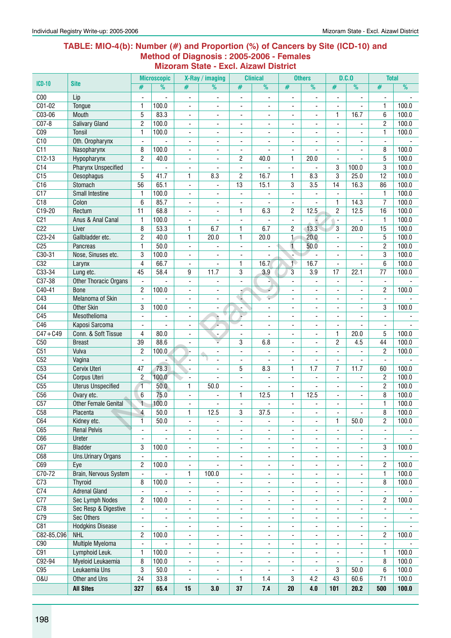#### **Table: MIO-4(b): Number (#) and Proportion (%) of Cancers by Site (ICD-10) and Method of Diagnosis : 2005-2006 - Females Mizoram State - Excl. Aizawl District**

|                  |                                           |                              | <b>Microscopic</b>       |                              | X-Ray / imaging          |                               | <b>Clinical</b>              |                                          | <b>Others</b>            |                          | D.C.0                    | <b>Total</b>             |                          |
|------------------|-------------------------------------------|------------------------------|--------------------------|------------------------------|--------------------------|-------------------------------|------------------------------|------------------------------------------|--------------------------|--------------------------|--------------------------|--------------------------|--------------------------|
| $ICD-10$         | <b>Site</b>                               | #                            | $\overline{\frac{9}{0}}$ | #                            | %                        | #                             | $\overline{\frac{9}{0}}$     | #                                        | $\overline{\frac{9}{0}}$ | #                        | $\frac{9}{6}$            | #                        | $\overline{\frac{9}{0}}$ |
| C <sub>00</sub>  | Lip                                       |                              |                          | $\qquad \qquad \blacksquare$ |                          | $\overline{a}$                |                              |                                          | ٠                        |                          |                          |                          |                          |
| $C01-02$         | Tongue                                    | $\mathbf{1}$                 | 100.0                    | ٠                            |                          | $\overline{a}$                |                              | $\overline{\phantom{a}}$                 |                          |                          |                          | $\mathbf{1}$             | 100.0                    |
| C03-06           | Mouth                                     | 5                            | 83.3                     | $\blacksquare$               |                          | ä,                            |                              | $\overline{\phantom{a}}$                 | ä,                       | 1                        | 16.7                     | 6                        | 100.0                    |
| $CO7-8$          | <b>Salivary Gland</b>                     | $\overline{c}$               | 100.0                    | $\overline{\phantom{a}}$     | $\blacksquare$           | $\overline{\phantom{a}}$      | ٠                            | $\overline{\phantom{a}}$                 | ٠                        | $\overline{a}$           | $\blacksquare$           | $\overline{2}$           | 100.0                    |
| C <sub>09</sub>  | <b>Tonsil</b>                             | 1                            | 100.0                    | $\overline{\phantom{a}}$     | $\overline{a}$           | $\blacksquare$                | ٠                            | ٠                                        | ÷.                       |                          |                          | $\mathbf{1}$             | 100.0                    |
| C10              | Oth. Oropharynx                           | $\blacksquare$               |                          | $\overline{\phantom{a}}$     | $\overline{\phantom{a}}$ | ä,                            |                              | ä,                                       |                          |                          | $\blacksquare$           | $\blacksquare$           |                          |
| $\overline{C11}$ | Nasopharynx                               | 8                            | 100.0                    | $\overline{\phantom{a}}$     | $\blacksquare$           | $\overline{\phantom{a}}$      |                              | $\blacksquare$                           |                          |                          |                          | 8                        | 100.0                    |
| $C12-13$         | Hypopharynx                               | $\overline{c}$               | 40.0                     | ۰                            |                          | $\overline{c}$                | 40.0                         | $\mathbf{1}$                             | 20.0                     |                          |                          | 5                        | 100.0                    |
| C <sub>14</sub>  | <b>Pharynx Unspecified</b>                | $\overline{a}$               | $\frac{1}{2}$            | $\overline{a}$               |                          | $\frac{1}{2}$                 |                              | $\overline{\phantom{a}}$                 | L                        | 3                        | 100.0                    | 3                        | 100.0                    |
| C15              | Oesophagus                                | 5                            | 41.7                     | $\mathbf{1}$                 | 8.3                      | $\overline{2}$                | 16.7                         | $\mathbf{1}$                             | 8.3                      | 3                        | 25.0                     | 12                       | 100.0                    |
| C16              | Stomach                                   | 56                           | 65.1                     | $\blacksquare$               | ٠                        | $\overline{13}$               | 15.1                         | 3                                        | 3.5                      | 14                       | 16.3                     | 86                       | 100.0                    |
| $\overline{C17}$ | Small Intestine                           | 1                            | 100.0                    | $\blacksquare$               | $\overline{\phantom{a}}$ | $\blacksquare$                |                              | $\overline{\phantom{a}}$                 | ÷,                       | $\blacksquare$           |                          | 1                        | 100.0                    |
| C18              | Colon                                     | 6                            | 85.7                     | ä,                           | $\blacksquare$           | ä,                            | ٠                            | $\blacksquare$                           | L.                       | 1                        | 14.3                     | 7                        | 100.0                    |
| $C19-20$         | Rectum                                    | 11                           | 68.8                     | $\overline{\phantom{a}}$     |                          | 1                             | 6.3                          | $\overline{c}$                           | 12.5                     | 2                        | 12.5                     | 16                       | 100.0                    |
| C <sub>21</sub>  | Anus & Anal Canal                         | $\mathbf{1}$                 | 100.0                    |                              |                          | -                             |                              | $\overline{\phantom{a}}$                 |                          | $\overline{\phantom{a}}$ |                          | $\mathbf{1}$             | 100.0                    |
| C <sub>22</sub>  | Liver                                     | 8                            | 53.3                     | 1                            | 6.7                      | 1                             | 6.7                          | 2                                        | 13.3                     | 3                        | 20.0                     | 15                       | 100.0                    |
| $C23-24$         | Gallbladder etc.                          | $\overline{c}$               | 40.0                     | $\mathbf{1}$                 | 20.0                     | 1                             | 20.0                         | $\mathbf{1}$                             | 20.0                     | $\overline{a}$           | $\overline{a}$           | 5                        | 100.0                    |
| C <sub>25</sub>  | Pancreas                                  | $\mathbf{1}$                 | 50.0                     | $\blacksquare$               | $\blacksquare$           | $\frac{1}{2}$                 |                              | $\overline{\mathbf{1}}$                  | 50.0                     | $\overline{\phantom{a}}$ | ٠                        | $\overline{c}$           | 100.0                    |
| $C30-31$         | Nose, Sinuses etc.                        | 3                            | 100.0                    | $\blacksquare$               | $\blacksquare$           | $\overline{\phantom{a}}$      |                              |                                          |                          | $\overline{a}$           | ٠                        | 3                        | 100.0                    |
| C32              | Larynx                                    | $\overline{4}$               | 66.7                     | $\overline{\phantom{a}}$     |                          | 1                             | 16.7                         | $\mathbf{1}$                             | 16.7                     |                          |                          | 6                        | 100.0                    |
| $C33-34$         | Lung etc.                                 | 45                           | 58.4                     | 9                            | 11.7                     | 3                             | 3.9                          | 3                                        | 3.9                      | 17                       | 22.1                     | $\overline{77}$          | 100.0                    |
| C37-38           | Other Thoracic Organs                     |                              |                          | ۰                            |                          |                               |                              |                                          |                          |                          |                          | $\blacksquare$           |                          |
| C40-41           | <b>Bone</b>                               | $\overline{2}$               | 100.0                    | ÷,                           | ٠                        |                               |                              | $\overline{\phantom{a}}$                 | ä,                       |                          |                          | $\overline{c}$           | 100.0                    |
| C43              | Melanoma of Skin                          |                              |                          | ÷,                           | $\overline{\phantom{0}}$ |                               | ۳                            | $\overline{\phantom{a}}$                 | ۰.                       |                          |                          |                          |                          |
| C44              | <b>Other Skin</b>                         | 3                            | 100.0                    | $\blacksquare$               | $\overline{\phantom{a}}$ | ä,                            | $\overline{a}$               | $\blacksquare$                           | ۰.                       | $\overline{a}$           | ٠                        | 3                        | 100.0                    |
| C45              | Mesothelioma                              | $\blacksquare$               | $\blacksquare$           | $\blacksquare$               | v                        | $\overline{a}$                | $\overline{\phantom{a}}$     | $\overline{\phantom{a}}$                 | $\overline{\phantom{0}}$ | $\blacksquare$           | $\blacksquare$           | $\overline{\phantom{a}}$ |                          |
| C46              | Kaposi Sarcoma                            | $\overline{\phantom{a}}$     | $\overline{\phantom{0}}$ | $\overline{\phantom{a}}$     |                          | $\frac{1}{2}$                 |                              | $\overline{\phantom{a}}$                 | ٠                        | $\blacksquare$           | $\blacksquare$           | $\overline{\phantom{a}}$ |                          |
| $C47 + C49$      | Conn. & Soft Tissue                       | 4                            | 80.0                     | -                            |                          | $\overline{\phantom{m}}$      | $\overline{\phantom{a}}$     | $\overline{\phantom{a}}$                 | ٠                        | 1                        | 20.0                     | 5                        | 100.0                    |
| C50              | <b>Breast</b>                             | 39                           | 88.6                     | ۰                            | ۰                        | 3                             | 6.8                          | $\overline{\phantom{a}}$                 | ä,                       | $\overline{c}$           | 4.5                      | 44                       | 100.0                    |
| C51              | Vulva                                     | $\overline{c}$               | 100.0                    |                              | $\overline{\phantom{0}}$ | $\blacksquare$                |                              |                                          |                          | $\mathbf{r}$             |                          | 2                        | 100.0                    |
| C52              | Vagina                                    | $\blacksquare$               |                          | $\blacksquare$               |                          | $\overline{\phantom{a}}$      |                              | $\overline{\phantom{a}}$                 | ۰                        | $\blacksquare$           | $\blacksquare$           | $\overline{\phantom{a}}$ |                          |
| C53              | <b>Cervix Uteri</b>                       | 47                           | 78.3                     | $\overline{a}$               | $\overline{a}$           | 5                             | 8.3                          | $\mathbf{1}$                             | 1.7                      | 7                        | 11.7                     | 60                       | 100.0                    |
| C54              | Corpus Uteri                              | $\overline{2}$               | 100.0                    | $\blacksquare$               |                          | $\overline{\phantom{a}}$      |                              | ÷,                                       | $\overline{a}$           | $\blacksquare$           | $\blacksquare$           | $\overline{c}$           | 100.0                    |
| C55              | <b>Uterus Unspecified</b>                 | $\overline{1}$               | 50.0                     | 1                            | 50.0                     |                               |                              |                                          |                          |                          |                          | $\mathbf{2}$             | 100.0                    |
| C56              |                                           | 6                            | 75.0                     |                              |                          | $\overline{\phantom{0}}$<br>1 | 12.5                         | $\overline{\phantom{a}}$<br>$\mathbf{1}$ | 12.5                     |                          | ٠                        | 8                        | 100.0                    |
| C57              | Ovary etc.<br><b>Other Female Genital</b> | $\overline{1}$               | 100.0                    | ۰<br>L,                      |                          | $\frac{1}{2}$                 |                              | ÷,                                       |                          |                          | $\overline{\phantom{a}}$ | $\mathbf{1}$             | 100.0                    |
| C58              |                                           | $\overline{4}$               | 50.0                     |                              | 12.5                     | $\overline{3}$                | 37.5                         |                                          |                          |                          |                          | $\overline{\bf 8}$       | 100.0                    |
|                  | Placenta                                  |                              |                          | 1                            |                          |                               |                              |                                          |                          |                          |                          |                          | 100.0                    |
| C64<br>C65       | Kidney etc.                               | 1                            | 50.0                     | ٠                            | $\overline{\phantom{a}}$ | $\qquad \qquad \blacksquare$  | $\overline{\phantom{a}}$     | $\overline{\phantom{a}}$                 | $\overline{\phantom{0}}$ | 1                        | 50.0                     | 2                        |                          |
| C66              | <b>Renal Pelvis</b>                       | $\qquad \qquad \blacksquare$ | ٠                        | ۰                            | $\overline{\phantom{a}}$ | ۰                             | $\blacksquare$               | $\overline{\phantom{a}}$                 | $\overline{\phantom{0}}$ | $\overline{\phantom{a}}$ |                          | $\overline{\phantom{a}}$ |                          |
| C67              | Ureter<br><b>Bladder</b>                  | $\overline{\phantom{a}}$     | ÷,                       | $\overline{\phantom{a}}$     | $\overline{\phantom{a}}$ | $\frac{1}{2}$                 | $\overline{\phantom{a}}$     | $\overline{\phantom{a}}$                 | $\overline{\phantom{0}}$ | $\blacksquare$           | $\overline{\phantom{a}}$ | $\overline{\phantom{a}}$ | 100.0                    |
| C68              |                                           | 3                            | 100.0                    | $\qquad \qquad \blacksquare$ | $\overline{\phantom{a}}$ | $\overline{\phantom{a}}$      | $\overline{\phantom{a}}$     | $\overline{\phantom{a}}$                 | ۰                        | $\overline{\phantom{a}}$ | $\overline{\phantom{a}}$ | 3                        |                          |
|                  | <b>Uns.Urinary Organs</b>                 | $\overline{\phantom{a}}$     |                          | -                            | ۰                        | ۰                             | ۰                            | ٠                                        | -                        | ٠                        | ٠                        | $\overline{\phantom{a}}$ |                          |
| C69              | Eye<br>Brain, Nervous System              | 2                            | 100.0                    | $\qquad \qquad \blacksquare$ |                          | -                             | $\qquad \qquad \blacksquare$ | -                                        | ٠                        |                          | $\overline{\phantom{a}}$ | 2                        | 100.0                    |
| C70-72           |                                           | $\blacksquare$               | $\overline{\phantom{a}}$ | 1                            | 100.0                    | $\frac{1}{2}$                 | $\blacksquare$               | $\overline{\phantom{a}}$                 | ÷,                       | ٠                        | $\overline{\phantom{a}}$ | $\mathbf{1}$             | 100.0                    |
| C <sub>73</sub>  | <b>Thyroid</b>                            | 8                            | 100.0                    | $\overline{\phantom{a}}$     | $\overline{\phantom{a}}$ | $\overline{\phantom{a}}$      | $\overline{\phantom{a}}$     | $\overline{\phantom{a}}$                 | ۰                        | $\blacksquare$           | $\overline{\phantom{a}}$ | 8                        | 100.0                    |
| $\overline{C74}$ | <b>Adrenal Gland</b>                      | $\blacksquare$               |                          | ٠                            | ٠                        | $\overline{\phantom{a}}$      | $\overline{\phantom{a}}$     | $\blacksquare$                           | ۰                        | $\blacksquare$           | $\overline{\phantom{a}}$ | $\blacksquare$           |                          |
| C <sub>77</sub>  | <b>Sec Lymph Nodes</b>                    | $\mathbf{2}$                 | 100.0                    | ÷,                           | $\overline{\phantom{a}}$ | ٠                             | $\overline{\phantom{a}}$     | $\blacksquare$                           |                          |                          | $\overline{\phantom{a}}$ | $\overline{c}$           | 100.0                    |
| C78              | Sec Resp & Digestive                      |                              |                          | ٠                            | -                        | $\overline{\phantom{a}}$      | $\overline{\phantom{a}}$     | $\overline{\phantom{a}}$                 | ۰                        |                          | -                        | $\overline{\phantom{a}}$ |                          |
| C79              | <b>Sec Others</b>                         | $\blacksquare$               |                          | ÷,                           | $\overline{\phantom{a}}$ | ÷,                            | $\overline{\phantom{a}}$     | $\overline{\phantom{a}}$                 | ÷,                       |                          | $\overline{\phantom{0}}$ | $\overline{\phantom{a}}$ |                          |
| C81              | <b>Hodgkins Disease</b>                   | $\overline{\phantom{a}}$     | ÷,                       | ÷,                           | ÷,                       | $\frac{1}{2}$                 | $\overline{\phantom{a}}$     | $\overline{\phantom{a}}$                 | ÷,                       |                          | $\overline{\phantom{0}}$ | $\overline{\phantom{a}}$ |                          |
| C82-85, C96      | <b>NHL</b>                                | 2                            | 100.0                    | $\qquad \qquad \blacksquare$ | $\overline{\phantom{0}}$ | $\overline{\phantom{a}}$      | $\overline{\phantom{a}}$     | $\qquad \qquad \blacksquare$             | $\overline{\phantom{0}}$ |                          | -                        | $\overline{c}$           | 100.0                    |
| C90              | Multiple Myeloma                          | $\blacksquare$               | ÷,                       | $\overline{\phantom{a}}$     | $\overline{\phantom{a}}$ | $\frac{1}{2}$                 | $\overline{\phantom{a}}$     | $\overline{\phantom{a}}$                 | $\overline{\phantom{0}}$ | $\overline{\phantom{a}}$ | ٠                        | $\overline{\phantom{a}}$ |                          |
| C91              | Lymphoid Leuk.                            | 1                            | 100.0                    | $\overline{\phantom{a}}$     | $\overline{\phantom{a}}$ | $\blacksquare$                | $\overline{\phantom{a}}$     | $\overline{\phantom{a}}$                 | ä,                       | $\blacksquare$           | $\overline{\phantom{a}}$ | 1                        | 100.0                    |
| C92-94           | Myeloid Leukaemia                         | 8                            | 100.0                    | $\overline{\phantom{a}}$     | $\overline{\phantom{a}}$ | $\overline{\phantom{a}}$      | $\overline{\phantom{a}}$     | $\overline{\phantom{a}}$                 | ÷,                       | $\blacksquare$           | ۰.                       | 8                        | 100.0                    |
| C95              | Leukaemia Uns                             | 3                            | 50.0                     | ۰                            | ۰                        | ۰                             | $\overline{a}$               | ۰                                        | ٠                        | 3                        | 50.0                     | 6                        | 100.0                    |
| <b>0&amp;U</b>   | Other and Uns                             | $\overline{24}$              | 33.8                     | ٠                            |                          | 1                             | 1.4                          | 3                                        | 4.2                      | 43                       | 60.6                     | 71                       | 100.0                    |
|                  | <b>All Sites</b>                          | 327                          | 65.4                     | 15                           | 3.0                      | 37                            | 7.4                          | 20                                       | 4.0                      | 101                      | 20.2                     | 500                      | 100.0                    |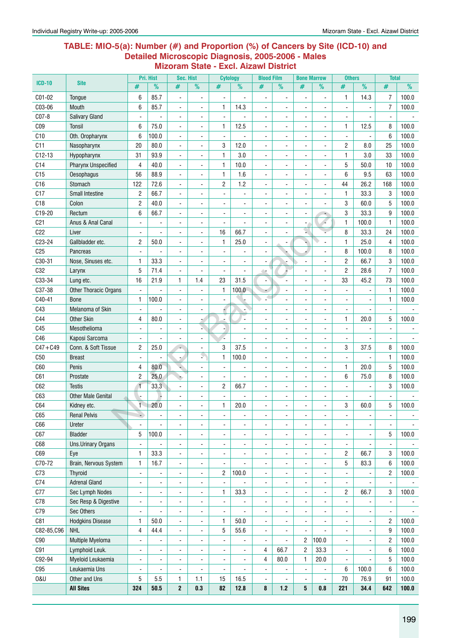#### **Table: MIO-5(a): Number (#) and Proportion (%) of Cancers by Site (ICD-10) and Detailed Microscopic Diagnosis, 2005-2006 - Males Mizoram State - Excl. Aizawl District**

|                 |                              |                                  | Pri. Hist                    | <b>Sec. Hist</b>         |                              | <b>Cytology</b>         |                              | <b>Blood Film</b> |                          | <b>Bone Marrow</b>           |                      | <b>Others</b>  |                      | <b>Total</b>   |                |
|-----------------|------------------------------|----------------------------------|------------------------------|--------------------------|------------------------------|-------------------------|------------------------------|-------------------|--------------------------|------------------------------|----------------------|----------------|----------------------|----------------|----------------|
| <b>ICD-10</b>   | <b>Site</b>                  | #                                | %                            | #                        | $\frac{9}{6}$                | #                       | $\frac{9}{6}$                | #                 | $\%$                     | #                            | %                    | #              | $\frac{9}{6}$        | #              | $\frac{9}{6}$  |
| C01-02          | Tongue                       | 6                                | 85.7                         | $\blacksquare$           | $\blacksquare$               | $\blacksquare$          |                              | $\blacksquare$    | $\blacksquare$           | $\overline{a}$               | $\blacksquare$       | $\mathbf{1}$   | 14.3                 | $\overline{7}$ | 100.0          |
| C03-06          | Mouth                        | 6                                | 85.7                         |                          |                              | 1                       | 14.3                         |                   |                          |                              |                      |                |                      | $\overline{7}$ | 100.0          |
| $CO7-8$         | <b>Salivary Gland</b>        |                                  |                              | $\blacksquare$           | $\blacksquare$               |                         |                              | $\blacksquare$    |                          |                              |                      |                |                      |                |                |
| C <sub>09</sub> | <b>Tonsil</b>                | 6                                | 75.0                         | $\sim$                   | $\blacksquare$               | 1                       | 12.5                         | ÷.                | $\sim$                   | ÷                            | L.                   | $\mathbf{1}$   | 12.5                 | 8              | 100.0          |
| C10             | Oth. Oropharynx              | 6                                | 100.0                        | $\overline{a}$           | ÷                            | ÷.                      |                              | ÷.                | $\blacksquare$           | ÷                            | $\overline{a}$       | $\sim$         | ä,                   | 6              | 100.0          |
| C11             | Nasopharynx                  | 20                               | 80.0                         | L,                       |                              | 3                       | 12.0                         |                   |                          |                              |                      | $\overline{c}$ | 8.0                  | 25             | 100.0          |
| $C12-13$        | Hypopharynx                  | 31                               | 93.9                         | $\sim$                   |                              | 1                       | 3.0                          | ä,                |                          |                              |                      | 1              | 3.0                  | 33             | 100.0          |
| C14             | <b>Pharynx Unspecified</b>   | 4                                | 40.0                         | ÷,                       |                              | 1                       | 10.0                         | ÷,                |                          |                              |                      | 5              | 50.0                 | 10             | 100.0          |
| C15             | Oesophagus                   | 56                               | 88.9                         | $\sim$                   | $\blacksquare$               | 1                       | 1.6                          | ÷.                | $\blacksquare$           |                              | L.                   | 6              | 9.5                  | 63             | 100.0          |
| C16             | Stomach                      | 122                              | 72.6                         | $\blacksquare$           |                              | 2                       | 1.2                          | ÷,                |                          |                              |                      | 44             | 26.2                 | 168            | 100.0          |
| C17             | <b>Small Intestine</b>       | $\overline{\mathbf{c}}$          | 66.7                         | $\overline{\phantom{a}}$ |                              |                         |                              |                   |                          |                              |                      | $\mathbf{1}$   | 33.3                 | 3              | 100.0          |
| C18             | Colon                        | $\overline{c}$                   | 40.0                         | $\blacksquare$           |                              |                         |                              | $\blacksquare$    |                          |                              | $\overline{a}$       | 3              | 60.0                 | 5              | 100.0          |
| C19-20          | Rectum                       | 6                                | 66.7                         | $\blacksquare$           | $\blacksquare$               | $\overline{a}$          | $\sim$                       | ä,                | $\sim$                   | ä,                           |                      | 3              | 33.3                 | 9              | 100.0          |
| C <sub>21</sub> | Anus & Anal Canal            |                                  |                              |                          |                              |                         |                              |                   |                          |                              |                      | $\mathbf{1}$   | 100.0                | $\mathbf{1}$   | 100.0          |
| C <sub>22</sub> | Liver                        |                                  |                              |                          |                              | 16                      | 66.7                         |                   |                          | O.                           |                      | 8              | 33.3                 | 24             | 100.0          |
| C23-24          | Gallbladder etc.             | 2                                | 50.0                         |                          |                              | 1                       | 25.0                         | $\blacksquare$    |                          |                              |                      | $\mathbf{1}$   | 25.0                 | 4              | 100.0          |
| C <sub>25</sub> | Pancreas                     | $\blacksquare$                   |                              | L,                       | $\blacksquare$               | ÷,                      |                              |                   |                          |                              |                      | 8              | 100.0                | 8              | 100.0          |
| C30-31          | Nose, Sinuses etc.           | 1                                | 33.3                         | $\sim$                   | $\blacksquare$               | $\overline{a}$          | $\overline{a}$               | $\blacksquare$    |                          |                              | $\overline{a}$       | $\overline{2}$ | 66.7                 | 3              | 100.0          |
| C32             | Larynx                       | 5                                | 71.4                         | $\tilde{\phantom{a}}$    |                              |                         |                              | ۰.                |                          |                              |                      | $\overline{2}$ | 28.6                 | $\overline{7}$ | 100.0          |
| C33-34          | Lung etc.                    | 16                               | 21.9                         | 1                        | 1.4                          | 23                      | 31.5                         |                   |                          |                              | $\blacksquare$       | 33             | 45.2                 | 73             | 100.0          |
| C37-38          | <b>Other Thoracic Organs</b> | $\blacksquare$                   |                              | ÷,                       | $\blacksquare$               | 1                       | 100.0                        |                   | $\sim$                   | ä,                           | L,                   |                |                      | $\mathbf{1}$   | 100.0          |
| C40-41          | <b>Bone</b>                  | 1                                | 100.0                        | ÷.                       | $\blacksquare$               |                         |                              |                   | $\blacksquare$           | $\blacksquare$               | $\overline{a}$       | $\blacksquare$ | $\overline{a}$       | $\mathbf{1}$   | 100.0          |
| C43             | Melanoma of Skin             |                                  |                              |                          |                              |                         |                              |                   |                          |                              |                      |                |                      |                |                |
| C44             | <b>Other Skin</b>            | 4                                | 80.0                         |                          |                              |                         |                              |                   |                          |                              |                      | $\mathbf{1}$   | 20.0                 | 5              | 100.0          |
| C45             | Mesothelioma                 |                                  |                              | $\ddot{\phantom{0}}$     |                              |                         |                              | $\blacksquare$    |                          |                              | $\blacksquare$       |                |                      |                |                |
| C46             | Kaposi Sarcoma               | $\blacksquare$                   |                              | L,                       |                              |                         |                              | ä,                | $\blacksquare$           | ÷                            | $\blacksquare$       | $\sim$         |                      | $\blacksquare$ |                |
| $C47 + C49$     | Conn. & Soft Tissue          | 2                                | 25.0                         |                          |                              | 3                       | 37.5                         | ä,                |                          |                              |                      | 3              | 37.5                 | 8              | 100.0          |
| C50             |                              |                                  |                              |                          |                              | 1                       | 100.0                        |                   |                          |                              |                      |                |                      | $\mathbf{1}$   | 100.0          |
| C60             | <b>Breast</b>                | 4                                | 80.0                         |                          |                              |                         |                              |                   |                          |                              |                      | $\mathbf{1}$   | 20.0                 | 5              | 100.0          |
|                 | Penis                        |                                  | 25.0                         |                          |                              |                         |                              | $\blacksquare$    |                          | ÷                            | $\ddot{\phantom{a}}$ | 6              |                      | 8              |                |
| C61<br>C62      | Prostate                     | $\overline{c}$<br>$\overline{1}$ | 33,3                         | $\hat{\phantom{a}}$      | $\blacksquare$               | $\sim$                  |                              | ÷.                | $\sim$                   | ä,                           | $\ddot{\phantom{a}}$ |                | 75.0                 | 3              | 100.0          |
|                 | <b>Testis</b>                |                                  |                              | L,                       |                              | 2                       | 66.7                         |                   |                          |                              |                      |                |                      |                | 100.0          |
| C63             | <b>Other Male Genital</b>    |                                  |                              |                          |                              |                         |                              |                   |                          |                              |                      |                |                      |                |                |
| C64             | Kidney etc.                  | Ŧ                                | 20.0                         |                          |                              | 1                       | 20.0                         |                   |                          |                              |                      | 3              | 60.0                 | 5              | 100.0          |
| C65             | <b>Renal Pelvis</b>          | - )                              | $\qquad \qquad \blacksquare$ | $\blacksquare$           | $\blacksquare$               | $\blacksquare$          | $\qquad \qquad \blacksquare$ | $\blacksquare$    | $\blacksquare$           | $\qquad \qquad \blacksquare$ | $\blacksquare$       | $\blacksquare$ | $\blacksquare$       | $\blacksquare$ | $\sim$         |
| C66             | Ureter                       | $\blacksquare$                   |                              | $\blacksquare$           | $\blacksquare$               | $\blacksquare$          | $\blacksquare$               | $\frac{1}{2}$     | $\overline{\phantom{0}}$ | $\overline{\phantom{0}}$     | $\overline{a}$       | $\mathbf{r}$   | $\blacksquare$       | $\blacksquare$ | $\blacksquare$ |
| C67             | Bladder                      | 5                                | 100.0                        | $\blacksquare$           |                              |                         |                              |                   |                          |                              |                      |                |                      | 5              | 100.0          |
| C68             | <b>Uns.Urinary Organs</b>    | $\blacksquare$                   |                              | $\blacksquare$           | $\blacksquare$               |                         | ä,                           | $\frac{1}{2}$     | $\blacksquare$           | ٠                            | $\blacksquare$       | $\blacksquare$ |                      |                |                |
| C69             | Eye                          | 1                                | 33.3                         | $\blacksquare$           | $\blacksquare$               | $\blacksquare$          |                              | ÷.                | ä,                       | ÷                            | ÷,                   | $\mathbf{2}$   | 66.7                 | 3              | 100.0          |
| C70-72          | Brain, Nervous System        | 1                                | 16.7                         | $\overline{\phantom{a}}$ | ÷                            | $\blacksquare$          |                              | ÷.                | $\sim$                   | ÷.                           | ÷                    | 5              | 83.3                 | 6              | 100.0          |
| C73             | Thyroid                      | ä,                               |                              | L,                       |                              | $\overline{\mathbf{c}}$ | 100.0                        | L.                |                          |                              |                      |                |                      | $\mathbf{2}$   | 100.0          |
| C74             | <b>Adrenal Gland</b>         | $\blacksquare$                   | $\blacksquare$               | $\overline{a}$           | $\blacksquare$               | $\blacksquare$          |                              | $\blacksquare$    | $\blacksquare$           | $\overline{\phantom{0}}$     | $\blacksquare$       | $\blacksquare$ |                      | $\blacksquare$ |                |
| C77             | Sec Lymph Nodes              | $\blacksquare$                   | $\blacksquare$               | $\blacksquare$           | $\qquad \qquad \blacksquare$ | 1                       | 33.3                         | $\blacksquare$    | $\blacksquare$           | ÷                            | $\blacksquare$       | $\mathbf{2}$   | 66.7                 | 3              | 100.0          |
| C78             | Sec Resp & Digestive         | $\blacksquare$                   | $\blacksquare$               | $\blacksquare$           | $\blacksquare$               | $\blacksquare$          |                              | $\frac{1}{2}$     | $\blacksquare$           | $\overline{a}$               | $\overline{a}$       | $\blacksquare$ | $\blacksquare$       | $\blacksquare$ |                |
| C79             | Sec Others                   | $\blacksquare$                   |                              |                          |                              | $\blacksquare$          |                              | ä,                |                          |                              |                      |                |                      | $\blacksquare$ |                |
| C81             | <b>Hodgkins Disease</b>      | 1                                | 50.0                         | $\blacksquare$           |                              | 1                       | 50.0                         |                   |                          |                              |                      |                |                      | $\overline{2}$ | 100.0          |
| C82-85, C96     | <b>NHL</b>                   | 4                                | 44.4                         | $\blacksquare$           | $\blacksquare$               | 5                       | 55.6                         | $\blacksquare$    | $\blacksquare$           |                              |                      |                |                      | 9              | 100.0          |
| C90             | Multiple Myeloma             | $\blacksquare$                   |                              | $\blacksquare$           | $\blacksquare$               | $\blacksquare$          | ۰                            | $\blacksquare$    | $\blacksquare$           | $\overline{c}$               | 100.0                | $\blacksquare$ | $\blacksquare$       | $\mathbf{2}$   | 100.0          |
| C91             | Lymphoid Leuk.               | $\blacksquare$                   |                              | $\overline{a}$           |                              | $\overline{a}$          | ä,                           | 4                 | 66.7                     | $\overline{c}$               | 33.3                 | $\blacksquare$ | $\ddot{\phantom{a}}$ | 6              | 100.0          |
| C92-94          | Myeloid Leukaemia            | $\overline{a}$                   | $\overline{a}$               | $\sim$                   | $\blacksquare$               | ÷,                      |                              | 4                 | 80.0                     | 1                            | 20.0                 |                |                      | 5              | 100.0          |
| C95             | Leukaemia Uns                | $\blacksquare$                   | $\blacksquare$               | $\blacksquare$           | $\blacksquare$               | $\ddot{\phantom{a}}$    | $\ddot{\phantom{a}}$         | $\blacksquare$    | $\blacksquare$           | $\blacksquare$               | $\blacksquare$       | 6              | 100.0                | 6              | 100.0          |
| 0&U             | Other and Uns                | 5                                | 5.5                          | 1                        | 1.1                          | 15                      | 16.5                         | ÷,                | ä,                       | $\blacksquare$               | $\blacksquare$       | 70             | 76.9                 | 91             | 100.0          |
|                 | <b>All Sites</b>             | 324                              | 50.5                         | $\mathbf 2$              | 0.3                          | 82                      | 12.8                         | 8                 | $1.2$                    | 5                            | 0.8                  | 221            | 34.4                 | 642            | 100.0          |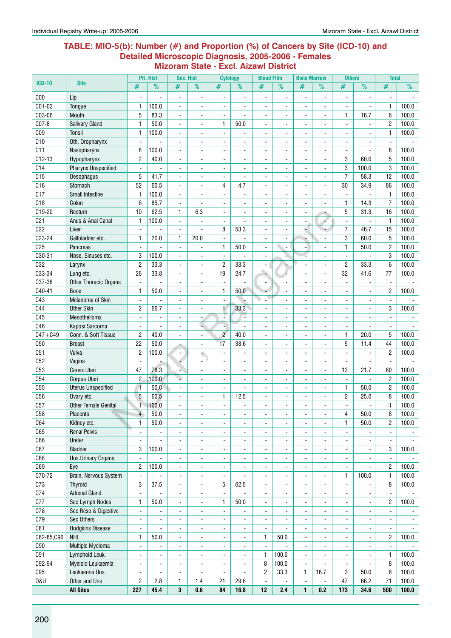#### **Table: MIO-5(b): Number (#) and Proportion (%) of Cancers by Site (ICD-10) and Detailed Microscopic Diagnosis, 2005-2006 - Females Mizoram State - Excl. Aizawl District**

|                 |                                  |                                  | Pri. Hist               | Sec. Hist                        |                                  | <b>Cytology</b>          |                          | <b>Blood Film</b>        |                                            | <b>Bone Marrow</b>       |                                                | <b>Others</b>                    |                                  | <b>Total</b>                     |                |
|-----------------|----------------------------------|----------------------------------|-------------------------|----------------------------------|----------------------------------|--------------------------|--------------------------|--------------------------|--------------------------------------------|--------------------------|------------------------------------------------|----------------------------------|----------------------------------|----------------------------------|----------------|
| <b>ICD-10</b>   | <b>Site</b>                      | #                                | $\%$                    | #                                | %                                | #                        | $\frac{9}{6}$            | #                        | $\%$                                       | #                        | $\frac{9}{6}$                                  | #                                | $\overline{\frac{9}{0}}$         | #                                | $\frac{9}{6}$  |
| C <sub>00</sub> | Lip                              |                                  |                         | $\overline{\phantom{a}}$         | $\blacksquare$                   | $\ddot{\phantom{a}}$     |                          | $\blacksquare$           | $\blacksquare$                             |                          | $\blacksquare$                                 |                                  |                                  |                                  |                |
| $C01-02$        | Tongue                           | 1                                | 100.0                   | $\blacksquare$                   | $\blacksquare$                   | $\ddot{\phantom{a}}$     |                          | $\blacksquare$           |                                            | ä,                       | L.                                             | $\blacksquare$                   | L.                               | $\mathbf{1}$                     | 100.0          |
| C03-06          | Mouth                            | 5                                | 83.3                    | $\blacksquare$                   |                                  | $\overline{\phantom{a}}$ |                          | $\frac{1}{2}$            |                                            |                          | $\blacksquare$                                 | $\mathbf{1}$                     | 16.7                             | 6                                | 100.0          |
| C07-8           | <b>Salivary Gland</b>            | $\mathbf{1}$                     | 50.0                    | $\blacksquare$                   | $\blacksquare$                   | 1                        | 50.0                     |                          |                                            |                          |                                                |                                  |                                  | $\overline{2}$                   | 100.0          |
| CO <sub>9</sub> | Tonsil                           | $\mathbf{1}$                     | 100.0                   |                                  |                                  |                          |                          |                          |                                            |                          |                                                |                                  |                                  | $\mathbf{1}$                     | 100.0          |
| C10             | Oth. Oropharynx                  | $\bar{\phantom{a}}$              |                         | $\blacksquare$                   |                                  |                          |                          |                          |                                            |                          |                                                |                                  |                                  |                                  |                |
| C11             | Nasopharynx                      | 8                                | 100.0                   |                                  |                                  |                          |                          |                          |                                            |                          |                                                |                                  |                                  | 8                                | 100.0          |
| $C12-13$        | Hypopharynx                      | $\overline{c}$                   | 40.0                    | $\sim$                           |                                  |                          |                          | $\blacksquare$           |                                            | $\blacksquare$           | $\overline{a}$                                 | 3                                | 60.0                             | 5                                | 100.0          |
| C14             | <b>Pharynx Unspecified</b>       | $\mathbf{r}$                     |                         | $\ddot{\phantom{a}}$             |                                  |                          |                          | ÷                        |                                            | ä,                       | ÷.                                             | 3                                | 100.0                            | 3                                | 100.0          |
| C15             | Oesophagus                       | 5                                | 41.7                    | L.                               |                                  |                          |                          | L.                       |                                            |                          |                                                | $\overline{7}$                   | 58.3                             | 12                               | 100.0          |
| C16             | Stomach                          | 52                               | 60.5                    |                                  |                                  | 4                        | 4.7                      | $\frac{1}{2}$            |                                            |                          |                                                | 30                               | 34.9                             | 86                               | 100.0          |
| C17             | <b>Small Intestine</b>           | $\mathbf{1}$                     | 100.0                   | $\overline{\phantom{a}}$         |                                  |                          |                          | $\overline{\phantom{0}}$ |                                            |                          |                                                |                                  |                                  | $\mathbf{1}$                     | 100.0          |
| C18             | Colon                            | 6                                | 85.7                    | $\tilde{\phantom{a}}$            |                                  |                          |                          |                          |                                            |                          |                                                | $\mathbf{1}$                     | 14.3                             | $\overline{7}$                   | 100.0          |
| C19-20          | Rectum                           | 10                               | 62.5                    | 1                                | 6.3                              | $\blacksquare$           | ÷.                       |                          |                                            |                          |                                                | $\sqrt{5}$                       | 31.3                             | 16                               | 100.0          |
| C <sub>21</sub> | Anus & Anal Canal                | $\mathbf{1}$                     | 100.0                   | $\blacksquare$                   |                                  | $\blacksquare$           | $\blacksquare$           | ٠                        |                                            |                          | é                                              |                                  | $\overline{a}$                   | $\mathbf{1}$                     | 100.0          |
| C22             | Liver                            | $\blacksquare$                   |                         | $\blacksquare$                   | $\blacksquare$                   | 8                        | 53.3                     | ä,                       |                                            | é.                       |                                                | $\overline{7}$                   | 46.7                             | 15                               | 100.0          |
| C23-24          | Gallbladder etc.                 | 1                                | 20.0                    | 1                                | 20.0                             | ä,                       |                          | ÷.                       | L.                                         | r,                       | L.                                             | 3                                | 60.0                             | 5                                | 100.0          |
| C <sub>25</sub> | Pancreas                         | $\blacksquare$                   |                         | $\blacksquare$                   | $\blacksquare$                   | 1                        | 50.0                     | ÷.                       | $\blacksquare$                             | $\overline{\phantom{a}}$ |                                                | 1                                | 50.0                             | $\overline{2}$                   | 100.0          |
| C30-31          | Nose, Sinuses etc.               | 3                                | 100.0                   | $\overline{\phantom{a}}$         | $\blacksquare$                   | $\blacksquare$           |                          | $\overline{\phantom{0}}$ |                                            |                          |                                                | $\blacksquare$                   |                                  | 3                                | 100.0          |
| C32             | Larynx                           | $\mathbf{2}$                     | 33.3                    | $\blacksquare$                   | $\overline{a}$                   | $\sqrt{2}$               | 33.3                     |                          |                                            |                          |                                                | $\overline{c}$                   | 33.3                             | 6                                | 100.0          |
| C33-34          | Lung etc.                        | 26                               | 33.8                    | $\blacksquare$                   | $\blacksquare$                   | 19                       | 24.7                     | à.                       |                                            |                          | $\blacksquare$                                 | 32                               | 41.6                             | 77                               | 100.0          |
| C37-38          | Other Thoracic Organs            | $\blacksquare$                   |                         | $\ddot{\phantom{a}}$             |                                  | $\overline{a}$           |                          |                          |                                            |                          |                                                |                                  |                                  |                                  |                |
| C40-41          | <b>Bone</b>                      | $\mathbf{1}$                     | 50.0                    | $\sim$                           | $\blacksquare$                   | $\mathbf{1}$             | 50.0                     |                          | $\mathbf{r}$                               | $\blacksquare$           | $\blacksquare$                                 | $\blacksquare$                   | $\blacksquare$                   | $\overline{2}$                   | 100.0          |
| C43             | Melanoma of Skin                 | $\mathbf{r}$                     |                         | $\blacksquare$                   | $\overline{a}$                   |                          |                          |                          |                                            |                          | ÷.                                             | $\overline{a}$                   |                                  |                                  |                |
| C44             | Other Skin                       | $\overline{c}$                   | 66.7                    | L.                               |                                  | $\mathbf{1}$             | 33.3                     | ÷.                       |                                            |                          |                                                | $\blacksquare$                   | L.                               | 3                                | 100.0          |
| C45             | Mesothelioma                     |                                  |                         |                                  |                                  |                          | Ţ,                       | $\frac{1}{2}$            |                                            |                          |                                                |                                  |                                  |                                  |                |
| C46             | Kaposi Sarcoma                   | $\blacksquare$                   |                         |                                  |                                  |                          |                          | ۰                        |                                            |                          |                                                |                                  |                                  |                                  |                |
| $C47 + C49$     | Conn. & Soft Tissue              | $\overline{c}$                   | 40.0                    |                                  |                                  | $\overline{c}$           | 40.0                     |                          |                                            |                          |                                                | $\mathbf{1}$                     | 20.0                             | 5                                | 100.0          |
| C50             | <b>Breast</b>                    | 22                               | 50.0                    |                                  | $\blacksquare$                   | 17                       | 38.6                     | ÷.                       |                                            |                          | $\blacksquare$                                 | 5                                | 11.4                             | 44                               | 100.0          |
| C51             | Vulva                            | $\overline{c}$                   | 100.0                   | $\blacksquare$                   |                                  |                          |                          | ä,                       |                                            |                          |                                                |                                  |                                  | $\overline{2}$                   | 100.0          |
| C52             | Vagina                           | $\blacksquare$                   |                         | 4                                | $\blacksquare$                   | $\blacksquare$           | $\blacksquare$           | ۰                        | $\blacksquare$                             | $\frac{1}{2}$            | $\overline{\phantom{a}}$                       | $\blacksquare$                   | $\blacksquare$                   | $\blacksquare$                   |                |
| C53             | Cervix Uteri                     | 47                               | 78.3                    | п.                               | $\blacksquare$                   | $\blacksquare$           | $\blacksquare$           | $\blacksquare$           | L.                                         | ä,                       | $\blacksquare$                                 | 13                               | 21.7                             | 60                               | 100.0          |
| C54             | <b>Corpus Uteri</b>              | $\overline{c}$                   | 100.0                   | ٠                                |                                  | ä,                       |                          | L.                       |                                            |                          |                                                | $\blacksquare$                   | $\blacksquare$                   | $\overline{2}$                   | 100.0          |
| C55             | <b>Uterus Unspecified</b>        | $\overline{1}$                   | 50.0                    | $\blacksquare$                   | $\blacksquare$                   |                          | $\overline{\phantom{a}}$ | $\frac{1}{2}$            |                                            | $\blacksquare$           | $\blacksquare$                                 | $\mathbf{1}$                     | 50.0                             | $\overline{c}$                   | 100.0          |
| C <sub>56</sub> | Ovary etc.                       | 5                                | 62.5                    |                                  | $\overline{\phantom{a}}$         | 1                        | 12.5                     |                          |                                            |                          |                                                | $\overline{2}$                   | 25.0                             | 8                                | 100.0          |
| C57             | <b>Other Female Genital</b>      | $\overline{1}$                   | 100.0                   |                                  |                                  |                          |                          |                          |                                            |                          |                                                |                                  |                                  | $\mathbf{1}$                     | 100.0          |
| C58             | Placenta                         | $\overline{\mathcal{A}}$         | 50.0                    | $\blacksquare$                   | $\blacksquare$                   | $\overline{\phantom{a}}$ | ä,                       | ۰                        | $\blacksquare$                             | $\blacksquare$           | $\blacksquare$                                 | 4                                | 50.0                             | 8                                | 100.0          |
| C64             | Kidney etc.                      | $\mathbf{1}$                     | 50.0                    | $\blacksquare$                   | $\blacksquare$                   | $\blacksquare$           | $\blacksquare$           | $\blacksquare$           | $\blacksquare$                             | $\blacksquare$           | $\blacksquare$                                 | $\mathbf{1}$                     | 50.0                             | $\overline{2}$                   | 100.0          |
| C65             | <b>Renal Pelvis</b>              | $\blacksquare$                   |                         | $\blacksquare$                   | $\blacksquare$                   | $\blacksquare$           | $\blacksquare$           | ÷.                       | ä,                                         | ÷.                       | $\blacksquare$                                 | $\blacksquare$                   |                                  |                                  |                |
| C66             | Ureter                           | $\overline{a}$                   |                         | ÷,                               | $\blacksquare$                   | ä,                       | ä,                       | ÷.                       |                                            | ÷.                       |                                                | $\blacksquare$                   |                                  |                                  |                |
| C67             | Bladder                          | 3                                | 100.0                   | $\blacksquare$                   |                                  | $\blacksquare$           |                          | ٠                        |                                            | $\frac{1}{2}$            |                                                |                                  |                                  | 3                                | 100.0          |
| C68<br>C69      | <b>Uns.Urinary Organs</b>        |                                  |                         | $\overline{\phantom{a}}$         | $\blacksquare$                   | $\blacksquare$           |                          | ۰                        | $\blacksquare$                             |                          |                                                |                                  |                                  |                                  |                |
| C70-72          | Eye                              | 2<br>$\omega$                    | 100.0<br>$\overline{a}$ | $\blacksquare$                   | $\blacksquare$                   |                          | ä,                       | ٠                        |                                            | $\overline{\phantom{a}}$ |                                                | $\mathbf{1}$                     |                                  | $\overline{2}$                   | 100.0          |
| C73             | Brain, Nervous System<br>Thyroid | 3                                | 37.5                    | $\blacksquare$                   | $\blacksquare$                   | $\blacksquare$<br>5      | 62.5                     | ÷.                       | ÷.                                         | ÷.                       | $\blacksquare$                                 |                                  | 100.0                            | $\mathbf{1}$<br>8                | 100.0<br>100.0 |
| C74             | <b>Adrenal Gland</b>             | $\blacksquare$                   |                         | $\blacksquare$                   | $\blacksquare$                   | $\blacksquare$           | ÷,                       | ä,                       | $\overline{\phantom{a}}$                   | $\frac{1}{2}$            | $\blacksquare$                                 | $\blacksquare$                   |                                  |                                  |                |
| C77             | Sec Lymph Nodes                  | $\mathbf{1}$                     | 50.0                    | $\blacksquare$<br>$\blacksquare$ | $\blacksquare$<br>$\blacksquare$ | 1                        | 50.0                     | $\frac{1}{2}$<br>÷,      | $\blacksquare$<br>$\overline{\phantom{0}}$ | ۰<br>$\frac{1}{2}$       | $\blacksquare$<br>$\overline{\phantom{a}}$     | $\blacksquare$<br>$\blacksquare$ | $\blacksquare$<br>$\blacksquare$ | $\blacksquare$<br>$\overline{2}$ | 100.0          |
| C78             | Sec Resp & Digestive             | $\blacksquare$                   | $\blacksquare$          | $\ddot{\phantom{a}}$             | $\blacksquare$                   | $\blacksquare$           | ä,                       | $\blacksquare$           |                                            | ä,                       | ä,                                             | $\mathbf{r}$                     | $\blacksquare$                   | $\blacksquare$                   |                |
| C79             | Sec Others                       |                                  |                         |                                  | $\blacksquare$                   | $\blacksquare$           |                          |                          |                                            |                          |                                                |                                  |                                  |                                  |                |
| C81             | <b>Hodgkins Disease</b>          | $\blacksquare$<br>$\blacksquare$ | $\blacksquare$          | $\blacksquare$<br>$\blacksquare$ | $\blacksquare$                   | $\blacksquare$           | $\blacksquare$           | ۰<br>۰                   |                                            | ٠                        | $\blacksquare$<br>$\qquad \qquad \blacksquare$ | $\blacksquare$<br>$\blacksquare$ | $\blacksquare$<br>$\blacksquare$ | $\blacksquare$                   | $\blacksquare$ |
| C82-85,C96      | <b>NHL</b>                       | $\mathbf{1}$                     | 50.0                    | $\blacksquare$                   | $\blacksquare$                   |                          |                          | 1                        | 50.0                                       | ÷,                       |                                                |                                  |                                  | $\overline{2}$                   | 100.0          |
| C90             | Multiple Myeloma                 | $\blacksquare$                   | $\blacksquare$          | $\ddot{\phantom{a}}$             | $\blacksquare$                   |                          |                          | $\mathbf{r}$             | $\overline{a}$                             | ä,                       |                                                | $\blacksquare$                   |                                  | $\blacksquare$                   |                |
| C91             | Lymphoid Leuk.                   | $\blacksquare$                   | $\blacksquare$          | $\overline{\phantom{a}}$         |                                  | $\ddot{\phantom{a}}$     | $\blacksquare$           | 1                        | 100.0                                      | $\blacksquare$           | $\overline{\phantom{a}}$                       | $\blacksquare$                   |                                  | $\mathbf{1}$                     | 100.0          |
| C92-94          | Myeloid Leukaemia                | $\blacksquare$                   | $\blacksquare$          | $\blacksquare$                   | $\blacksquare$                   | $\blacksquare$           | $\blacksquare$           | 8                        | 100.0                                      | $\blacksquare$           |                                                | $\blacksquare$                   |                                  | 8                                | 100.0          |
| C95             | Leukaemia Uns                    | $\blacksquare$                   |                         | $\sim$                           |                                  | $\blacksquare$           |                          | $\overline{c}$           | 33.3                                       | $\mathbf{1}$             | 16.7                                           | 3                                | 50.0                             | 6                                | 100.0          |
| <b>0&amp;U</b>  | Other and Uns                    | $\overline{c}$                   | 2.8                     | $\mathbf{1}$                     | 1.4                              | 21                       | 29.6                     | $\blacksquare$           |                                            |                          |                                                | 47                               | 66.2                             | 71                               | 100.0          |
|                 | <b>All Sites</b>                 | 227                              | 45.4                    | 3                                | 0.6                              | 84                       | 16.8                     | 12                       | 2.4                                        | $\mathbf{1}$             | 0.2                                            | 173                              | 34.6                             | 500                              | 100.0          |
|                 |                                  |                                  |                         |                                  |                                  |                          |                          |                          |                                            |                          |                                                |                                  |                                  |                                  |                |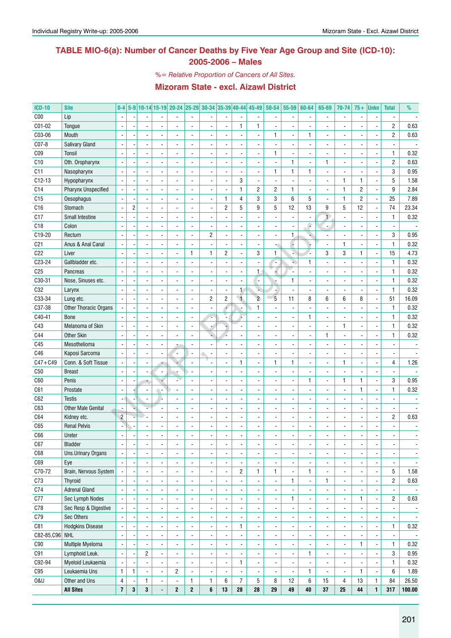## **TABLE MIO-6(a): Number of Cancer Deaths by Five Year Age Group and Site (ICD-10): 2005-2006 – Males**

*%= Relative Proportion of Cancers of All Sites.*

| <b>ICD-10</b>   | <b>Site</b>                | $0-4$                    |                |                          | 5-9 10-14 15-19 20-24 25-29 30-34 35-39 40-44 45-49 |                  |                          |                |                          |                              | $50 - 54$                | 55-59                    | 60-64                    | 65-69        | 70-74                    | $75+$ | <b>Unkn</b>              | <b>Total</b>   | %                        |
|-----------------|----------------------------|--------------------------|----------------|--------------------------|-----------------------------------------------------|------------------|--------------------------|----------------|--------------------------|------------------------------|--------------------------|--------------------------|--------------------------|--------------|--------------------------|-------|--------------------------|----------------|--------------------------|
| C <sub>00</sub> | Lip                        | $\blacksquare$           |                |                          |                                                     |                  |                          |                |                          |                              |                          | $\sim$                   |                          |              | $\overline{\phantom{a}}$ |       |                          |                |                          |
| C01-02          | Tongue                     |                          |                |                          |                                                     |                  |                          |                | $\mathbf{1}$             | 1                            |                          |                          |                          |              |                          |       |                          | $\overline{2}$ | 0.63                     |
| C03-06          | Mouth                      | $\overline{\phantom{a}}$ |                |                          |                                                     |                  |                          |                | $\overline{a}$           | $\blacksquare$               | 1                        | ÷,                       | $\mathbf{1}$             |              | $\blacksquare$           |       |                          | $\overline{c}$ | 0.63                     |
| C07-8           | <b>Salivary Gland</b>      | $\overline{\phantom{a}}$ |                |                          |                                                     |                  |                          |                | ÷,                       |                              |                          | ÷,                       |                          |              |                          |       |                          |                |                          |
| CO <sub>9</sub> | Tonsil                     | $\overline{\phantom{a}}$ |                |                          |                                                     |                  |                          |                | $\overline{a}$           |                              | 1                        |                          |                          |              | $\overline{a}$           |       |                          | $\mathbf{1}$   | 0.32                     |
| C10             | Oth. Oropharynx            | $\overline{\phantom{a}}$ |                |                          |                                                     |                  |                          |                | $\overline{a}$           |                              |                          | $\mathbf{1}$             | $\overline{a}$           | $\mathbf{1}$ | $\overline{a}$           |       |                          | $\overline{c}$ | 0.63                     |
| C11             | Nasopharynx                | $\overline{\phantom{a}}$ |                |                          |                                                     |                  |                          |                | ÷,                       |                              | 1                        | $\mathbf{1}$             | $\mathbf{1}$             |              | $\overline{a}$           |       |                          | 3              | 0.95                     |
| $C12-13$        | Hypopharynx                | $\overline{\phantom{a}}$ |                |                          |                                                     |                  |                          | L.             | 3                        |                              |                          | ÷,                       |                          |              | $\mathbf{1}$             | 1     | $\overline{a}$           | 5              | 1.58                     |
| C14             | <b>Pharynx Unspecified</b> | $\overline{\phantom{a}}$ |                |                          |                                                     |                  |                          |                | $\mathbf{1}$             | $\mathbf{2}$                 | $\overline{c}$           | $\mathbf{1}$             |                          |              | $\mathbf{1}$             | 2     |                          | 9              | 2.84                     |
| C15             | Oesophagus                 |                          |                |                          |                                                     |                  |                          | $\mathbf{1}$   | 4                        | 3                            | 3                        | 6                        | 5                        |              | $\mathbf{1}$             | 2     | ÷,                       | 25             | 7.89                     |
| C <sub>16</sub> | Stomach                    | $\overline{\phantom{a}}$ | $\overline{c}$ |                          |                                                     |                  |                          | $\overline{2}$ | 5                        | 9                            | 5                        | 12                       | 13                       | 9            | $\mathbf 5$              | 12    | ÷,                       | 74             | 23.34                    |
| C17             | Small Intestine            | $\overline{\phantom{a}}$ |                |                          |                                                     |                  |                          |                | ÷,                       |                              |                          | $\blacksquare$           |                          |              | $\frac{1}{2}$            |       |                          | $\mathbf{1}$   | 0.32                     |
| C18             | Colon                      |                          |                |                          |                                                     |                  |                          |                |                          |                              |                          | ÷,                       | e                        |              |                          |       |                          |                |                          |
| C19-20          | Rectum                     | $\overline{\phantom{a}}$ |                |                          |                                                     |                  | $\overline{c}$           |                | ÷,                       |                              |                          | $\mathbf{1}$             |                          |              |                          |       |                          | 3              | 0.95                     |
| C <sub>21</sub> | Anus & Anal Canal          | $\overline{\phantom{a}}$ |                |                          |                                                     |                  |                          |                | $\overline{a}$           |                              |                          | l,                       |                          |              | $\mathbf{1}$             |       |                          | $\mathbf{1}$   | 0.32                     |
| C22             | Liver                      | $\overline{\phantom{a}}$ |                |                          |                                                     | $\mathbf{1}$     | $\mathbf{1}$             | $\overline{2}$ | $\overline{\phantom{a}}$ | 3                            | 1                        |                          |                          | 3            | 3                        | 1     | ÷,                       | 15             | 4.73                     |
| C23-24          | Gallbladder etc.           | $\overline{\phantom{a}}$ |                |                          |                                                     |                  |                          |                | $\overline{\phantom{a}}$ |                              |                          | u)                       | $\mathbf{1}$             |              | $\overline{a}$           |       |                          | $\mathbf{1}$   | 0.32                     |
| C <sub>25</sub> | Pancreas                   | $\overline{\phantom{a}}$ |                |                          |                                                     |                  |                          |                | $\overline{\phantom{a}}$ | $\mathbf{1}$                 |                          |                          |                          |              |                          |       |                          | $\mathbf{1}$   | 0.32                     |
| C30-31          | Nose, Sinuses etc.         | $\overline{\phantom{a}}$ |                |                          |                                                     |                  |                          |                | $\overline{a}$           | ٠                            |                          | $\mathbf{1}$             |                          |              | $\overline{a}$           |       |                          | $\mathbf{1}$   | 0.32                     |
| C32             | Larynx                     | $\overline{\phantom{a}}$ |                |                          |                                                     |                  |                          |                | $\mathbf{1}$             |                              |                          | L.                       |                          |              | $\overline{a}$           |       |                          | $\mathbf{1}$   | 0.32                     |
| C33-34          | Lung etc.                  | $\overline{\phantom{a}}$ |                |                          |                                                     |                  | $\overline{c}$           | $\overline{c}$ | $\overline{A}$           | $\overline{2}$               | $\overline{5}$           | 11                       | 8                        | 6            | 6                        | 8     | ÷,                       | 51             | 16.09                    |
| C37-38          | Other Thoracic Organs      | $\overline{\phantom{a}}$ |                |                          |                                                     |                  |                          |                | J,                       | 1                            |                          | ÷,                       |                          |              | ÷,                       |       |                          | $\mathbf{1}$   | 0.32                     |
| C40-41          | <b>Bone</b>                |                          |                |                          |                                                     |                  |                          |                |                          |                              |                          | L.                       | $\mathbf{1}$             |              |                          |       |                          | $\mathbf{1}$   | 0.32                     |
| C43             | Melanoma of Skin           | $\overline{a}$           |                |                          |                                                     |                  |                          |                |                          |                              |                          | L.                       |                          |              | $\mathbf{1}$             |       |                          | $\mathbf{1}$   | 0.32                     |
| C44             | Other Skin                 | $\overline{\phantom{a}}$ |                |                          |                                                     |                  |                          |                | $\overline{a}$           |                              |                          | ÷,                       |                          | $\mathbf{1}$ | $\overline{a}$           |       |                          | $\mathbf{1}$   | 0.32                     |
| C45             | Mesothelioma               | $\overline{\phantom{a}}$ |                |                          |                                                     |                  |                          |                | $\overline{a}$           |                              |                          |                          |                          |              |                          |       |                          |                |                          |
| C46             | Kaposi Sarcoma             | $\overline{\phantom{a}}$ |                |                          | $\overline{\phantom{0}}$                            |                  |                          |                | ÷,                       |                              |                          | ÷,                       |                          |              |                          |       |                          |                |                          |
| $C47 + C49$     | Conn. & Soft Tissue        | $\overline{\phantom{a}}$ |                |                          |                                                     |                  |                          |                | $\mathbf{1}$             |                              | 1                        | $\mathbf{1}$             |                          |              | $\mathbf{1}$             |       |                          | 4              | 1.26                     |
| C50             | <b>Breast</b>              |                          |                |                          |                                                     |                  |                          |                | $\overline{a}$           |                              |                          | L.                       |                          |              | $\overline{a}$           |       |                          | $\blacksquare$ |                          |
| C60             | Penis                      |                          |                |                          |                                                     |                  |                          |                |                          |                              |                          |                          | $\mathbf{1}$             |              | $\mathbf{1}$             | 1     |                          | 3              | 0.95                     |
| C61             | Prostate                   |                          |                |                          |                                                     |                  |                          |                |                          |                              |                          |                          |                          |              | ä,                       | 1     |                          | $\mathbf{1}$   | 0.32                     |
| C62             | <b>Testis</b>              | $\blacksquare$           |                |                          |                                                     |                  |                          |                |                          |                              |                          |                          |                          |              |                          |       |                          |                |                          |
| C63             | <b>Other Male Genital</b>  |                          |                |                          |                                                     |                  |                          |                |                          |                              |                          |                          |                          |              |                          |       |                          |                |                          |
| C64             | Kidney etc.                | $\overline{c}$           |                |                          |                                                     |                  |                          |                |                          |                              |                          |                          |                          |              |                          |       |                          | $\overline{c}$ | 0.63                     |
| C65             | <b>Renal Pelvis</b>        |                          |                |                          |                                                     |                  |                          |                |                          |                              |                          |                          |                          |              |                          |       |                          |                |                          |
| C66             | Ureter                     |                          |                |                          |                                                     |                  |                          |                |                          |                              |                          |                          |                          |              |                          |       |                          |                |                          |
| C67             | Bladder                    | $\overline{\phantom{a}}$ | ×,             | $\overline{\phantom{a}}$ |                                                     |                  | $\overline{\phantom{a}}$ |                | $\overline{\phantom{a}}$ | $\overline{\phantom{a}}$     |                          | $\overline{\phantom{a}}$ | $\overline{\phantom{a}}$ |              | $\overline{\phantom{a}}$ | -     | $\overline{\phantom{a}}$ | $\frac{1}{2}$  |                          |
| C68             | Uns.Urinary Organs         |                          |                |                          | $\overline{\phantom{0}}$                            |                  |                          | $\overline{a}$ | $\blacksquare$           | ä,                           |                          | ä,                       | $\blacksquare$           |              | $\overline{\phantom{a}}$ |       | ÷,                       |                |                          |
| C69             | Eye                        | $\blacksquare$           |                |                          | $\overline{a}$                                      |                  | $\overline{\phantom{a}}$ |                | $\overline{\phantom{a}}$ |                              |                          | ÷,                       | $\overline{\phantom{a}}$ | ÷,           | $\blacksquare$           |       | $\overline{\phantom{a}}$ |                |                          |
| C70-72          | Brain, Nervous System      |                          |                |                          |                                                     |                  |                          |                | 2                        | $\mathbf{1}$                 | 1                        | ä,                       | $\mathbf{1}$             |              | $\overline{\phantom{a}}$ |       | ÷,                       | 5              | 1.58                     |
| C73             | Thyroid                    |                          |                |                          |                                                     |                  |                          |                | $\overline{a}$           | ä,                           |                          | 1                        | $\blacksquare$           | 1            | $\blacksquare$           |       | ÷,                       | $\overline{2}$ | 0.63                     |
| C74             | <b>Adrenal Gland</b>       |                          |                |                          |                                                     |                  |                          |                | $\blacksquare$           | ä,                           |                          |                          | $\overline{\phantom{a}}$ |              | $\blacksquare$           |       | ÷,                       |                |                          |
| C77             | Sec Lymph Nodes            |                          |                |                          | $\overline{\phantom{0}}$                            |                  |                          |                | $\blacksquare$           | ä,                           |                          | 1                        | $\overline{\phantom{a}}$ |              | $\blacksquare$           | 1     | $\blacksquare$           | $\overline{c}$ | 0.63                     |
| C78             | Sec Resp & Digestive       |                          |                |                          | $\overline{\phantom{0}}$                            |                  |                          |                | $\overline{a}$           | ä,                           |                          | Ĭ.                       | $\overline{\phantom{a}}$ |              | $\overline{\phantom{a}}$ |       | ÷,                       |                |                          |
| C79             | Sec Others                 |                          |                |                          | $\overline{\phantom{0}}$                            |                  | $\overline{\phantom{a}}$ |                | $\overline{a}$           | ä,                           |                          | ä,                       | $\overline{\phantom{a}}$ |              | $\overline{\phantom{a}}$ |       | ÷,                       |                | $\overline{\phantom{a}}$ |
| C81             | <b>Hodgkins Disease</b>    |                          |                |                          | $\overline{\phantom{0}}$                            |                  | $\overline{\phantom{a}}$ |                | 1                        | $\qquad \qquad \blacksquare$ |                          | ä,                       | $\overline{\phantom{a}}$ |              | $\overline{\phantom{a}}$ |       | ä,                       | $\mathbf{1}$   | 0.32                     |
| C82-85, C96 NHL |                            | $\blacksquare$           |                |                          | $\overline{\phantom{0}}$                            |                  |                          |                | $\blacksquare$           | ä,                           |                          | ä,                       | $\overline{\phantom{a}}$ |              | $\overline{\phantom{a}}$ |       | $\blacksquare$           |                | $\overline{\phantom{a}}$ |
| C90             | Multiple Myeloma           | $\overline{\phantom{a}}$ |                |                          | $\overline{\phantom{0}}$                            |                  |                          |                | $\blacksquare$           | ä,                           |                          | ä,                       | $\overline{\phantom{a}}$ | ÷,           | $\blacksquare$           | 1     | $\blacksquare$           | $\mathbf{1}$   | 0.32                     |
| C91             | Lymphoid Leuk.             | $\overline{\phantom{a}}$ |                | 2                        | $\overline{\phantom{0}}$                            |                  | $\overline{\phantom{a}}$ |                | $\overline{a}$           | ä,                           |                          | $\blacksquare$           | 1                        | ÷,           | $\overline{\phantom{a}}$ |       | $\blacksquare$           | 3              | 0.95                     |
| C92-94          | Myeloid Leukaemia          |                          |                |                          |                                                     |                  | $\overline{\phantom{a}}$ |                | 1                        | $\overline{\phantom{a}}$     |                          | $\blacksquare$           | $\overline{\phantom{a}}$ | ÷,           | $\overline{\phantom{a}}$ |       | $\blacksquare$           | $\mathbf{1}$   | 0.32                     |
| C95             | Leukaemia Uns              | $\mathbf{1}$             | 1              | $\blacksquare$           | $\overline{2}$                                      |                  |                          |                |                          | $\overline{\phantom{a}}$     | $\overline{\phantom{a}}$ | $\blacksquare$           | $\mathbf{1}$             |              | $\blacksquare$           | 1     | $\blacksquare$           | 6              | 1.89                     |
| <b>0&amp;U</b>  | Other and Uns              | 4                        |                | 1                        |                                                     | 1                | $\mathbf{1}$             | 6              | $\overline{7}$           | 5                            | 8                        | 12                       | 6                        | 15           | $\overline{4}$           | 13    | $\mathbf{1}$             | 84             | 26.50                    |
|                 | <b>All Sites</b>           | $\bf 7$                  | 3              | 3                        | $\mathbf{2}$                                        | $\boldsymbol{2}$ | 6                        | 13             | 28                       | 28                           | 29                       | 49                       | 40                       | 37           | 25                       | 44    | $\mathbf{1}$             | 317            | 100.00                   |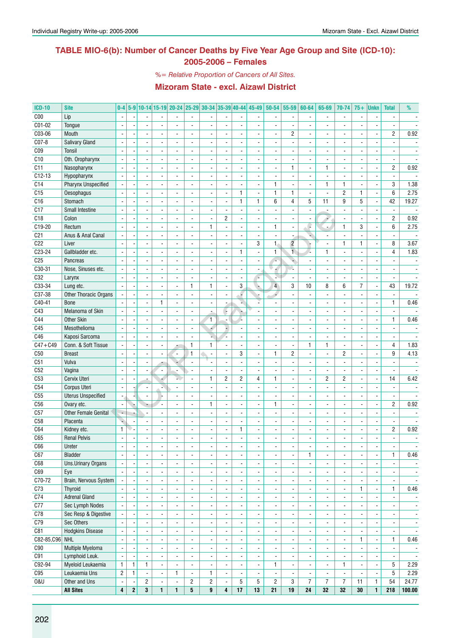## **TABLE MIO-6(b): Number of Cancer Deaths by Five Year Age Group and Site (ICD-10): 2005-2006 – Females**

*%= Relative Proportion of Cancers of All Sites.*

| <b>ICD-10</b>   | <b>Site</b>                               | $0 - 4$                            |              |                          |                          | 5-9 10-14 15-19 20-24 25-29    |                          | $30-34$ 35-39 40-44      |                          |                                  | 45-49                    | 50-54                         | 55-59                            | 60-64                                    | 65-69                    | 70-74                                      | $75+$                    | <b>Unkn</b>              | <b>Total</b>                     | %                        |
|-----------------|-------------------------------------------|------------------------------------|--------------|--------------------------|--------------------------|--------------------------------|--------------------------|--------------------------|--------------------------|----------------------------------|--------------------------|-------------------------------|----------------------------------|------------------------------------------|--------------------------|--------------------------------------------|--------------------------|--------------------------|----------------------------------|--------------------------|
| C <sub>00</sub> | Lip                                       |                                    |              |                          |                          |                                |                          |                          |                          |                                  |                          |                               | $\tilde{\phantom{a}}$            |                                          |                          | $\blacksquare$                             |                          | ÷,                       |                                  |                          |
| C01-02          | Tongue                                    |                                    |              |                          |                          |                                |                          |                          |                          | $\overline{\phantom{a}}$         |                          |                               |                                  |                                          |                          |                                            |                          |                          |                                  |                          |
| C03-06          | Mouth                                     |                                    |              | $\blacksquare$           |                          | ٠                              |                          | $\blacksquare$           |                          | $\blacksquare$                   | $\blacksquare$           |                               | 2                                | $\blacksquare$                           |                          | $\blacksquare$                             |                          | $\blacksquare$           | $\overline{2}$                   | 0.92                     |
| C07-8           | <b>Salivary Gland</b>                     |                                    |              | $\blacksquare$           |                          |                                |                          |                          |                          | $\overline{\phantom{a}}$         | $\blacksquare$           |                               | $\overline{\phantom{a}}$         | $\overline{\phantom{a}}$                 |                          | $\overline{\phantom{a}}$                   |                          | $\overline{\phantom{a}}$ | $\overline{a}$                   |                          |
| C <sub>09</sub> | Tonsil                                    | $\overline{\phantom{a}}$           |              | $\overline{a}$           |                          | ÷.                             |                          |                          |                          | $\overline{\phantom{a}}$         |                          |                               | $\blacksquare$                   |                                          |                          | ä,                                         |                          |                          |                                  |                          |
| C10             | Oth. Oropharynx                           | $\blacksquare$                     |              | $\blacksquare$           | $\blacksquare$           | $\overline{\phantom{a}}$       | $\overline{a}$           | $\overline{\phantom{a}}$ | ÷,                       | $\overline{\phantom{a}}$         | $\overline{\phantom{a}}$ | $\blacksquare$                | $\blacksquare$                   | $\blacksquare$                           | $\blacksquare$           | $\overline{\phantom{a}}$                   | $\overline{a}$           | $\tilde{\phantom{a}}$    | $\blacksquare$                   | ÷,                       |
| C11             | Nasopharynx                               | $\overline{\phantom{a}}$           |              | $\sim$                   |                          | $\overline{a}$                 | $\overline{a}$           | $\overline{\phantom{a}}$ | ÷,                       | $\overline{\phantom{a}}$         | $\overline{a}$           |                               | $\mathbf{1}$                     | $\blacksquare$                           | 1                        | $\overline{\phantom{a}}$                   |                          | $\tilde{\phantom{a}}$    | $\overline{c}$                   | 0.92                     |
| $C12-13$        | Hypopharynx                               |                                    |              |                          |                          |                                |                          | $\overline{\phantom{a}}$ |                          | $\overline{\phantom{a}}$         | $\overline{\phantom{a}}$ |                               | $\overline{\phantom{a}}$         |                                          |                          |                                            |                          | $\overline{\phantom{a}}$ |                                  |                          |
| C14             | <b>Pharynx Unspecified</b>                | $\blacksquare$                     |              | $\sim$                   |                          | $\overline{a}$                 |                          | $\overline{\phantom{a}}$ | $\blacksquare$           | $\overline{\phantom{a}}$         | $\overline{a}$           | 1                             | $\mathbf{r}$                     | $\blacksquare$                           | $\mathbf{1}$             | $\mathbf{1}$                               |                          | $\tilde{\phantom{a}}$    | 3                                | 1.38                     |
| C15             | Oesophagus                                |                                    |              | $\sim$                   |                          | $\overline{a}$                 | $\overline{a}$           | $\overline{\phantom{a}}$ | ÷,                       | $\mathbf{1}$                     | $\overline{a}$           | $\mathbf{1}$                  | $\mathbf{1}$                     | $\overline{\phantom{a}}$                 | ÷,                       | $\overline{2}$                             | 1                        | ÷,                       | 6                                | 2.75                     |
| C16             | Stomach                                   |                                    |              |                          |                          |                                |                          |                          |                          | 1                                | $\mathbf{1}$             | 6                             | 4                                | 5                                        | 11                       | 9                                          | 5                        | $\blacksquare$           | 42                               | 19.27                    |
| C17             | <b>Small Intestine</b>                    | ÷,                                 |              | ÷,                       |                          | $\overline{a}$                 | ÷,                       | $\overline{\phantom{a}}$ | $\overline{a}$           | $\overline{a}$                   |                          |                               | ÷,                               |                                          |                          | ÷,                                         |                          | ÷,                       | $\overline{a}$                   |                          |
| C18             | Colon                                     | $\overline{\phantom{a}}$           |              | $\blacksquare$           |                          | ٠                              | $\blacksquare$           | $\blacksquare$           | $\overline{c}$           | $\overline{\phantom{a}}$         | $\overline{a}$           | $\blacksquare$                | $\overline{\phantom{a}}$         | $\overline{\phantom{a}}$                 | è,                       | $\blacksquare$                             | $\blacksquare$           | ÷,                       | $\overline{c}$                   | 0.92                     |
| C19-20          | Rectum                                    | $\overline{\phantom{a}}$           |              | $\overline{\phantom{a}}$ |                          | $\overline{a}$                 | $\overline{\phantom{a}}$ | $\mathbf{1}$             | $\overline{a}$           | $\overline{\phantom{a}}$         | $\overline{a}$           | $\mathbf{1}$                  | $\overline{\phantom{a}}$         | G                                        | $\blacksquare$           | $\mathbf{1}$                               | 3                        | ÷,                       | 6                                | 2.75                     |
| C <sub>21</sub> | Anus & Anal Canal                         |                                    |              | $\blacksquare$           |                          |                                |                          | $\overline{\phantom{a}}$ | ۰                        | $\overline{\phantom{a}}$         | $\blacksquare$           |                               | $\blacksquare$                   | ۰                                        |                          | $\overline{\phantom{a}}$                   |                          | $\overline{\phantom{a}}$ | $\overline{\phantom{a}}$         |                          |
| C22             | Liver                                     | $\sim$                             |              |                          |                          |                                |                          | $\overline{\phantom{a}}$ |                          | $\blacksquare$                   | 3                        | $\mathbf{1}$                  | $\overline{2}$                   |                                          |                          | $\mathbf{1}$                               | 1                        | $\blacksquare$           | 8                                | 3.67                     |
| C23-24          | Gallbladder etc.                          | $\sim$                             |              | $\sim$                   |                          | $\overline{a}$                 |                          | $\overline{\phantom{a}}$ | ÷,                       | $\mathbf{1}$                     | $\sim$                   | $\mathbf{1}$                  | $\overline{1}$                   | L.                                       | $\mathbf{1}$             | $\blacksquare$                             | $\blacksquare$           | $\overline{a}$           | $\overline{4}$                   | 1.83                     |
| C <sub>25</sub> | Pancreas                                  |                                    |              |                          |                          |                                |                          |                          |                          | $\overline{a}$                   |                          |                               | ٠                                |                                          |                          |                                            |                          |                          |                                  |                          |
| C30-31          | Nose, Sinuses etc.                        |                                    |              |                          |                          |                                |                          |                          |                          | $\blacksquare$                   |                          |                               | Ò.                               |                                          |                          | $\overline{a}$                             |                          | $\overline{a}$           |                                  |                          |
| C <sub>32</sub> | Larynx                                    | $\overline{\phantom{a}}$           |              | $\blacksquare$           | $\blacksquare$           | $\overline{\phantom{a}}$       | $\blacksquare$           | $\blacksquare$           | ÷,                       | $\blacksquare$                   | ç                        | L.                            | $\overline{a}$                   | $\overline{\phantom{a}}$                 | $\blacksquare$           | $\blacksquare$                             | $\blacksquare$           | ÷,                       | $\overline{\phantom{a}}$         |                          |
| C33-34          | Lung etc.                                 | $\mathbf{r}$                       |              | $\blacksquare$           |                          | $\overline{\phantom{a}}$       | $\mathbf{1}$             | 1                        | ä,                       | 3                                | ÷.                       | $\overline{4}$                | 3                                | 10                                       | 8                        | 6                                          | $\overline{7}$           | ä,                       | 43                               | 19.72                    |
| $C37 - 38$      | Other Thoracic Organs                     |                                    |              | $\overline{\phantom{a}}$ |                          | ۰                              |                          | $\overline{\phantom{a}}$ | ۰                        | F                                |                          |                               | $\overline{\phantom{a}}$         |                                          |                          | $\overline{\phantom{a}}$                   |                          | $\overline{\phantom{a}}$ |                                  |                          |
| C40-41          | <b>Bone</b>                               | $\overline{a}$                     |              | $\blacksquare$           | 1                        | $\overline{a}$                 | $\overline{a}$           | $\blacksquare$           |                          | ¥.                               |                          |                               | $\blacksquare$                   |                                          |                          | $\overline{a}$                             |                          | $\overline{a}$           | $\mathbf{1}$                     | 0.46                     |
| C43             | Melanoma of Skin                          | $\mathbf{r}$                       |              | $\sim$                   | $\overline{\phantom{a}}$ | $\overline{a}$                 | $\overline{\phantom{a}}$ | $\overline{\phantom{a}}$ | L,                       | ٠                                |                          |                               | $\mathbf{r}$                     | $\blacksquare$                           |                          | $\overline{a}$                             |                          | $\overline{a}$           | $\blacksquare$                   |                          |
| C44             | Other Skin                                |                                    |              |                          |                          |                                |                          | 1                        |                          | r.                               |                          |                               | ÷,                               |                                          |                          | $\overline{\phantom{a}}$                   |                          | $\overline{a}$           | $\mathbf{1}$                     | 0.46                     |
| C45             | Mesothelioma                              |                                    |              |                          |                          |                                | $\overline{a}$           | 4                        |                          | $\blacksquare$                   |                          |                               | $\blacksquare$                   |                                          |                          | $\overline{a}$                             |                          | ÷,                       |                                  |                          |
| C46             |                                           | $\overline{\phantom{a}}$           |              | $\overline{a}$           |                          | $\overline{\phantom{0}}$       | $\overline{\phantom{a}}$ | v.                       |                          | $\overline{\phantom{a}}$         | $\overline{a}$           |                               | $\blacksquare$                   |                                          |                          |                                            |                          | $\blacksquare$           | $\blacksquare$                   |                          |
| $C47 + C49$     | Kaposi Sarcoma<br>Conn. & Soft Tissue     | $\overline{\phantom{a}}$           |              | $\blacksquare$           | $\overline{\phantom{a}}$ |                                | $\mathbf{1}$             | $\mathbf{1}$             | ä,                       | $\overline{\phantom{a}}$         | $\blacksquare$           | $\blacksquare$                | $\blacksquare$                   | $\overline{\phantom{a}}$<br>$\mathbf{1}$ | 1                        | $\overline{\phantom{a}}$<br>$\blacksquare$ | $\overline{a}$           | ä,                       | 4                                | $\blacksquare$<br>1.83   |
| C50             | <b>Breast</b>                             |                                    |              | $\blacksquare$           |                          |                                | 1                        | $\overline{\phantom{a}}$ | $\overline{a}$           | 3                                | $\blacksquare$           | $\mathbf{1}$                  | 2                                | $\blacksquare$                           |                          | $\overline{2}$                             |                          | $\overline{\phantom{a}}$ | 9                                | 4.13                     |
| C51             | Vulva                                     | $\overline{\phantom{a}}$           |              |                          |                          |                                | $\overline{a}$           | $\blacksquare$           |                          | $\overline{a}$                   |                          |                               | $\blacksquare$                   |                                          |                          | $\overline{a}$                             |                          |                          | $\overline{a}$                   |                          |
| C52             |                                           | $\sim$                             |              | $\blacksquare$           |                          |                                | $\overline{\phantom{a}}$ | $\overline{\phantom{a}}$ | $\blacksquare$           | $\overline{\phantom{a}}$         |                          |                               | $\sim$                           | $\blacksquare$                           |                          | $\overline{a}$                             |                          | $\overline{\phantom{a}}$ | $\overline{\phantom{a}}$         |                          |
| C <sub>53</sub> | Vagina<br>Cervix Uteri                    |                                    |              |                          |                          |                                |                          | $\mathbf{1}$             | $\overline{c}$           | 2                                | 4                        | 1                             | $\blacksquare$                   |                                          | $\overline{2}$           | $\overline{2}$                             |                          |                          | 14                               | 6.42                     |
| C54             |                                           |                                    |              |                          |                          |                                |                          |                          |                          |                                  |                          |                               |                                  | $\overline{\phantom{a}}$                 |                          |                                            |                          | ÷,<br>$\overline{a}$     |                                  |                          |
| C55             | Corpus Uteri<br><b>Uterus Unspecified</b> |                                    |              |                          |                          |                                | $\overline{a}$           |                          | ÷,                       | $\overline{\phantom{a}}$         |                          |                               | $\overline{\phantom{a}}$         |                                          |                          | $\overline{\phantom{a}}$                   |                          |                          |                                  |                          |
| C56             | Ovary etc.                                | $\overline{\phantom{a}}$<br>$\Box$ |              | $\blacksquare$           | $\blacksquare$           | $\overline{\phantom{a}}$<br>ä, | $\blacksquare$           | $\blacksquare$           | ÷,                       | $\blacksquare$<br>$\blacksquare$ | $\overline{\phantom{0}}$ | $\overline{\phantom{a}}$<br>1 | $\blacksquare$<br>$\blacksquare$ | $\overline{a}$                           |                          | $\overline{\phantom{a}}$                   |                          | $\blacksquare$<br>÷,     | $\blacksquare$<br>$\overline{2}$ | 0.92                     |
|                 |                                           |                                    |              | ÷                        |                          |                                |                          | $\mathbf{1}$             |                          |                                  | $\blacksquare$           |                               |                                  | $\blacksquare$                           |                          | $\frac{1}{2}$                              | $\blacksquare$           |                          |                                  |                          |
| C57             | <b>Other Female Genital</b>               | $\blacksquare$                     |              | $\overline{\phantom{a}}$ |                          | ۰                              |                          | $\overline{\phantom{a}}$ | $\overline{a}$           | $\overline{\phantom{a}}$         | $\blacksquare$           |                               | $\overline{\phantom{a}}$         | $\overline{\phantom{a}}$                 |                          | $\overline{\phantom{a}}$                   |                          | $\overline{a}$           |                                  |                          |
| C58             | Placenta                                  |                                    |              |                          |                          | ÷,                             |                          | $\blacksquare$           |                          | $\overline{a}$                   |                          |                               | $\blacksquare$                   |                                          |                          | $\overline{a}$                             |                          |                          |                                  |                          |
| C64             | Kidney etc.                               | $\mathbf{1}$                       |              | $\sim$                   |                          | $\overline{a}$                 |                          | $\blacksquare$           | $\blacksquare$           | $\mathbf{1}$                     | $\overline{a}$           |                               | $\overline{a}$                   |                                          |                          | $\blacksquare$                             | $\overline{a}$           | $\overline{\phantom{a}}$ | $\overline{\mathbf{c}}$          | 0.92                     |
| C65             | <b>Renal Pelvis</b>                       |                                    |              |                          |                          |                                |                          |                          |                          |                                  |                          |                               |                                  |                                          |                          |                                            |                          |                          |                                  |                          |
| C66             | Ureter                                    | $\overline{\phantom{a}}$           |              | $\overline{\phantom{a}}$ |                          | $\frac{1}{2}$                  | $\overline{\phantom{a}}$ | $\overline{\phantom{a}}$ | $\overline{\phantom{m}}$ | $\overline{\phantom{a}}$         | $\overline{\phantom{a}}$ | $\overline{\phantom{a}}$      | $\overline{\phantom{a}}$         | $\overline{\phantom{a}}$                 | $\overline{\phantom{a}}$ | $\overline{\phantom{a}}$                   | $\overline{a}$           | $\overline{\phantom{a}}$ | $\overline{\phantom{a}}$         | $\overline{\phantom{a}}$ |
| C67             | Bladder                                   | $\omega$                           |              | $\blacksquare$           | $\overline{\phantom{a}}$ | $\overline{\phantom{a}}$       | $\blacksquare$           | $\overline{\phantom{a}}$ | $\overline{a}$           | $\overline{\phantom{a}}$         | $\overline{\phantom{0}}$ | $\blacksquare$                | $\overline{\phantom{a}}$         | $\mathbf{1}$                             | $\overline{\phantom{a}}$ | $\overline{\phantom{a}}$                   |                          | $\blacksquare$           | $\mathbf{1}$                     | 0.46                     |
| C68             | Uns.Urinary Organs                        | $\overline{\phantom{a}}$           |              | $\overline{\phantom{a}}$ | $\blacksquare$           | $\overline{\phantom{a}}$       | $\blacksquare$           | $\overline{\phantom{a}}$ | $\overline{a}$           | $\overline{\phantom{a}}$         | $\blacksquare$           | $\overline{\phantom{a}}$      | $\overline{\phantom{a}}$         | $\overline{\phantom{a}}$                 | $\blacksquare$           | $\overline{\phantom{a}}$                   | $\blacksquare$           | $\overline{\phantom{a}}$ | $\blacksquare$                   | $\overline{\phantom{a}}$ |
| C69             | Eye                                       | $\overline{\phantom{a}}$           |              | $\overline{\phantom{a}}$ | $\overline{\phantom{a}}$ | $\overline{\phantom{a}}$       | $\overline{\phantom{a}}$ | $\overline{\phantom{a}}$ | $\frac{1}{2}$            | $\overline{\phantom{a}}$         | $\overline{\phantom{a}}$ | $\overline{\phantom{a}}$      | $\overline{\phantom{a}}$         | $\overline{\phantom{a}}$                 | $\overline{\phantom{a}}$ | $\overline{\phantom{a}}$                   | $\blacksquare$           | $\overline{\phantom{a}}$ | $\overline{\phantom{a}}$         | $\overline{\phantom{a}}$ |
| C70-72          | Brain, Nervous System                     | $\overline{\phantom{a}}$           |              | $\overline{a}$           |                          | $\overline{a}$                 | ÷,                       | $\overline{\phantom{a}}$ | $\overline{a}$           | $\blacksquare$                   | $\overline{a}$           | $\overline{\phantom{a}}$      | $\overline{\phantom{a}}$         | $\overline{\phantom{a}}$                 | $\blacksquare$           | $\frac{1}{2}$                              |                          | $\blacksquare$           | $\blacksquare$                   | $\blacksquare$           |
| C73             | Thyroid                                   | $\blacksquare$                     |              | $\blacksquare$           | $\blacksquare$           |                                | $\blacksquare$           | $\overline{\phantom{a}}$ | $\overline{a}$           | $\overline{\phantom{a}}$         | $\overline{\phantom{a}}$ | $\overline{\phantom{a}}$      | $\overline{\phantom{a}}$         | $\overline{\phantom{a}}$                 | $\overline{\phantom{a}}$ | $\overline{\phantom{a}}$                   | 1                        | ÷,                       | $\mathbf{1}$                     | 0.46                     |
| C74             | <b>Adrenal Gland</b>                      | $\overline{\phantom{a}}$           |              | $\blacksquare$           |                          | $\overline{a}$                 | ÷,                       |                          |                          | $\overline{\phantom{a}}$         | $\overline{a}$           |                               | $\blacksquare$                   | $\overline{\phantom{a}}$                 | $\overline{a}$           | $\frac{1}{2}$                              |                          | ÷,                       | $\overline{\phantom{a}}$         | $\overline{\phantom{a}}$ |
| C77             | Sec Lymph Nodes                           |                                    |              | $\overline{\phantom{a}}$ |                          |                                | $\overline{\phantom{a}}$ | $\overline{\phantom{a}}$ |                          | $\overline{\phantom{a}}$         |                          |                               | $\overline{\phantom{a}}$         | $\overline{\phantom{a}}$                 | $\overline{\phantom{a}}$ | $\overline{\phantom{a}}$                   |                          | $\blacksquare$           | $\overline{\phantom{a}}$         | $\overline{\phantom{a}}$ |
| C78             | Sec Resp & Digestive                      | $\blacksquare$                     |              | $\overline{\phantom{a}}$ | $\blacksquare$           | ÷,                             | $\blacksquare$           | $\overline{\phantom{a}}$ | $\overline{a}$           | $\blacksquare$                   | $\overline{\phantom{a}}$ | $\blacksquare$                | $\overline{\phantom{a}}$         | $\overline{\phantom{a}}$                 | $\overline{\phantom{a}}$ | $\overline{\phantom{a}}$                   | $\overline{\phantom{a}}$ | ä,                       | $\overline{\phantom{a}}$         | $\overline{\phantom{a}}$ |
| C79             | Sec Others                                | $\overline{\phantom{a}}$           |              | $\overline{\phantom{a}}$ | $\blacksquare$           | $\overline{\phantom{0}}$       | $\blacksquare$           | $\overline{\phantom{a}}$ | $\overline{a}$           | $\blacksquare$                   | $\overline{\phantom{a}}$ | $\blacksquare$                | $\overline{\phantom{a}}$         | $\overline{\phantom{a}}$                 | $\blacksquare$           | $\overline{\phantom{a}}$                   | $\blacksquare$           | $\blacksquare$           | $\overline{\phantom{a}}$         | $\overline{\phantom{a}}$ |
| C81             | <b>Hodgkins Disease</b>                   | $\blacksquare$                     |              | $\overline{\phantom{a}}$ | $\overline{\phantom{a}}$ | $\overline{\phantom{a}}$       | $\overline{\phantom{a}}$ | $\overline{\phantom{a}}$ | $\frac{1}{2}$            | $\overline{\phantom{a}}$         | $\overline{\phantom{a}}$ | $\overline{\phantom{a}}$      | $\overline{\phantom{a}}$         | $\overline{\phantom{a}}$                 | $\overline{\phantom{a}}$ | $\overline{\phantom{a}}$                   |                          | $\overline{\phantom{a}}$ | $\overline{\phantom{a}}$         | $\overline{\phantom{a}}$ |
| C82-85, C96 NHL |                                           | $\overline{\phantom{a}}$           |              | $\overline{a}$           |                          | ÷.                             | ä,                       | $\overline{\phantom{a}}$ | $\overline{a}$           | $\overline{\phantom{a}}$         | $\overline{a}$           | $\overline{\phantom{a}}$      | $\blacksquare$                   | ä,                                       | $\blacksquare$           | $\overline{\phantom{a}}$                   | 1                        | $\blacksquare$           | $\mathbf{1}$                     | 0.46                     |
| C90             | Multiple Myeloma                          | $\overline{\phantom{a}}$           |              | $\blacksquare$           | $\blacksquare$           | ٠                              | $\blacksquare$           | $\blacksquare$           | $\overline{a}$           | $\overline{\phantom{a}}$         | $\overline{\phantom{a}}$ | $\overline{\phantom{a}}$      | $\overline{\phantom{a}}$         | $\overline{\phantom{a}}$                 | $\blacksquare$           | $\blacksquare$                             | $\blacksquare$           | ÷,                       | $\blacksquare$                   | $\overline{\phantom{a}}$ |
| C91             | Lymphoid Leuk.                            | $\overline{\phantom{a}}$           |              | $\overline{\phantom{a}}$ |                          | $\overline{a}$                 | $\overline{\phantom{a}}$ | $\blacksquare$           |                          | $\blacksquare$                   | $\blacksquare$           |                               | $\blacksquare$                   | $\overline{\phantom{a}}$                 | $\overline{a}$           | $\overline{\phantom{a}}$                   |                          | ÷,                       | $\blacksquare$                   | $\overline{\phantom{a}}$ |
| C92-94          | Myeloid Leukaemia                         | $\mathbf{1}$                       | $\mathbf{1}$ | 1                        | $\overline{\phantom{a}}$ |                                | $\blacksquare$           | $\overline{\phantom{a}}$ |                          | $\overline{\phantom{a}}$         | $\blacksquare$           | $\mathbf{1}$                  | $\overline{\phantom{a}}$         | $\overline{\phantom{a}}$                 | $\overline{\phantom{a}}$ | $\mathbf{1}$                               |                          | $\blacksquare$           | 5                                | 2.29                     |
| C <sub>95</sub> | Leukaemia Uns                             | $\overline{2}$                     | $\mathbf{1}$ | $\overline{\phantom{a}}$ | $\overline{\phantom{a}}$ | $\mathbf{1}$                   | $\overline{\phantom{a}}$ | $\mathbf{1}$             | $\blacksquare$           | $\overline{\phantom{a}}$         | $\overline{\phantom{a}}$ | $\overline{\phantom{a}}$      | $\overline{\phantom{a}}$         | $\overline{\phantom{a}}$                 | $\overline{\phantom{a}}$ | $\overline{\phantom{a}}$                   | $\overline{\phantom{a}}$ | $\Box$                   | 5                                | 2.29                     |
| <b>0&amp;U</b>  | Other and Uns                             | $\blacksquare$                     |              | $\overline{c}$           | $\overline{\phantom{a}}$ | ÷,                             | $\overline{c}$           | $\overline{2}$           | $\overline{\phantom{a}}$ | 5                                | 5                        | $\overline{2}$                | 3                                | $\overline{7}$                           | $\overline{7}$           | $\overline{7}$                             | 11                       | $\mathbf{1}$             | 54                               | 24.77                    |
|                 | <b>All Sites</b>                          | 4                                  | $\mathbf 2$  | 3                        | $\mathbf{1}$             | 1                              | 5                        | 9                        | 4                        | 17                               | 13                       | 21                            | 19                               | 24                                       | 32                       | 32                                         | 30                       | $\mathbf{1}$             | 218                              | 100.00                   |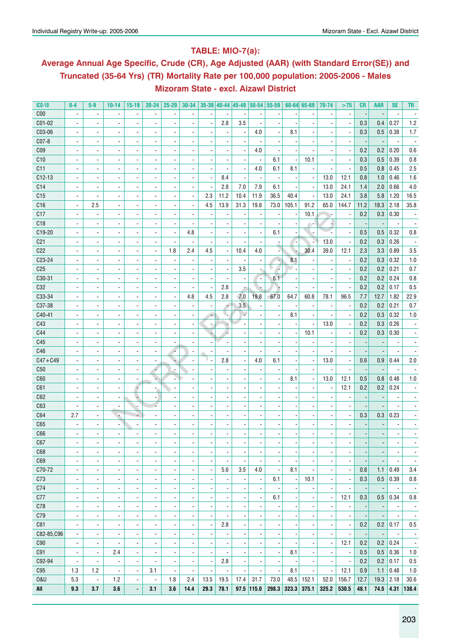## **Table: MIO-7(a):**

# **Average Annual Age Specific, Crude (CR), Age Adjusted (AAR) (with Standard Error(SE)) and Truncated (35-64 Yrs) (TR) Mortality Rate per 100,000 population: 2005-2006 - Males Mizoram State - excl. Aizawl District**

| <b>ICD-10</b>   | $0-4$                    | $5-9$                    | $10 - 14$                | $15-19$                  | $20 - 24$                | $25 - 29$                | $30 - 34$                       |                          |                          |                          |                          | 35-39 40-44 45-49 50-54 55-59 |       | $60 - 64$ 65-69          | 70-74                    | >75                      | <b>CR</b>  | <b>AAR</b> | <b>SE</b>                | TR                       |
|-----------------|--------------------------|--------------------------|--------------------------|--------------------------|--------------------------|--------------------------|---------------------------------|--------------------------|--------------------------|--------------------------|--------------------------|-------------------------------|-------|--------------------------|--------------------------|--------------------------|------------|------------|--------------------------|--------------------------|
| C <sub>00</sub> | $\overline{a}$           | $\overline{\phantom{a}}$ |                          |                          |                          |                          |                                 |                          |                          |                          |                          |                               |       |                          |                          |                          |            |            |                          |                          |
| C01-02          | $\blacksquare$           | $\blacksquare$           |                          | $\overline{\phantom{a}}$ |                          |                          |                                 | $\overline{\phantom{a}}$ | 2.8                      | 3.5                      |                          |                               |       |                          |                          | $\overline{\phantom{a}}$ | 0.3        | 0.4        | 0.27                     | 1.2                      |
| C03-06          | $\overline{\phantom{a}}$ | $\overline{a}$           | $\overline{\phantom{a}}$ | $\overline{\phantom{a}}$ |                          |                          |                                 | $\overline{\phantom{a}}$ |                          |                          | 4.0                      |                               | 8.1   | $\overline{a}$           |                          | $\overline{\phantom{a}}$ | 0.3        | 0.5        | 0.38                     | 1.7                      |
| C07-8           | ä,                       | $\overline{a}$           | $\overline{\phantom{a}}$ | $\overline{\phantom{a}}$ |                          |                          |                                 | $\overline{a}$           |                          |                          |                          |                               |       |                          |                          | $\overline{\phantom{a}}$ |            |            |                          |                          |
| C <sub>09</sub> | $\blacksquare$           | $\overline{a}$           |                          | $\overline{\phantom{a}}$ |                          |                          |                                 | $\overline{\phantom{a}}$ |                          |                          | 4.0                      |                               |       |                          |                          | $\overline{\phantom{a}}$ | 0.2        | 0.2        | 0.20                     | 0.6                      |
| C10             | $\blacksquare$           | $\overline{a}$           |                          | $\overline{\phantom{a}}$ |                          |                          |                                 | $\overline{\phantom{a}}$ |                          |                          |                          | 6.1                           |       | 10.1                     |                          | $\blacksquare$           | 0.3        | 0.5        | 0.39                     | 0.8                      |
| C <sub>11</sub> | $\blacksquare$           | $\overline{a}$           |                          | $\overline{\phantom{a}}$ |                          |                          |                                 | $\overline{\phantom{a}}$ |                          |                          | 4.0                      | 6.1                           | 8.1   | $\blacksquare$           |                          |                          | 0.5        | 0.8        | 0.45                     | 2.5                      |
| $C12-13$        | ä,                       | $\overline{a}$           |                          | $\overline{\phantom{a}}$ |                          |                          |                                 | $\overline{\phantom{a}}$ | 8.4                      |                          | $\overline{\phantom{a}}$ | $\overline{\phantom{a}}$      |       | $\overline{\phantom{a}}$ | 13.0                     | 12.1                     | 0.8        | 1.0        | 0.46                     | 1.6                      |
| C <sub>14</sub> | $\blacksquare$           | $\overline{a}$           |                          | $\overline{\phantom{a}}$ | ä,                       |                          |                                 | $\overline{\phantom{a}}$ | 2.8                      | 7.0                      | 7.9                      | 6.1                           |       | $\overline{\phantom{a}}$ | 13.0                     | 24.1                     | 1.4        | 2.0        | 0.66                     | 4.0                      |
| C <sub>15</sub> | ÷,                       | $\overline{\phantom{a}}$ | $\overline{\phantom{a}}$ | $\overline{\phantom{a}}$ | $\overline{\phantom{a}}$ | $\overline{\phantom{a}}$ |                                 | 2.3                      | 11.2                     | 10.4                     | 11.9                     | 36.5                          | 40.4  | $\overline{\phantom{a}}$ | 13.0                     | 24.1                     | 3.8        | 5.8        | 1.20                     | 16.5                     |
| C16             | $\blacksquare$           | 2.5                      | $\overline{\phantom{a}}$ | $\overline{\phantom{a}}$ | $\overline{\phantom{a}}$ | ٠                        |                                 | 4.5                      | 13.9                     | 31.3                     | 19.8                     | 73.0                          | 105.1 | 91.2                     | 65.0                     | 144.7                    | 11.2       | 18.3       | 2.18                     | 35.8                     |
| C17             | $\blacksquare$           | $\overline{\phantom{a}}$ | $\overline{\phantom{a}}$ | $\overline{\phantom{a}}$ | $\overline{\phantom{a}}$ | ×                        |                                 | $\overline{a}$           |                          |                          |                          |                               |       | 10.1                     |                          | $\overline{\phantom{a}}$ | 0.2        | 0.3        | 0.30                     |                          |
| C18             | $\overline{a}$           | $\blacksquare$           | ٠                        | $\overline{\phantom{a}}$ | $\overline{\phantom{a}}$ | $\overline{\phantom{a}}$ |                                 | $\overline{\phantom{a}}$ |                          |                          |                          |                               |       |                          |                          | $\overline{\phantom{a}}$ |            |            |                          |                          |
| C19-20          | $\blacksquare$           | $\blacksquare$           | ٠                        | $\overline{\phantom{a}}$ | $\overline{\phantom{a}}$ | $\overline{\phantom{a}}$ | 4.8                             | Ĭ.                       |                          |                          |                          | 6.1                           |       |                          |                          | $\overline{\phantom{a}}$ | 0.5        | 0.5        | 0.32                     | 0.8                      |
| C <sub>21</sub> | $\blacksquare$           | $\blacksquare$           | $\overline{\phantom{a}}$ | $\overline{\phantom{a}}$ | $\overline{\phantom{a}}$ | ÷,                       | $\overline{\phantom{a}}$        | $\overline{\phantom{a}}$ |                          |                          |                          |                               |       | ÷                        | 13.0                     | $\blacksquare$           | 0.2        | 0.3        | 0.26                     |                          |
| C22             |                          |                          |                          |                          |                          | 1.8                      |                                 | 4.5                      |                          | 10.4                     | 4.0                      |                               |       | 30.4                     |                          |                          |            |            |                          |                          |
| C23-24          | $\overline{\phantom{a}}$ | $\overline{\phantom{a}}$ |                          | $\blacksquare$           | $\blacksquare$           |                          | 2.4                             |                          | $\overline{\phantom{a}}$ |                          |                          |                               | ۰,    |                          | 39.0                     | 12.1                     | 2.3<br>0.2 | 3.3        | 0.89                     | 3.5                      |
|                 | $\overline{\phantom{a}}$ | $\overline{\phantom{a}}$ | $\overline{\phantom{a}}$ | $\blacksquare$           | $\blacksquare$           |                          |                                 | $\overline{\phantom{a}}$ |                          |                          |                          | R<br>v                        | 8.1   | $\overline{\phantom{a}}$ |                          | $\overline{\phantom{a}}$ |            | 0.3        | 0.32                     | 1.0                      |
| C <sub>25</sub> | $\overline{\phantom{a}}$ | $\overline{\phantom{a}}$ | $\overline{\phantom{a}}$ | $\overline{\phantom{a}}$ | $\blacksquare$           |                          |                                 | $\overline{a}$           |                          | 3.5                      | ÷,                       | r,                            |       | $\blacksquare$           |                          | ÷,                       | 0.2        | 0.2        | 0.21                     | 0.7                      |
| C30-31          | $\overline{\phantom{a}}$ | $\overline{\phantom{a}}$ | $\overline{\phantom{a}}$ | $\overline{\phantom{a}}$ | $\blacksquare$           |                          |                                 | $\overline{a}$           |                          |                          | ٠.                       | 6.1                           |       | $\blacksquare$           |                          | ÷,                       | 0.2        | 0.2        | 0.24                     | 0.8                      |
| C32             | $\blacksquare$           | $\overline{a}$           | $\overline{\phantom{a}}$ | $\overline{\phantom{a}}$ | $\overline{\phantom{a}}$ | $\overline{\phantom{a}}$ |                                 | Ĭ.                       | 2.8                      |                          |                          | ŀ.                            |       | $\blacksquare$           |                          | ÷,                       | 0.2        | 0.2        | 0.17                     | 0.5                      |
| C33-34          | $\overline{\phantom{a}}$ | $\blacksquare$           |                          | $\overline{\phantom{a}}$ | $\overline{\phantom{a}}$ | ÷,                       | 4.8                             | 4.5                      | 2.8                      | 7.0                      | 19.8                     | 67.0                          | 64.7  | 60.8                     | 78.1                     | 96.5                     | 7.7        | 12.7       | 1.82                     | 22.9                     |
| C37-38          | $\blacksquare$           | $\blacksquare$           |                          | $\overline{\phantom{a}}$ | $\overline{\phantom{a}}$ |                          | $\overline{\phantom{a}}$        | $\overline{\phantom{a}}$ | ÷                        | 3.5                      |                          |                               |       | $\overline{\phantom{a}}$ |                          | $\overline{\phantom{a}}$ | 0.2        | 0.2        | 0.21                     | 0.7                      |
| C40-41          | $\blacksquare$           | $\overline{\phantom{a}}$ |                          | $\overline{\phantom{a}}$ | $\overline{\phantom{a}}$ |                          |                                 | $\overline{\phantom{a}}$ | V.                       |                          |                          |                               | 8.1   | $\overline{\phantom{a}}$ |                          | $\blacksquare$           | 0.2        | 0.3        | 0.32                     | 1.0                      |
| C43             | $\blacksquare$           | $\overline{\phantom{a}}$ |                          | $\overline{\phantom{a}}$ | $\blacksquare$           |                          |                                 | $\overline{\phantom{a}}$ |                          |                          |                          |                               |       |                          | 13.0                     | $\overline{\phantom{a}}$ | 0.2        | 0.3        | 0.26                     |                          |
| C44             | $\blacksquare$           | $\overline{\phantom{a}}$ |                          | $\overline{\phantom{a}}$ | $\overline{\phantom{a}}$ |                          |                                 | ٠                        |                          |                          |                          |                               |       | 10.1                     |                          | $\overline{\phantom{a}}$ | 0.2        | 0.3        | 0.30                     |                          |
| C45             | $\blacksquare$           |                          |                          | $\overline{\phantom{a}}$ | $\overline{\phantom{a}}$ |                          |                                 | $\overline{\phantom{a}}$ |                          |                          |                          |                               |       | $\overline{\phantom{a}}$ |                          | $\overline{\phantom{a}}$ |            |            |                          |                          |
| C46             | $\overline{\phantom{a}}$ |                          |                          | $\overline{\phantom{a}}$ | $\overline{\phantom{a}}$ | ÷                        |                                 | $\overline{\phantom{a}}$ |                          |                          |                          |                               |       |                          |                          | $\overline{\phantom{a}}$ |            |            |                          |                          |
| $C47 + C49$     | $\overline{\phantom{a}}$ | $\overline{\phantom{a}}$ | $\overline{\phantom{a}}$ | $\overline{\phantom{a}}$ | $\overline{\phantom{a}}$ | ٠                        |                                 | υ.                       | 2.8                      |                          | 4.0                      | 6.1                           |       | $\overline{\phantom{a}}$ | 13.0                     | $\overline{\phantom{a}}$ | 0.6        | 0.9        | 0.44                     | 2.0                      |
| C50             | $\overline{\phantom{a}}$ | $\overline{\phantom{a}}$ |                          | $\overline{\phantom{a}}$ | ÷                        | ÷,                       |                                 | $\overline{a}$           |                          |                          |                          |                               |       | $\blacksquare$           |                          | $\overline{\phantom{a}}$ |            |            |                          |                          |
| C60             | $\blacksquare$           | $\overline{a}$           | $\overline{\phantom{a}}$ | $\blacksquare$           | ×.                       |                          |                                 | $\overline{\phantom{a}}$ |                          |                          |                          |                               | 8.1   | $\blacksquare$           | 13.0                     | 12.1                     | 0.5        | 0.8        | 0.48                     | 1.0                      |
| C61             | $\blacksquare$           | $\overline{a}$           | $\overline{\phantom{a}}$ | ۰,                       | $\blacksquare$           |                          |                                 | $\overline{\phantom{a}}$ |                          |                          |                          |                               |       | $\blacksquare$           |                          | 12.1                     | 0.2        | 0.2        | 0.24                     |                          |
| C62             | $\blacksquare$           | $\overline{a}$           | $\overline{\phantom{a}}$ | ۸                        | $\blacksquare$           |                          |                                 | $\overline{\phantom{a}}$ |                          |                          |                          |                               |       | $\overline{\phantom{a}}$ |                          | $\blacksquare$           |            |            |                          |                          |
| C63             |                          | $\blacksquare$           | $\blacksquare$           | ÷                        |                          |                          |                                 | $\overline{\phantom{a}}$ |                          |                          |                          |                               |       | $\overline{\phantom{a}}$ |                          | $\overline{\phantom{a}}$ |            |            |                          |                          |
| C64             | 2.7                      | $\blacksquare$           | ÷                        | ÷                        | $\blacksquare$           |                          |                                 | $\overline{\phantom{a}}$ |                          |                          |                          |                               |       | $\overline{\phantom{a}}$ |                          | $\overline{\phantom{a}}$ | 0.3        | 0.3        | 0.23                     |                          |
| C65             |                          | $\blacksquare$           | $\overline{\phantom{a}}$ | $\overline{\phantom{a}}$ | $\overline{\phantom{a}}$ |                          |                                 | $\overline{\phantom{a}}$ |                          |                          |                          |                               |       | $\overline{\phantom{a}}$ |                          | $\blacksquare$           |            |            |                          |                          |
| C66             |                          |                          |                          | $\overline{\phantom{a}}$ |                          |                          |                                 |                          |                          |                          |                          |                               |       |                          |                          |                          |            |            |                          |                          |
| C67             | ٠                        | $\overline{\phantom{a}}$ |                          | $\overline{\phantom{a}}$ | $\overline{\phantom{a}}$ | $\overline{\phantom{a}}$ | $\overline{\phantom{a}}$        | $\overline{\phantom{a}}$ | $\overline{\phantom{a}}$ | $\overline{\phantom{a}}$ | $\overline{\phantom{a}}$ | $\overline{\phantom{a}}$      |       | $\overline{\phantom{a}}$ | $\overline{\phantom{a}}$ | $\overline{\phantom{a}}$ |            |            | $\overline{\phantom{a}}$ |                          |
| C68             | $\overline{\phantom{a}}$ | $\blacksquare$           | $\blacksquare$           | $\overline{\phantom{a}}$ | $\blacksquare$           | $\overline{\phantom{a}}$ | $\blacksquare$                  | $\overline{\phantom{a}}$ | $\blacksquare$           |                          | $\blacksquare$           | $\overline{\phantom{a}}$      |       | $\overline{\phantom{a}}$ | $\blacksquare$           | $\overline{\phantom{a}}$ |            |            | $\overline{\phantom{a}}$ | $\overline{\phantom{a}}$ |
| C69             | $\blacksquare$           | $\blacksquare$           | $\blacksquare$           | $\overline{\phantom{a}}$ | $\overline{\phantom{a}}$ | $\overline{\phantom{a}}$ | $\blacksquare$                  | $\overline{\phantom{a}}$ |                          |                          |                          |                               |       | $\overline{\phantom{a}}$ | $\blacksquare$           | $\overline{\phantom{a}}$ |            |            |                          | $\overline{\phantom{a}}$ |
| C70-72          | $\blacksquare$           | $\blacksquare$           | $\blacksquare$           | $\blacksquare$           | $\overline{\phantom{a}}$ | $\overline{\phantom{a}}$ | $\overline{\phantom{a}}$        | $\overline{\phantom{a}}$ | 5.6                      | 3.5                      | 4.0                      | $\overline{\phantom{a}}$      | 8.1   | $\overline{a}$           | $\blacksquare$           | $\blacksquare$           | 0.8        | 1.1        | 0.49                     | 3.4                      |
| C73             | $\blacksquare$           | $\blacksquare$           | $\overline{\phantom{a}}$ | $\blacksquare$           | $\overline{\phantom{a}}$ | $\blacksquare$           | $\overline{\phantom{a}}$        | $\overline{\phantom{a}}$ |                          |                          | $\overline{\phantom{a}}$ | 6.1                           |       | 10.1                     | $\blacksquare$           | $\blacksquare$           | 0.3        | 0.5        | 0.39                     | 0.8                      |
| C74             | $\blacksquare$           | $\overline{\phantom{a}}$ | $\blacksquare$           | $\blacksquare$           | $\overline{\phantom{a}}$ | $\blacksquare$           | $\overline{\phantom{a}}$        | $\blacksquare$           |                          |                          | $\overline{\phantom{a}}$ |                               |       | $\blacksquare$           | $\blacksquare$           | $\overline{\phantom{a}}$ |            |            |                          | $\overline{\phantom{a}}$ |
| C77             | $\blacksquare$           | $\overline{\phantom{a}}$ | $\blacksquare$           | $\blacksquare$           | $\blacksquare$           | $\blacksquare$           | $\blacksquare$                  | ÷,                       |                          |                          | ä,                       | 6.1                           |       | $\overline{a}$           | $\blacksquare$           | 12.1                     | 0.3        | 0.5        | 0.34                     | 0.8                      |
| C78             | $\overline{\phantom{a}}$ | $\overline{\phantom{a}}$ | $\blacksquare$           | $\blacksquare$           | $\blacksquare$           | $\blacksquare$           | $\overline{\phantom{a}}$        | $\overline{\phantom{a}}$ |                          |                          | $\overline{a}$           |                               |       | $\overline{a}$           |                          | $\overline{\phantom{a}}$ |            |            | $\blacksquare$           | $\overline{\phantom{a}}$ |
| C79             | $\blacksquare$           | $\overline{\phantom{a}}$ | $\blacksquare$           | $\blacksquare$           | $\blacksquare$           | $\blacksquare$           | $\overline{\phantom{a}}$        | $\overline{\phantom{a}}$ |                          |                          | $\overline{a}$           |                               |       | $\overline{a}$           | $\blacksquare$           | $\blacksquare$           |            |            | $\overline{\phantom{a}}$ | $\overline{\phantom{a}}$ |
| C81             | $\blacksquare$           | $\overline{\phantom{a}}$ | $\blacksquare$           | $\blacksquare$           | $\blacksquare$           | $\blacksquare$           | $\overline{\phantom{a}}$        | $\blacksquare$           | 2.8                      |                          | $\overline{a}$           |                               |       | $\overline{a}$           | $\blacksquare$           | $\blacksquare$           | 0.2        | 0.2        | 0.17                     | 0.5                      |
| C82-85, C96     | $\blacksquare$           | $\overline{\phantom{a}}$ | $\blacksquare$           | $\overline{\phantom{a}}$ | $\overline{\phantom{a}}$ | $\blacksquare$           | $\overline{\phantom{a}}$        | $\overline{a}$           |                          |                          |                          |                               |       | $\overline{a}$           |                          | $\overline{\phantom{a}}$ |            |            | $\blacksquare$           | $\overline{\phantom{a}}$ |
| C90             | $\blacksquare$           | $\overline{\phantom{a}}$ |                          | $\blacksquare$           | ä,                       | $\blacksquare$           | $\overline{\phantom{a}}$        | ÷,                       |                          |                          |                          |                               |       | $\overline{a}$           | $\blacksquare$           | 12.1                     | 0.2        | 0.2        | 0.24                     | $\overline{\phantom{a}}$ |
| C91             | $\overline{\phantom{a}}$ | $\overline{\phantom{a}}$ | 2.4                      | $\Box$                   | ä,                       | $\blacksquare$           | $\overline{\phantom{a}}$        | ÷,                       |                          |                          |                          | $\overline{\phantom{a}}$      | 8.1   | $\overline{a}$           | $\blacksquare$           | $\blacksquare$           | 0.5        | 0.5        | 0.36                     | 1.0                      |
| C92-94          |                          | $\overline{a}$           | ä,                       | $\Box$                   | ä,                       |                          |                                 | ÷,                       | 2.8                      |                          |                          |                               |       |                          |                          | $\overline{\phantom{a}}$ | 0.2        | 0.2        | 0.17                     | 0.5                      |
|                 |                          |                          |                          | L,                       |                          | $\overline{\phantom{a}}$ |                                 | $\overline{a}$           |                          |                          |                          |                               |       | $\blacksquare$           |                          |                          |            |            |                          |                          |
| C95             | 1.3                      | 1.2                      | $\overline{\phantom{a}}$ | ÷.                       | 3.1                      | ÷,<br>1.8                | $\overline{\phantom{a}}$<br>2.4 | 13.5                     |                          |                          |                          |                               | 8.1   |                          | ÷,                       | 12.1                     | 0.9        | 1.1        | 0.48<br>2.18             | 1.0                      |
| <b>0&amp;U</b>  | 5.3                      | $\overline{\phantom{a}}$ | $1.2$                    |                          | $\blacksquare$           |                          |                                 |                          | 19.5                     | 17.4                     | 31.7                     | 73.0                          | 48.5  | 152.1                    | 52.0                     | 156.7                    | 12.7       | 19.3       |                          | 30.6                     |
| All             | 9.3                      | 3.7                      | 3.6                      | ÷,                       | 3.1                      | 3.6                      | 14.4                            | 29.3                     | 78.1                     |                          | $97.5$ 115.0             | 298.3                         | 323.3 | 375.1                    | 325.2                    | 530.5                    | 48.1       | 74.5       |                          | $4.31$   138.4           |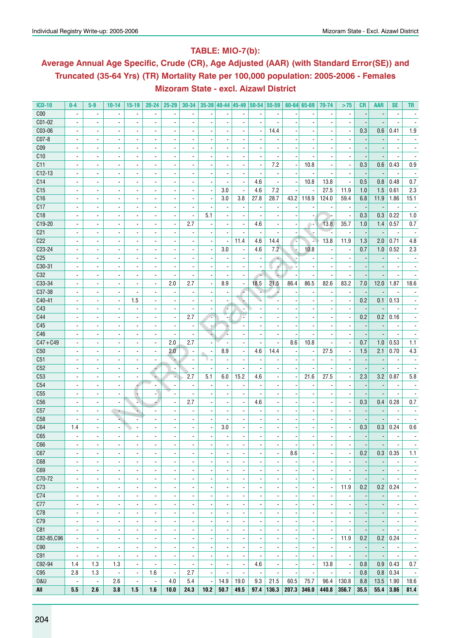## **Table: MIO-7(b):**

# **Average Annual Age Specific, Crude (CR), Age Adjusted (AAR) (with Standard Error(SE)) and Truncated (35-64 Yrs) (TR) Mortality Rate per 100,000 population: 2005-2006 - Females Mizoram State - excl. Aizawl District**

| <b>ICD-10</b>   | $0-4$                    | $5-9$                    | $10 - 14$                | $15-19$                  | $20 - 24$                | $25 - 29$                    | $30 - 34$                    |                          |                          |                          |                          | 35-39 40-44 45-49 50-54 55-59 |                          | $60 - 64$ 65-69          | 70-74                    | >75                      | <b>CR</b>                | <b>AAR</b>               | <b>SE</b>                | TR                       |
|-----------------|--------------------------|--------------------------|--------------------------|--------------------------|--------------------------|------------------------------|------------------------------|--------------------------|--------------------------|--------------------------|--------------------------|-------------------------------|--------------------------|--------------------------|--------------------------|--------------------------|--------------------------|--------------------------|--------------------------|--------------------------|
| C <sub>00</sub> | $\overline{a}$           | $\overline{\phantom{a}}$ |                          | $\overline{\phantom{a}}$ |                          |                              |                              |                          |                          |                          |                          |                               |                          | $\overline{\phantom{a}}$ |                          | $\overline{\phantom{a}}$ |                          |                          |                          |                          |
| C01-02          | ä,                       | $\overline{\phantom{a}}$ |                          | $\overline{a}$           | $\overline{\phantom{a}}$ | $\overline{a}$               |                              | $\overline{a}$           |                          |                          | ÷,                       | $\blacksquare$                |                          | $\overline{a}$           |                          | ä,                       |                          |                          |                          |                          |
| C03-06          | $\overline{\phantom{a}}$ | $\blacksquare$           | $\frac{1}{2}$            | $\overline{\phantom{a}}$ | $\overline{\phantom{a}}$ | $\blacksquare$               |                              | $\overline{\phantom{a}}$ |                          | $\overline{\phantom{a}}$ | $\blacksquare$           | 14.4                          |                          | $\overline{\phantom{a}}$ | $\blacksquare$           | $\overline{\phantom{a}}$ | 0.3                      | 0.6                      | 0.41                     | 1.9                      |
| C07-8           | $\blacksquare$           | $\overline{\phantom{a}}$ | $\overline{\phantom{a}}$ | $\overline{\phantom{a}}$ | $\overline{\phantom{a}}$ | $\blacksquare$               | $\blacksquare$               | $\overline{\phantom{a}}$ | $\overline{\phantom{a}}$ | $\blacksquare$           | $\overline{\phantom{a}}$ | $\overline{\phantom{a}}$      |                          | $\blacksquare$           | $\overline{\phantom{a}}$ | $\overline{\phantom{a}}$ |                          |                          | $\overline{\phantom{a}}$ |                          |
| C <sub>09</sub> | $\overline{\phantom{a}}$ | $\overline{\phantom{a}}$ | $\overline{\phantom{a}}$ | $\overline{\phantom{a}}$ | $\overline{\phantom{a}}$ | $\overline{\phantom{a}}$     |                              | $\overline{\phantom{a}}$ | $\overline{\phantom{a}}$ | $\overline{\phantom{a}}$ |                          |                               |                          |                          | $\overline{\phantom{a}}$ |                          |                          |                          |                          |                          |
| C10             | $\blacksquare$           | $\blacksquare$           | $\overline{a}$           |                          |                          |                              |                              |                          |                          |                          |                          |                               |                          |                          |                          |                          |                          |                          |                          |                          |
| C11             | $\blacksquare$           | $\blacksquare$           | $\blacksquare$           | $\blacksquare$           | $\blacksquare$           | $\overline{\phantom{a}}$     | $\blacksquare$               | $\blacksquare$           | $\overline{\phantom{a}}$ | $\blacksquare$           | $\overline{\phantom{a}}$ | 7.2                           |                          | 10.8                     | $\blacksquare$           | $\frac{1}{2}$            | 0.3                      | 0.6                      | 0.43                     | 0.9                      |
| $C12-13$        | $\overline{\phantom{a}}$ | $\blacksquare$           | $\overline{a}$           | $\overline{\phantom{a}}$ | $\blacksquare$           | $\overline{\phantom{a}}$     |                              | $\overline{\phantom{a}}$ |                          |                          |                          | $\overline{\phantom{a}}$      |                          |                          |                          |                          |                          |                          |                          |                          |
| C14             | $\overline{\phantom{a}}$ | $\overline{\phantom{a}}$ | ٠                        | $\overline{\phantom{a}}$ | $\overline{\phantom{a}}$ | ٠                            |                              | $\overline{\phantom{a}}$ |                          | $\blacksquare$           | 4.6                      | $\overline{\phantom{a}}$      |                          | 10.8                     | 13.8                     | $\overline{\phantom{a}}$ | 0.5                      | 0.8                      | 0.48                     | 0.7                      |
| C15             | $\blacksquare$           | $\blacksquare$           | $\overline{a}$           | $\blacksquare$           | $\blacksquare$           | ÷,                           |                              | $\blacksquare$           | 3.0                      | $\overline{\phantom{a}}$ | 4.6                      | 7.2                           |                          |                          | 27.5                     | 11.9                     | 1.0                      | 1.5                      | 0.61                     | 2.3                      |
| C16             | $\blacksquare$           | $\overline{\phantom{a}}$ | $\overline{\phantom{a}}$ | $\overline{\phantom{a}}$ | $\overline{\phantom{a}}$ | $\overline{\phantom{a}}$     | $\overline{\phantom{a}}$     | $\blacksquare$           | 3.0                      | 3.8                      | 27.8                     | 28.7                          | 43.2                     | 118.9                    | 124.0                    | 59.4                     | 6.8                      | 11.9                     | 1.86                     | 15.1                     |
| C17             | $\overline{\phantom{a}}$ | $\overline{\phantom{a}}$ | $\overline{\phantom{a}}$ | $\overline{\phantom{a}}$ | $\overline{\phantom{a}}$ | $\overline{\phantom{a}}$     | $\overline{\phantom{a}}$     | $\frac{1}{2}$            | $\overline{\phantom{a}}$ | $\overline{\phantom{a}}$ |                          |                               |                          |                          |                          | $\overline{\phantom{a}}$ |                          |                          | $\overline{\phantom{a}}$ |                          |
| C18             |                          |                          | $\overline{a}$           | $\overline{a}$           | $\overline{\phantom{a}}$ | $\overline{a}$               | ä,                           | 5.1                      |                          | ä,                       |                          |                               |                          |                          |                          | $\blacksquare$           | 0.3                      | 0.3                      | 0.22                     | 1.0                      |
| C19-20          |                          |                          |                          |                          |                          |                              | 2.7                          |                          |                          |                          | 4.6                      |                               |                          |                          | 13.8                     |                          |                          |                          | 0.57                     |                          |
|                 | $\overline{\phantom{a}}$ | $\overline{\phantom{a}}$ | $\overline{\phantom{a}}$ | $\blacksquare$           | $\blacksquare$           | $\blacksquare$               |                              | $\overline{\phantom{a}}$ | $\overline{\phantom{a}}$ | $\blacksquare$           |                          | $\overline{\phantom{a}}$      |                          | ۰.                       |                          | 35.7                     | 1.0                      | 1.4                      |                          | 0.7                      |
| C <sub>21</sub> | $\overline{\phantom{a}}$ | $\blacksquare$           | $\overline{\phantom{a}}$ | $\overline{\phantom{a}}$ | $\blacksquare$           | ÷,                           | $\overline{\phantom{a}}$     | $\overline{\phantom{a}}$ |                          |                          |                          |                               |                          |                          |                          | $\blacksquare$           |                          |                          |                          |                          |
| C22             | $\overline{\phantom{a}}$ | $\overline{\phantom{a}}$ | ۰                        | $\overline{\phantom{a}}$ | $\overline{\phantom{a}}$ | ٠                            |                              | $\overline{a}$           | $\overline{\phantom{a}}$ | 11.4                     | 4.6                      | 14.4                          | 74                       | à,                       | 13.8                     | 11.9                     | 1.3                      | 2.0                      | 0.71                     | 4.8                      |
| C23-24          | $\overline{\phantom{a}}$ | $\blacksquare$           | $\overline{a}$           | $\overline{\phantom{a}}$ | $\overline{a}$           | ÷,                           |                              | $\blacksquare$           | 3.0                      | ä,                       | 4.6                      | 7.2                           | . H                      | 10.8                     |                          | $\overline{\phantom{a}}$ | 0.7                      | 1.0                      | 0.52                     | 2.3                      |
| C <sub>25</sub> | $\overline{\phantom{a}}$ | $\overline{\phantom{a}}$ | $\overline{\phantom{a}}$ | $\overline{\phantom{a}}$ | $\overline{\phantom{a}}$ | $\overline{\phantom{a}}$     | $\blacksquare$               | $\overline{\phantom{a}}$ | $\overline{\phantom{a}}$ | $\overline{\phantom{a}}$ | $\overline{\phantom{a}}$ | ٠                             |                          |                          | $\blacksquare$           | $\overline{\phantom{a}}$ |                          |                          | $\overline{\phantom{a}}$ |                          |
| C30-31          | $\overline{\phantom{a}}$ | $\overline{\phantom{a}}$ | $\overline{\phantom{a}}$ | $\overline{\phantom{a}}$ | $\blacksquare$           | $\blacksquare$               | $\overline{\phantom{a}}$     | $\overline{\phantom{a}}$ |                          | $\blacksquare$           | $\overline{\phantom{a}}$ | ×.                            |                          | $\blacksquare$           |                          | $\overline{\phantom{a}}$ |                          |                          | $\overline{a}$           |                          |
| C32             | ٠                        | $\overline{\phantom{a}}$ | ٠                        | $\overline{\phantom{a}}$ | $\overline{\phantom{a}}$ | ٠                            | -                            |                          |                          | $\overline{\phantom{a}}$ | $\overline{\phantom{a}}$ | ٠                             |                          | $\overline{\phantom{a}}$ |                          | $\overline{\phantom{a}}$ |                          |                          |                          |                          |
| C33-34          | $\blacksquare$           | $\blacksquare$           | $\overline{a}$           | $\blacksquare$           | $\overline{\phantom{a}}$ | 2.0                          | 2.7                          | $\overline{a}$           | 8.9                      | $\overline{\phantom{a}}$ | 18.5                     | 21.5                          | 86.4                     | 86.5                     | 82.6                     | 83.2                     | 7.0                      | 12.0                     | 1.87                     | 18.6                     |
| C37-38          | $\overline{\phantom{a}}$ | $\blacksquare$           | $\blacksquare$           | $\blacksquare$           | $\blacksquare$           | $\overline{\phantom{a}}$     | $\overline{\phantom{a}}$     | $\overline{\phantom{a}}$ | $\overline{\phantom{a}}$ | ۰.                       |                          |                               |                          | $\blacksquare$           | $\blacksquare$           | $\blacksquare$           | $\overline{\phantom{a}}$ |                          |                          |                          |
| C40-41          | $\overline{\phantom{a}}$ | $\overline{\phantom{a}}$ | $\overline{\phantom{a}}$ | 1.5                      | $\overline{\phantom{a}}$ | ٠                            |                              |                          |                          |                          |                          |                               |                          | $\overline{\phantom{a}}$ | $\overline{\phantom{a}}$ | $\overline{\phantom{a}}$ | 0.2                      | 0.1                      | 0.13                     |                          |
| C43             | $\overline{a}$           | $\blacksquare$           | $\overline{a}$           | $\overline{\phantom{a}}$ | $\blacksquare$           | ÷,                           |                              | $\overline{a}$           | r,                       |                          |                          |                               |                          | $\overline{\phantom{a}}$ | $\overline{\phantom{a}}$ |                          |                          |                          |                          |                          |
| C44             | $\overline{\phantom{a}}$ | $\blacksquare$           | $\overline{\phantom{a}}$ | $\overline{\phantom{a}}$ | $\blacksquare$           | $\blacksquare$               | 2.7                          | L,                       | ٠.                       |                          | $\overline{\phantom{a}}$ | $\blacksquare$                |                          | $\blacksquare$           | $\blacksquare$           | $\overline{\phantom{a}}$ | 0.2                      | 0.2                      | 0.16                     | $\blacksquare$           |
| C45             | $\blacksquare$           | $\blacksquare$           | $\overline{\phantom{a}}$ | $\overline{\phantom{a}}$ | $\overline{\phantom{a}}$ | $\blacksquare$               | $\overline{\phantom{a}}$     | $\overline{z}$           | ٠                        | $\blacksquare$           | $\overline{\phantom{a}}$ | $\blacksquare$                |                          | $\blacksquare$           | $\blacksquare$           | $\blacksquare$           | $\overline{\phantom{a}}$ | $\overline{\phantom{a}}$ | $\overline{\phantom{a}}$ |                          |
| C46             | ٠                        | $\overline{\phantom{a}}$ | ٠                        | $\overline{\phantom{a}}$ | $\overline{\phantom{a}}$ | $\qquad \qquad \blacksquare$ | $\blacksquare$               | ÷                        |                          | $\overline{\phantom{a}}$ | $\overline{a}$           | $\overline{\phantom{a}}$      |                          | $\overline{\phantom{a}}$ | $\overline{\phantom{a}}$ | $\overline{\phantom{a}}$ |                          |                          |                          |                          |
| $C47 + C49$     | $\overline{a}$           | $\overline{\phantom{a}}$ | ÷,                       | $\overline{a}$           | $\overline{\phantom{a}}$ | 2.0                          | 2.7                          | ä,                       |                          |                          |                          | $\blacksquare$                | 8.6                      | 10.8                     | ä,                       | $\overline{\phantom{a}}$ | 0.7                      | 1.0                      | 0.53                     | 1.1                      |
| C50             | $\blacksquare$           | $\blacksquare$           | $\overline{a}$           | $\blacksquare$           | $\blacksquare$           | 2.0                          | $\blacksquare$               | $\overline{\phantom{a}}$ | 8.9                      | $\blacksquare$           | 4.6                      | 14.4                          |                          | $\blacksquare$           | 27.5                     | $\overline{\phantom{a}}$ | 1.5                      | 2.1                      | 0.70                     | 4.3                      |
| C51             | $\blacksquare$           | $\blacksquare$           | $\overline{\phantom{a}}$ | $\overline{\phantom{a}}$ | $\blacksquare$           | ۵                            |                              | υ.                       | $\overline{\phantom{a}}$ | $\blacksquare$           |                          |                               |                          | $\overline{\phantom{a}}$ |                          | $\overline{\phantom{a}}$ |                          |                          |                          |                          |
| C52             | $\overline{\phantom{a}}$ | $\overline{\phantom{a}}$ | ٠                        | $\overline{\phantom{a}}$ | ۶                        | $\overline{\phantom{a}}$     |                              | $\overline{a}$           |                          |                          |                          |                               |                          | $\overline{\phantom{a}}$ |                          | $\overline{\phantom{a}}$ |                          |                          |                          |                          |
| C53             | $\overline{\phantom{a}}$ | $\blacksquare$           |                          | $\overline{\phantom{a}}$ | ٠                        | ¥,                           | 2.7                          | 5.1                      | 6.0                      | 15.2                     | 4.6                      |                               |                          | 21.6                     | 27.5                     | $\blacksquare$           | 2.3                      | 3.2                      | 0.87                     | 5.8                      |
| C54             | $\blacksquare$           | $\blacksquare$           | $\overline{\phantom{a}}$ | 4,                       | $\blacksquare$           | $\overline{\phantom{a}}$     | $\blacksquare$               | $\overline{\phantom{a}}$ | $\overline{\phantom{a}}$ | $\blacksquare$           | $\blacksquare$           | $\blacksquare$                |                          | $\overline{\phantom{a}}$ | $\blacksquare$           | $\overline{\phantom{a}}$ | $\overline{\phantom{a}}$ |                          | $\overline{\phantom{a}}$ | $\blacksquare$           |
| C55             | $\overline{\phantom{a}}$ | $\blacksquare$           | $\overline{\phantom{a}}$ | ÷,                       | ÷                        | $\blacksquare$               | $\blacksquare$               | $\overline{\phantom{a}}$ |                          | $\blacksquare$           |                          |                               |                          | $\overline{\phantom{a}}$ |                          | $\overline{\phantom{a}}$ |                          |                          |                          |                          |
| C <sub>56</sub> | $\overline{\phantom{a}}$ | $\blacksquare$           | $\overline{a}$           | à,                       | ۰.                       | ٠                            | 2.7                          | $\overline{\phantom{m}}$ |                          | $\overline{\phantom{a}}$ | 4.6                      |                               |                          |                          | $\overline{\phantom{a}}$ | $\overline{\phantom{a}}$ | 0.3                      | 0.4                      | 0.28                     | 0.7                      |
| C57             | $\overline{\phantom{a}}$ | $\blacksquare$           | ٠                        |                          | $\blacksquare$           | ٠                            |                              | $\overline{a}$           |                          | $\blacksquare$           |                          |                               |                          |                          | $\overline{\phantom{a}}$ | $\overline{\phantom{a}}$ |                          |                          |                          |                          |
| C <sub>58</sub> | $\overline{\phantom{a}}$ | $\blacksquare$           | u                        | $\overline{\phantom{a}}$ | $\overline{\phantom{a}}$ | $\blacksquare$               | $\blacksquare$               | $\overline{a}$           | $\overline{\phantom{a}}$ | $\blacksquare$           | $\overline{\phantom{a}}$ | $\blacksquare$                |                          | $\overline{\phantom{a}}$ | $\blacksquare$           | $\overline{\phantom{a}}$ | $\overline{\phantom{a}}$ |                          | $\overline{\phantom{a}}$ |                          |
| C64             | 1.4                      |                          | ٠                        | $\overline{\phantom{a}}$ | $\overline{\phantom{a}}$ | ٠                            |                              | $\overline{\phantom{a}}$ | 3.0                      |                          | $\overline{\phantom{a}}$ | $\overline{a}$                |                          | $\overline{\phantom{a}}$ | $\overline{\phantom{a}}$ | $\overline{\phantom{a}}$ | 0.3                      | 0.3                      | 0.24                     | 0.6                      |
| C65             | $\overline{a}$           |                          |                          |                          |                          |                              |                              | ÷,                       |                          |                          | ÷,                       |                               |                          |                          | $\overline{\phantom{a}}$ |                          |                          | $\overline{a}$           |                          |                          |
| C66             | $\overline{\phantom{a}}$ | $\overline{\phantom{a}}$ | $\overline{\phantom{a}}$ | $\overline{\phantom{a}}$ | $\overline{\phantom{a}}$ | $\qquad \qquad \blacksquare$ | $\overline{\phantom{a}}$     | $\overline{\phantom{a}}$ | $\overline{\phantom{a}}$ | $\overline{\phantom{a}}$ | $\overline{\phantom{a}}$ | $\overline{\phantom{a}}$      | $\overline{\phantom{a}}$ | $\overline{\phantom{a}}$ | $\overline{\phantom{a}}$ | $\overline{\phantom{a}}$ | $\overline{\phantom{a}}$ | $\overline{\phantom{a}}$ | $\overline{\phantom{a}}$ | $\overline{\phantom{a}}$ |
| C67             | $\overline{\phantom{a}}$ | $\blacksquare$           | $\overline{\phantom{a}}$ | $\overline{\phantom{a}}$ | $\overline{\phantom{a}}$ | $\overline{\phantom{a}}$     | $\overline{\phantom{a}}$     | $\overline{\phantom{a}}$ | $\overline{\phantom{a}}$ | $\overline{\phantom{a}}$ | $\overline{\phantom{a}}$ | $\overline{\phantom{a}}$      | 8.6                      | $\overline{\phantom{a}}$ | $\overline{\phantom{a}}$ | $\overline{\phantom{a}}$ | 0.2                      | 0.3                      | 0.35                     | 1.1                      |
| C68             | $\overline{\phantom{a}}$ | $\overline{\phantom{a}}$ | $\overline{\phantom{a}}$ | $\overline{\phantom{a}}$ | $\overline{\phantom{a}}$ | $\overline{\phantom{a}}$     | $\overline{\phantom{a}}$     | $\overline{\phantom{a}}$ | $\overline{\phantom{a}}$ | $\overline{\phantom{a}}$ | $\overline{\phantom{a}}$ | $\overline{\phantom{a}}$      |                          | $\overline{\phantom{a}}$ | $\overline{\phantom{a}}$ | $\overline{\phantom{a}}$ | г.                       |                          | $\overline{\phantom{a}}$ | $\overline{\phantom{a}}$ |
| C69             | $\overline{\phantom{a}}$ | $\blacksquare$           | $\overline{\phantom{a}}$ | $\overline{\phantom{a}}$ | $\overline{\phantom{a}}$ | $\overline{\phantom{a}}$     | $\overline{\phantom{a}}$     | $\frac{1}{2}$            | $\overline{\phantom{a}}$ | $\overline{\phantom{a}}$ | $\overline{a}$           | $\overline{\phantom{a}}$      |                          | $\overline{\phantom{a}}$ | $\overline{\phantom{a}}$ | $\overline{\phantom{a}}$ |                          | $\overline{\phantom{a}}$ | $\overline{\phantom{a}}$ | $\overline{\phantom{a}}$ |
| C70-72          | $\overline{\phantom{a}}$ | $\overline{\phantom{a}}$ | $\overline{\phantom{a}}$ | $\blacksquare$           | $\blacksquare$           | $\blacksquare$               | $\blacksquare$               | $\overline{\phantom{a}}$ | $\overline{\phantom{a}}$ | $\blacksquare$           | $\overline{\phantom{a}}$ | $\overline{a}$                |                          | $\overline{\phantom{a}}$ | $\blacksquare$           | $\overline{\phantom{a}}$ |                          |                          |                          | $\overline{\phantom{a}}$ |
| C73             | $\overline{\phantom{a}}$ | $\blacksquare$           | $\overline{\phantom{a}}$ | $\blacksquare$           | $\overline{\phantom{a}}$ | $\blacksquare$               | $\blacksquare$               | $\overline{a}$           | $\overline{\phantom{a}}$ | $\overline{\phantom{a}}$ | $\blacksquare$           | $\blacksquare$                |                          | $\overline{\phantom{a}}$ | $\blacksquare$           | 11.9                     | 0.2                      | 0.2                      | 0.24                     | $\overline{\phantom{a}}$ |
| C74             | $\overline{\phantom{a}}$ | $\overline{\phantom{a}}$ | $\overline{\phantom{a}}$ | $\overline{\phantom{a}}$ | $\overline{\phantom{a}}$ | $\blacksquare$               | $\overline{\phantom{a}}$     | $\overline{\phantom{a}}$ | $\overline{\phantom{a}}$ | $\overline{\phantom{a}}$ | $\overline{\phantom{a}}$ | $\overline{\phantom{a}}$      |                          | $\overline{\phantom{a}}$ | $\blacksquare$           | $\overline{\phantom{a}}$ | $\overline{\phantom{a}}$ |                          | $\overline{\phantom{a}}$ | $\overline{\phantom{a}}$ |
| C77             | $\overline{\phantom{a}}$ | $\overline{\phantom{a}}$ | $\overline{\phantom{a}}$ | $\overline{\phantom{a}}$ | $\overline{\phantom{a}}$ | $\overline{\phantom{a}}$     | $\overline{\phantom{a}}$     | $\frac{1}{2}$            | $\overline{\phantom{a}}$ | $\overline{\phantom{a}}$ | $\overline{\phantom{a}}$ | $\overline{\phantom{a}}$      |                          | $\overline{\phantom{a}}$ | $\overline{\phantom{a}}$ | $\overline{\phantom{a}}$ | $\overline{\phantom{a}}$ | $\overline{a}$           | $\overline{\phantom{a}}$ | $\overline{\phantom{a}}$ |
| C78             | $\blacksquare$           | $\overline{\phantom{a}}$ | $\overline{\phantom{a}}$ | $\overline{\phantom{a}}$ | $\overline{\phantom{a}}$ | $\blacksquare$               | $\blacksquare$               | $\overline{\phantom{a}}$ | $\overline{\phantom{a}}$ | $\overline{\phantom{a}}$ | $\overline{\phantom{a}}$ | $\overline{\phantom{a}}$      |                          | $\blacksquare$           | $\overline{\phantom{a}}$ | $\overline{\phantom{a}}$ |                          |                          | $\overline{\phantom{a}}$ | $\overline{\phantom{a}}$ |
| C79             | $\overline{\phantom{a}}$ | $\overline{\phantom{a}}$ | $\blacksquare$           | $\overline{\phantom{a}}$ | $\overline{\phantom{a}}$ | $\overline{\phantom{a}}$     | $\overline{\phantom{a}}$     | $\overline{\phantom{a}}$ | $\blacksquare$           | $\overline{\phantom{a}}$ | $\overline{\phantom{a}}$ | $\blacksquare$                | $\overline{\phantom{a}}$ | $\overline{\phantom{a}}$ | $\overline{\phantom{a}}$ | $\overline{\phantom{a}}$ | $\overline{\phantom{a}}$ | $\overline{\phantom{a}}$ | $\overline{\phantom{a}}$ | $\overline{\phantom{a}}$ |
| C81             | $\overline{\phantom{a}}$ | $\overline{\phantom{a}}$ | $\overline{\phantom{a}}$ | $\overline{\phantom{a}}$ | $\overline{\phantom{a}}$ | $\overline{\phantom{a}}$     | $\overline{\phantom{a}}$     | $\overline{\phantom{a}}$ | $\overline{\phantom{a}}$ | $\overline{\phantom{a}}$ | $\overline{\phantom{a}}$ | $\overline{\phantom{a}}$      | $\overline{\phantom{a}}$ | $\overline{\phantom{a}}$ | $\overline{\phantom{a}}$ | $\overline{\phantom{a}}$ | $\overline{\phantom{a}}$ | $\overline{\phantom{a}}$ | $\overline{\phantom{a}}$ | $\overline{\phantom{a}}$ |
| C82-85,C96      | $\overline{\phantom{a}}$ | $\overline{\phantom{a}}$ | $\overline{\phantom{a}}$ | $\overline{\phantom{a}}$ | $\overline{\phantom{a}}$ | $\qquad \qquad \blacksquare$ | $\qquad \qquad \blacksquare$ |                          | $\overline{\phantom{a}}$ | $\overline{\phantom{a}}$ | $\overline{\phantom{a}}$ | $\overline{\phantom{a}}$      |                          | $\overline{\phantom{a}}$ | ٠                        | 11.9                     | 0.2                      | 0.2                      | 0.24                     | $\overline{\phantom{a}}$ |
| C90             | $\blacksquare$           | $\overline{\phantom{a}}$ | $\overline{\phantom{a}}$ | $\blacksquare$           | $\blacksquare$           | $\blacksquare$               | $\blacksquare$               | $\overline{\phantom{a}}$ |                          | $\blacksquare$           | $\overline{\phantom{a}}$ |                               |                          |                          |                          | $\blacksquare$           |                          |                          | $\overline{\phantom{a}}$ | $\overline{\phantom{a}}$ |
| C91             | $\overline{\phantom{a}}$ | $\overline{\phantom{a}}$ | $\overline{\phantom{a}}$ | $\blacksquare$           | $\overline{\phantom{a}}$ | $\overline{\phantom{a}}$     | $\overline{\phantom{a}}$     | $\overline{\phantom{a}}$ | $\overline{\phantom{a}}$ | $\overline{\phantom{a}}$ | $\overline{\phantom{a}}$ | $\overline{\phantom{a}}$      |                          | $\blacksquare$           |                          | $\overline{\phantom{a}}$ | $\overline{\phantom{a}}$ |                          | $\overline{\phantom{a}}$ | $\sim$                   |
| C92-94          | 1.4                      | 1.3                      | 1.3                      | $\overline{\phantom{a}}$ | $\blacksquare$           | $\overline{\phantom{a}}$     | $\blacksquare$               | $\overline{\phantom{a}}$ |                          | $\blacksquare$           | 4.6                      | $\overline{\phantom{a}}$      |                          | $\overline{\phantom{a}}$ | 13.8                     | $\overline{\phantom{a}}$ | 0.8                      | 0.9                      | 0.43                     | 0.7                      |
| C95             | 2.8                      | 1.3                      | $\overline{\phantom{a}}$ | $\blacksquare$           | 1.6                      | $\overline{\phantom{a}}$     | 2.7                          | $\blacksquare$           |                          | $\blacksquare$           | $\overline{\phantom{a}}$ | $\overline{\phantom{a}}$      |                          | $\blacksquare$           | $\overline{\phantom{a}}$ | ÷,                       | 0.8                      | 0.8                      | 0.34                     | $\overline{\phantom{a}}$ |
| <b>0&amp;U</b>  | $\blacksquare$           | $\overline{\phantom{a}}$ | 2.6                      | $\blacksquare$           | $\overline{\phantom{a}}$ | 4.0                          | 5.4                          | $\overline{\phantom{a}}$ | 14.9                     | 19.0                     | 9.3                      | 21.5                          | 60.5                     | 75.7                     | 96.4                     | 130.8                    | 8.8                      | 13.5                     | 1.90                     | 18.6                     |
| All             | 5.5                      | 2.6                      | 3.8                      | 1.5                      | 1.6                      | 10.0                         | 24.3                         | 10.2                     | 50.7                     | 49.5                     | 97.4                     | 136.3                         | 207.3                    | 346.0                    | 440.8                    | 356.7                    | 35.5                     | 55.4                     | 3.86                     | 81.4                     |
|                 |                          |                          |                          |                          |                          |                              |                              |                          |                          |                          |                          |                               |                          |                          |                          |                          |                          |                          |                          |                          |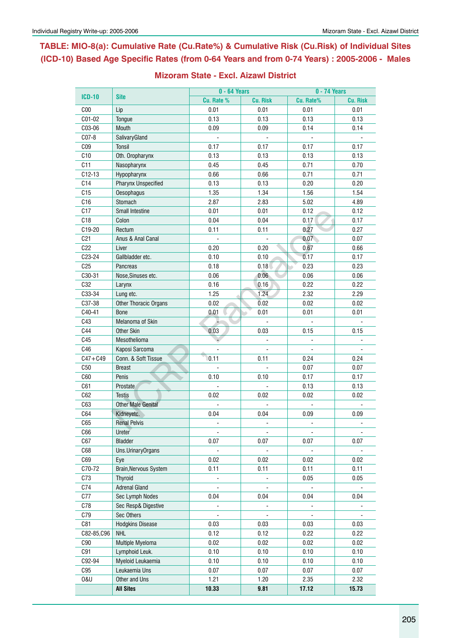**Table: MIO-8(a): Cumulative Rate (Cu.Rate%) & Cumulative Risk (Cu.Risk) of Individual Sites (ICD-10) Based Age Specific Rates (from 0-64 Years and from 0-74 Years) : 2005-2006 - Males**

|                     |                            | 0 - 64 Years   |                 | 0 - 74 Years             |                 |  |  |
|---------------------|----------------------------|----------------|-----------------|--------------------------|-----------------|--|--|
| <b>ICD-10</b>       | <b>Site</b>                | Cu. Rate %     | <b>Cu. Risk</b> | Cu. Rate%                | <b>Cu. Risk</b> |  |  |
| C <sub>00</sub>     | Lip                        | 0.01           | 0.01            | 0.01                     | 0.01            |  |  |
| C01-02              | Tongue                     | 0.13           | 0.13            | 0.13                     | 0.13            |  |  |
| C03-06              | Mouth                      | 0.09           | 0.09            | 0.14                     | 0.14            |  |  |
| $C07-8$             | SalivaryGland              |                |                 |                          |                 |  |  |
| CO9                 | Tonsil                     | 0.17           | 0.17            | 0.17                     | 0.17            |  |  |
| C10                 | Oth. Oropharynx            | 0.13           | 0.13            | 0.13                     | 0.13            |  |  |
| C11                 | Nasopharynx                | 0.45           | 0.45            | 0.71                     | 0.70            |  |  |
| $C12-13$            | Hypopharynx                | 0.66           | 0.66            | 0.71                     | 0.71            |  |  |
| C14                 | <b>Pharynx Unspecified</b> | 0.13           | 0.13            | 0.20                     | 0.20            |  |  |
| C15                 | Oesophagus                 | 1.35           | 1.34            | 1.56                     | 1.54            |  |  |
| C16                 | Stomach                    | 2.87           | 2.83            | 5.02                     | 4.89            |  |  |
| C17                 | Small Intestine            | 0.01           | 0.01            | 0.12                     | 0.12            |  |  |
| C <sub>18</sub>     | Colon                      | 0.04           | 0.04            | 0.17                     | 0.17            |  |  |
| C19-20              | Rectum                     | 0.11           | 0.11            | 0.27                     | 0.27            |  |  |
| C <sub>21</sub>     | Anus & Anal Canal          |                |                 | 0.07                     | 0.07            |  |  |
| C22                 | Liver                      | 0.20           | 0.20            | 0.67                     | 0.66            |  |  |
| C <sub>23</sub> -24 | Gallbladder etc.           | 0.10           | 0.10            | 0.17                     | 0.17            |  |  |
| C <sub>25</sub>     | Pancreas                   | 0.18           | 0.18            | 0.23                     | 0.23            |  |  |
| C30-31              | Nose, Sinuses etc.         | 0.06           | 0.06            | 0.06                     | 0.06            |  |  |
| C32                 | Larynx                     | 0.16           | 0.16            | 0.22                     | 0.22            |  |  |
| C33-34              | Lung etc.                  | 1.25           | 1.24            | 2.32                     | 2.29            |  |  |
| C37-38              | Other Thoracic Organs      | 0.02           | 0.02            | 0.02                     | 0.02            |  |  |
| C40-41              | <b>Bone</b>                | 0.01           | 0.01            | 0.01                     | 0.01            |  |  |
| C43                 | Melanoma of Skin           |                |                 |                          |                 |  |  |
| C44                 | Other Skin                 | 0.03           | 0.03            | 0.15                     | 0.15            |  |  |
| C45                 | Mesothelioma               |                |                 | $\overline{a}$           |                 |  |  |
| C46                 | Kaposi Sarcoma             |                |                 |                          |                 |  |  |
| $C47 + C49$         | Conn. & Soft Tissue        | 0.11           | 0.11            | 0.24                     | 0.24            |  |  |
| C50                 | <b>Breast</b>              |                |                 | 0.07                     | 0.07            |  |  |
| C60                 | Penis                      | 0.10           | 0.10            | 0.17                     | 0.17            |  |  |
| C61                 | Prostate                   |                |                 | 0.13                     | 0.13            |  |  |
| C62                 | <b>Testis</b>              | 0.02           | 0.02            | 0.02                     | 0.02            |  |  |
| C63                 | <b>Other Male Genital</b>  |                |                 |                          |                 |  |  |
| C64                 | Kidneyetc.                 | 0.04           | 0.04            | 0.09                     | 0.09            |  |  |
| C65                 | <b>Renal Pelvis</b>        | $\overline{a}$ | ä,              | $\overline{\phantom{a}}$ |                 |  |  |
| C66                 | Ureter                     |                |                 |                          |                 |  |  |
| C67                 | <b>Bladder</b>             | 0.07           | 0.07            | 0.07                     | 0.07            |  |  |
| C68                 | Uns.UrinaryOrgans          |                |                 |                          |                 |  |  |
| C69                 | Eye                        | 0.02           | 0.02            | 0.02                     | 0.02            |  |  |
| C70-72              | Brain, Nervous System      | 0.11           | 0.11            | 0.11                     | 0.11            |  |  |
| C73                 | <b>Thyroid</b>             |                |                 | 0.05                     | 0.05            |  |  |
| C74                 | <b>Adrenal Gland</b>       |                |                 |                          |                 |  |  |
| C77                 | Sec Lymph Nodes            | 0.04           | 0.04            | 0.04                     | 0.04            |  |  |
| C78                 | Sec Resp& Digestive        |                |                 |                          |                 |  |  |
|                     | Sec Others                 |                |                 |                          |                 |  |  |
| C79<br>C81          |                            | 0.03           |                 |                          |                 |  |  |
|                     | <b>Hodgkins Disease</b>    |                | 0.03            | 0.03                     | 0.03            |  |  |
| C82-85, C96         | <b>NHL</b>                 | 0.12           | 0.12            | 0.22                     | 0.22            |  |  |
| C90                 | Multiple Myeloma           | 0.02           | 0.02            | 0.02                     | 0.02            |  |  |
| C91                 | Lymphoid Leuk.             | 0.10           | 0.10            | 0.10                     | 0.10            |  |  |
| C92-94              | Myeloid Leukaemia          | 0.10           | 0.10            | 0.10                     | 0.10            |  |  |
| C95                 | Leukaemia Uns              | 0.07           | 0.07            | 0.07                     | 0.07            |  |  |
| <b>0&amp;U</b>      | Other and Uns              | 1.21           | 1.20            | 2.35                     | 2.32            |  |  |
|                     | <b>All Sites</b>           | 10.33          | 9.81            | 17.12                    | 15.73           |  |  |